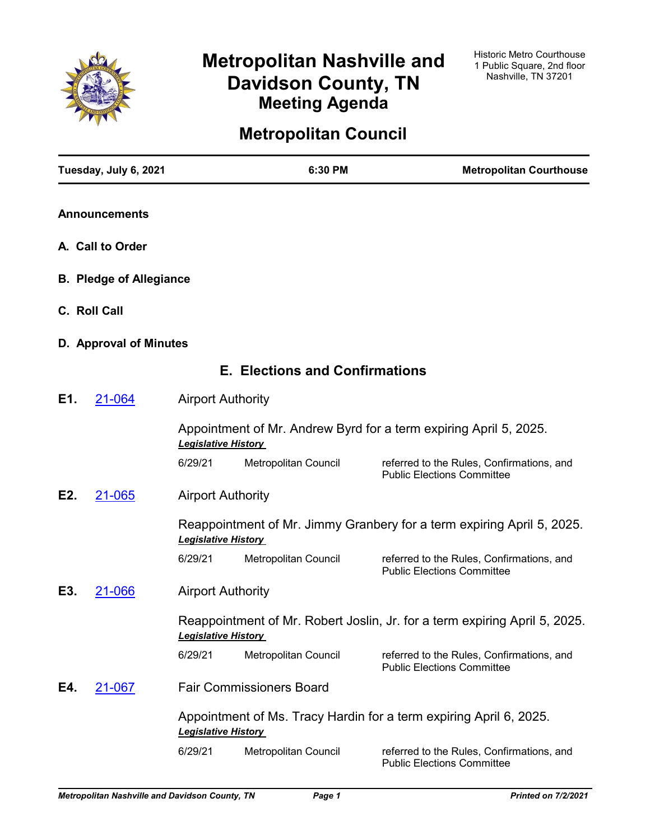

# **Metropolitan Nashville and Davidson County, TN Meeting Agenda**

# **Metropolitan Council**

| Tuesday, July 6, 2021          |                            | 6:30 PM                               | <b>Metropolitan Courthouse</b>                                                 |
|--------------------------------|----------------------------|---------------------------------------|--------------------------------------------------------------------------------|
| <b>Announcements</b>           |                            |                                       |                                                                                |
| A. Call to Order               |                            |                                       |                                                                                |
| <b>B. Pledge of Allegiance</b> |                            |                                       |                                                                                |
| C. Roll Call                   |                            |                                       |                                                                                |
| D. Approval of Minutes         |                            |                                       |                                                                                |
|                                |                            | <b>E. Elections and Confirmations</b> |                                                                                |
| E1.<br>21-064                  | <b>Airport Authority</b>   |                                       |                                                                                |
|                                | <b>Legislative History</b> |                                       | Appointment of Mr. Andrew Byrd for a term expiring April 5, 2025.              |
|                                | 6/29/21                    | Metropolitan Council                  | referred to the Rules, Confirmations, and<br><b>Public Elections Committee</b> |
| E2.<br>21-065                  | <b>Airport Authority</b>   |                                       |                                                                                |
|                                | <b>Legislative History</b> |                                       | Reappointment of Mr. Jimmy Granbery for a term expiring April 5, 2025.         |
|                                | 6/29/21                    | Metropolitan Council                  | referred to the Rules, Confirmations, and<br><b>Public Elections Committee</b> |
| E3.<br>21-066                  | <b>Airport Authority</b>   |                                       |                                                                                |
|                                | <b>Legislative History</b> |                                       | Reappointment of Mr. Robert Joslin, Jr. for a term expiring April 5, 2025.     |
|                                | 6/29/21                    | Metropolitan Council                  | referred to the Rules, Confirmations, and<br><b>Public Elections Committee</b> |
| E4.<br><u>21-067</u>           |                            | <b>Fair Commissioners Board</b>       |                                                                                |
|                                | <b>Legislative History</b> |                                       | Appointment of Ms. Tracy Hardin for a term expiring April 6, 2025.             |
|                                | 6/29/21                    | Metropolitan Council                  | referred to the Rules, Confirmations, and<br><b>Public Elections Committee</b> |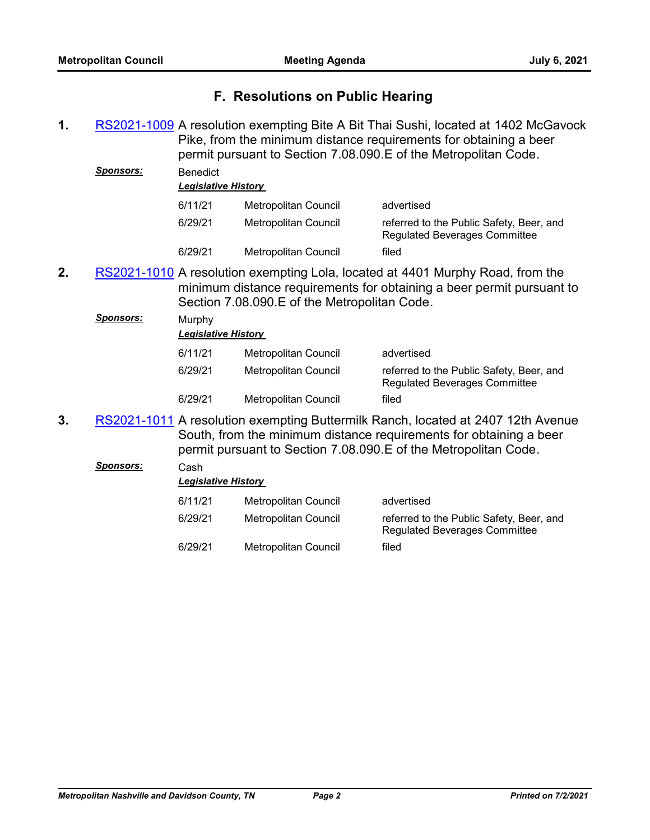## **F. Resolutions on Public Hearing**

1. [RS2021-1009](http://nashville.legistar.com/gateway.aspx?m=l&id=/matter.aspx?key=2382) A resolution exempting Bite A Bit Thai Sushi, located at 1402 McGavock Pike, from the minimum distance requirements for obtaining a beer permit pursuant to Section 7.08.090.E of the Metropolitan Code. *Sponsors:* Benedict

| <u></u> | DELIEUIUL | <b>Legislative History</b> |                                                                                  |  |  |  |
|---------|-----------|----------------------------|----------------------------------------------------------------------------------|--|--|--|
|         | 6/11/21   | Metropolitan Council       | advertised                                                                       |  |  |  |
|         | 6/29/21   | Metropolitan Council       | referred to the Public Safety, Beer, and<br><b>Regulated Beverages Committee</b> |  |  |  |
|         | 6/29/21   | Metropolitan Council       | filed                                                                            |  |  |  |

2. [RS2021-1010](http://nashville.legistar.com/gateway.aspx?m=l&id=/matter.aspx?key=2383) A resolution exempting Lola, located at 4401 Murphy Road, from the minimum distance requirements for obtaining a beer permit pursuant to Section 7.08.090.E of the Metropolitan Code.

|    | Sponsors: | Murphy<br><b>Legislative History</b>                                                                                                                                                                                      |                      |                                                                                  |
|----|-----------|---------------------------------------------------------------------------------------------------------------------------------------------------------------------------------------------------------------------------|----------------------|----------------------------------------------------------------------------------|
|    |           | 6/11/21                                                                                                                                                                                                                   | Metropolitan Council | advertised                                                                       |
|    |           | 6/29/21                                                                                                                                                                                                                   | Metropolitan Council | referred to the Public Safety, Beer, and<br><b>Regulated Beverages Committee</b> |
|    |           | 6/29/21                                                                                                                                                                                                                   | Metropolitan Council | filed                                                                            |
| 3. |           | RS2021-1011 A resolution exempting Buttermilk Ranch, located at 2407 12th Avenue<br>South, from the minimum distance requirements for obtaining a beer<br>permit pursuant to Section 7.08.090.E of the Metropolitan Code. |                      |                                                                                  |

| Sponsors: | Cash |
|-----------|------|
|-----------|------|

| <b>Legislative History</b> |                      |                                                                                  |  |  |  |
|----------------------------|----------------------|----------------------------------------------------------------------------------|--|--|--|
| 6/11/21                    | Metropolitan Council | advertised                                                                       |  |  |  |
| 6/29/21                    | Metropolitan Council | referred to the Public Safety, Beer, and<br><b>Regulated Beverages Committee</b> |  |  |  |
| 6/29/21                    | Metropolitan Council | filed                                                                            |  |  |  |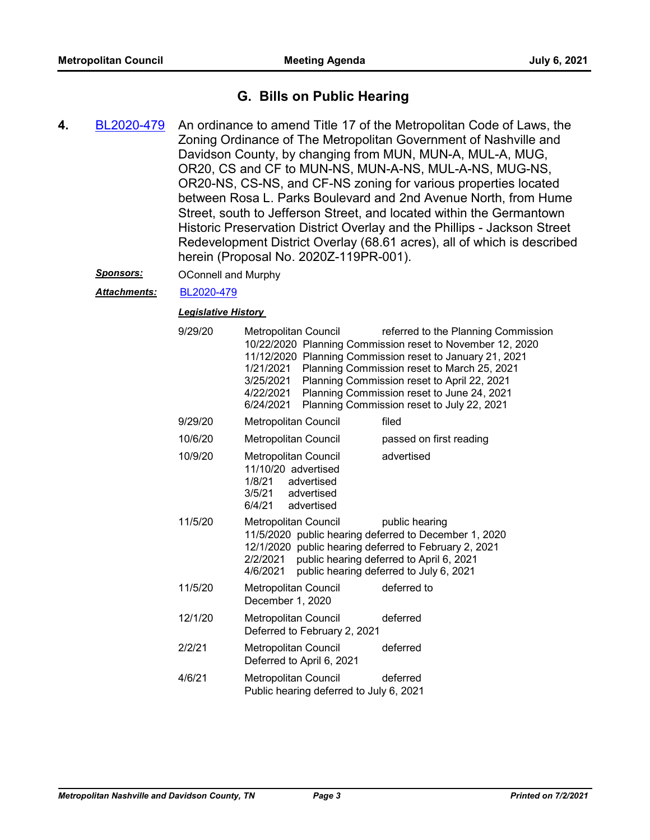## **G. Bills on Public Hearing**

- An ordinance to amend Title 17 of the Metropolitan Code of Laws, the Zoning Ordinance of The Metropolitan Government of Nashville and Davidson County, by changing from MUN, MUN-A, MUL-A, MUG, OR20, CS and CF to MUN-NS, MUN-A-NS, MUL-A-NS, MUG-NS, OR20-NS, CS-NS, and CF-NS zoning for various properties located between Rosa L. Parks Boulevard and 2nd Avenue North, from Hume Street, south to Jefferson Street, and located within the Germantown Historic Preservation District Overlay and the Phillips - Jackson Street Redevelopment District Overlay (68.61 acres), all of which is described herein (Proposal No. 2020Z-119PR-001). **4.** [BL2020-479](http://nashville.legistar.com/gateway.aspx?m=l&id=/matter.aspx?key=1372)
	- *Sponsors:* OConnell and Murphy
	- *Attachments:* [BL2020-479](http://nashville.legistar.com/gateway.aspx?M=F&ID=b63127af-23a1-490f-b955-317e9f38b6eb.pdf)

| 9/29/20 | 1/21/2021<br>3/25/2021<br>4/22/2021<br>6/24/2021                                                                  | Metropolitan Council                    | referred to the Planning Commission<br>10/22/2020 Planning Commission reset to November 12, 2020<br>11/12/2020 Planning Commission reset to January 21, 2021<br>Planning Commission reset to March 25, 2021<br>Planning Commission reset to April 22, 2021<br>Planning Commission reset to June 24, 2021<br>Planning Commission reset to July 22, 2021 |
|---------|-------------------------------------------------------------------------------------------------------------------|-----------------------------------------|--------------------------------------------------------------------------------------------------------------------------------------------------------------------------------------------------------------------------------------------------------------------------------------------------------------------------------------------------------|
| 9/29/20 | <b>Metropolitan Council</b>                                                                                       |                                         | filed                                                                                                                                                                                                                                                                                                                                                  |
| 10/6/20 | Metropolitan Council                                                                                              |                                         | passed on first reading                                                                                                                                                                                                                                                                                                                                |
| 10/9/20 | <b>Metropolitan Council</b><br>11/10/20 advertised<br>1/8/21 advertised<br>3/5/21 advertised<br>6/4/21 advertised |                                         | advertised                                                                                                                                                                                                                                                                                                                                             |
| 11/5/20 | <b>Metropolitan Council</b><br>2/2/2021<br>4/6/2021                                                               |                                         | public hearing<br>11/5/2020 public hearing deferred to December 1, 2020<br>12/1/2020 public hearing deferred to February 2, 2021<br>public hearing deferred to April 6, 2021<br>public hearing deferred to July 6, 2021                                                                                                                                |
| 11/5/20 | Metropolitan Council<br>December 1, 2020                                                                          |                                         | deferred to                                                                                                                                                                                                                                                                                                                                            |
| 12/1/20 | Metropolitan Council                                                                                              | Deferred to February 2, 2021            | deferred                                                                                                                                                                                                                                                                                                                                               |
| 2/2/21  | Metropolitan Council<br>Deferred to April 6, 2021                                                                 |                                         | deferred                                                                                                                                                                                                                                                                                                                                               |
| 4/6/21  | Metropolitan Council                                                                                              | Public hearing deferred to July 6, 2021 | deferred                                                                                                                                                                                                                                                                                                                                               |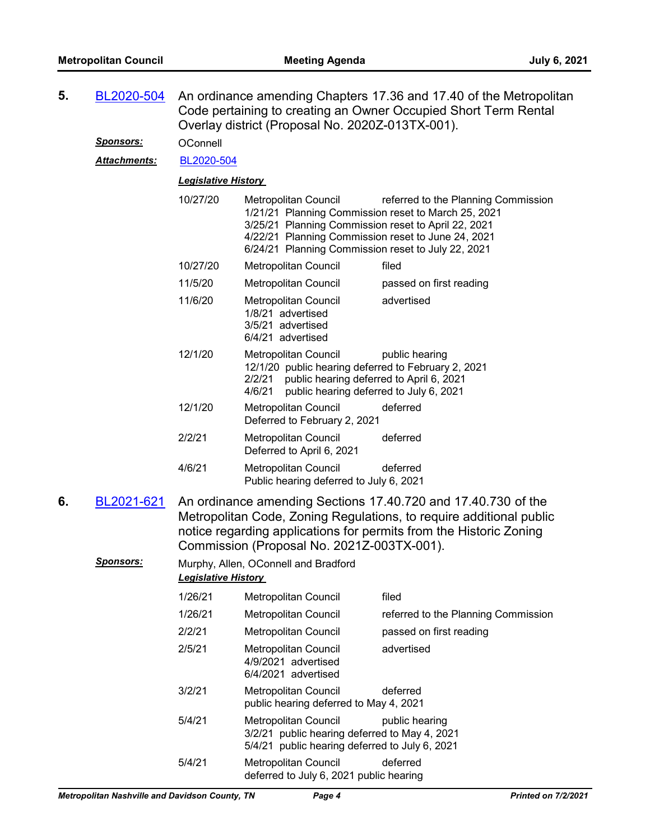| 5. | BL2020-504          |                                                                                                                                                                                                                                                          | An ordinance amending Chapters 17.36 and 17.40 of the Metropolitan<br>Code pertaining to creating an Owner Occupied Short Term Rental<br>Overlay district (Proposal No. 2020Z-013TX-001).                                                             |                                     |  |
|----|---------------------|----------------------------------------------------------------------------------------------------------------------------------------------------------------------------------------------------------------------------------------------------------|-------------------------------------------------------------------------------------------------------------------------------------------------------------------------------------------------------------------------------------------------------|-------------------------------------|--|
|    | <u>Sponsors:</u>    | OConnell                                                                                                                                                                                                                                                 |                                                                                                                                                                                                                                                       |                                     |  |
|    | <b>Attachments:</b> | BL2020-504                                                                                                                                                                                                                                               |                                                                                                                                                                                                                                                       |                                     |  |
|    |                     | <b>Legislative History</b>                                                                                                                                                                                                                               |                                                                                                                                                                                                                                                       |                                     |  |
|    |                     | 10/27/20                                                                                                                                                                                                                                                 | <b>Metropolitan Council</b><br>1/21/21 Planning Commission reset to March 25, 2021<br>3/25/21 Planning Commission reset to April 22, 2021<br>4/22/21 Planning Commission reset to June 24, 2021<br>6/24/21 Planning Commission reset to July 22, 2021 | referred to the Planning Commission |  |
|    |                     | 10/27/20                                                                                                                                                                                                                                                 | Metropolitan Council                                                                                                                                                                                                                                  | filed                               |  |
|    |                     | 11/5/20                                                                                                                                                                                                                                                  | Metropolitan Council                                                                                                                                                                                                                                  | passed on first reading             |  |
|    |                     | 11/6/20                                                                                                                                                                                                                                                  | Metropolitan Council<br>1/8/21 advertised<br>3/5/21 advertised<br>6/4/21 advertised                                                                                                                                                                   | advertised                          |  |
|    |                     | 12/1/20                                                                                                                                                                                                                                                  | Metropolitan Council<br>12/1/20 public hearing deferred to February 2, 2021<br>2/2/21<br>public hearing deferred to April 6, 2021<br>4/6/21<br>public hearing deferred to July 6, 2021                                                                | public hearing                      |  |
|    |                     | 12/1/20                                                                                                                                                                                                                                                  | Metropolitan Council<br>Deferred to February 2, 2021                                                                                                                                                                                                  | deferred                            |  |
|    |                     | 2/2/21                                                                                                                                                                                                                                                   | Metropolitan Council<br>Deferred to April 6, 2021                                                                                                                                                                                                     | deferred                            |  |
|    |                     | 4/6/21                                                                                                                                                                                                                                                   | Metropolitan Council<br>Public hearing deferred to July 6, 2021                                                                                                                                                                                       | deferred                            |  |
| 6. | BL2021-621          | An ordinance amending Sections 17.40.720 and 17.40.730 of the<br>Metropolitan Code, Zoning Regulations, to require additional public<br>notice regarding applications for permits from the Historic Zoning<br>Commission (Proposal No. 2021Z-003TX-001). |                                                                                                                                                                                                                                                       |                                     |  |
|    | <b>Sponsors:</b>    | <b>Legislative History</b>                                                                                                                                                                                                                               | Murphy, Allen, OConnell and Bradford                                                                                                                                                                                                                  |                                     |  |
|    |                     | 1/26/21                                                                                                                                                                                                                                                  | Metropolitan Council                                                                                                                                                                                                                                  | filed                               |  |
|    |                     | 1/26/21                                                                                                                                                                                                                                                  | Metropolitan Council                                                                                                                                                                                                                                  | referred to the Planning Commission |  |
|    |                     | 2/2/21                                                                                                                                                                                                                                                   | Metropolitan Council                                                                                                                                                                                                                                  | passed on first reading             |  |
|    |                     | 2/5/21                                                                                                                                                                                                                                                   | <b>Metropolitan Council</b><br>4/9/2021 advertised<br>6/4/2021 advertised                                                                                                                                                                             | advertised                          |  |
|    |                     | 3/2/21                                                                                                                                                                                                                                                   | <b>Metropolitan Council</b><br>public hearing deferred to May 4, 2021                                                                                                                                                                                 | deferred                            |  |
|    |                     | 5/4/21                                                                                                                                                                                                                                                   | Metropolitan Council<br>3/2/21 public hearing deferred to May 4, 2021<br>5/4/21 public hearing deferred to July 6, 2021                                                                                                                               | public hearing                      |  |
|    |                     | 5/4/21                                                                                                                                                                                                                                                   | Metropolitan Council<br>deferred to July 6, 2021 public hearing                                                                                                                                                                                       | deferred                            |  |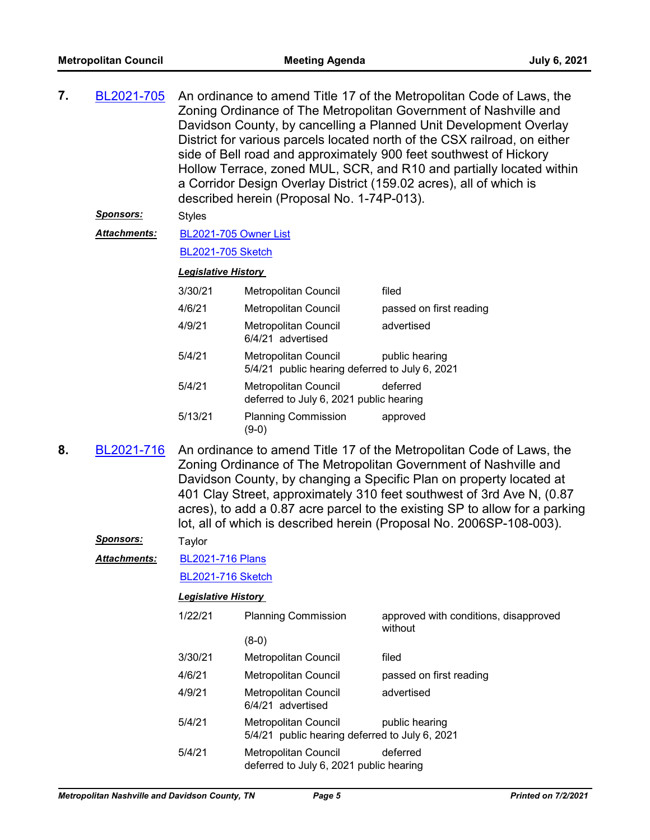| 7. | BL2021-705       | An ordinance to amend Title 17 of the Metropolitan Code of Laws, the      |
|----|------------------|---------------------------------------------------------------------------|
|    |                  | Zoning Ordinance of The Metropolitan Government of Nashville and          |
|    |                  | Davidson County, by cancelling a Planned Unit Development Overlay         |
|    |                  | District for various parcels located north of the CSX railroad, on either |
|    |                  | side of Bell road and approximately 900 feet southwest of Hickory         |
|    |                  | Hollow Terrace, zoned MUL, SCR, and R10 and partially located within      |
|    |                  | a Corridor Design Overlay District (159.02 acres), all of which is        |
|    |                  | described herein (Proposal No. 1-74P-013).                                |
|    | <b>Sponsors:</b> | <b>Styles</b>                                                             |

[BL2021-705 Owner List](http://nashville.legistar.com/gateway.aspx?M=F&ID=e4f7d3c5-572f-430f-a9f1-acaf0d1e140d.xlsx) *Attachments:*

#### [BL2021-705 Sketch](http://nashville.legistar.com/gateway.aspx?M=F&ID=d476dc7f-4c73-4d29-9b9e-e6910fb53633.docx)

#### *Legislative History*

| 3/30/21 | <b>Metropolitan Council</b>                                            | filed                   |
|---------|------------------------------------------------------------------------|-------------------------|
| 4/6/21  | <b>Metropolitan Council</b>                                            | passed on first reading |
| 4/9/21  | Metropolitan Council<br>6/4/21 advertised                              | advertised              |
| 5/4/21  | Metropolitan Council<br>5/4/21 public hearing deferred to July 6, 2021 | public hearing          |
| 5/4/21  | <b>Metropolitan Council</b><br>deferred to July 6, 2021 public hearing | deferred                |
| 5/13/21 | <b>Planning Commission</b><br>19-0)                                    | approved                |

An ordinance to amend Title 17 of the Metropolitan Code of Laws, the Zoning Ordinance of The Metropolitan Government of Nashville and Davidson County, by changing a Specific Plan on property located at 401 Clay Street, approximately 310 feet southwest of 3rd Ave N, (0.87 acres), to add a 0.87 acre parcel to the existing SP to allow for a parking lot, all of which is described herein (Proposal No. 2006SP-108-003). **8.** [BL2021-716](http://nashville.legistar.com/gateway.aspx?m=l&id=/matter.aspx?key=1843)

#### *Sponsors:* Taylor

[BL2021-716 Plans](http://nashville.legistar.com/gateway.aspx?M=F&ID=0f50da73-1856-4054-b2d5-11a8236e7bf6.pdf) *Attachments:*

[BL2021-716 Sketch](http://nashville.legistar.com/gateway.aspx?M=F&ID=2975aa2c-facd-47f5-9423-bfd5e267676d.docx)

| 1/22/21 | <b>Planning Commission</b>                                             | approved with conditions, disapproved<br>without |  |
|---------|------------------------------------------------------------------------|--------------------------------------------------|--|
|         | (8-0)                                                                  |                                                  |  |
| 3/30/21 | Metropolitan Council                                                   | filed                                            |  |
| 4/6/21  | <b>Metropolitan Council</b>                                            | passed on first reading                          |  |
| 4/9/21  | <b>Metropolitan Council</b><br>6/4/21 advertised                       | advertised                                       |  |
| 5/4/21  | Metropolitan Council<br>5/4/21 public hearing deferred to July 6, 2021 | public hearing                                   |  |
| 5/4/21  | Metropolitan Council<br>deferred to July 6, 2021 public hearing        | deferred                                         |  |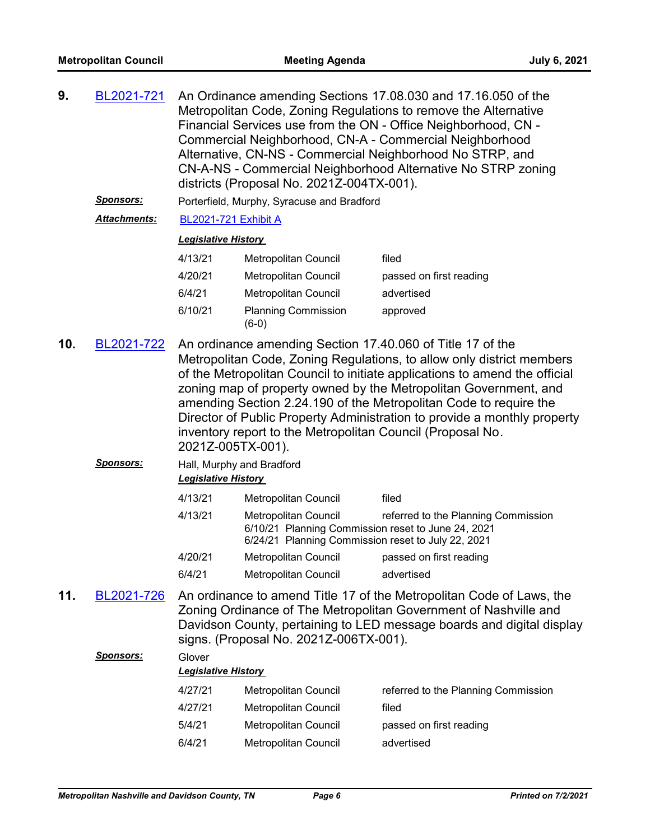| 9.  | BL2021-721                                                                                                                                                                                                                                                                                                                                                                                                                                                                                                                              | An Ordinance amending Sections 17.08.030 and 17.16.050 of the<br>Metropolitan Code, Zoning Regulations to remove the Alternative<br>Financial Services use from the ON - Office Neighborhood, CN -<br>Commercial Neighborhood, CN-A - Commercial Neighborhood<br>Alternative, CN-NS - Commercial Neighborhood No STRP, and<br>CN-A-NS - Commercial Neighborhood Alternative No STRP zoning<br>districts (Proposal No. 2021Z-004TX-001). |                                                                                                                                  |                                     |  |
|-----|-----------------------------------------------------------------------------------------------------------------------------------------------------------------------------------------------------------------------------------------------------------------------------------------------------------------------------------------------------------------------------------------------------------------------------------------------------------------------------------------------------------------------------------------|-----------------------------------------------------------------------------------------------------------------------------------------------------------------------------------------------------------------------------------------------------------------------------------------------------------------------------------------------------------------------------------------------------------------------------------------|----------------------------------------------------------------------------------------------------------------------------------|-------------------------------------|--|
|     | Sponsors:                                                                                                                                                                                                                                                                                                                                                                                                                                                                                                                               |                                                                                                                                                                                                                                                                                                                                                                                                                                         | Porterfield, Murphy, Syracuse and Bradford                                                                                       |                                     |  |
|     | <b>Attachments:</b>                                                                                                                                                                                                                                                                                                                                                                                                                                                                                                                     | BL2021-721 Exhibit A                                                                                                                                                                                                                                                                                                                                                                                                                    |                                                                                                                                  |                                     |  |
|     |                                                                                                                                                                                                                                                                                                                                                                                                                                                                                                                                         | <b>Legislative History</b>                                                                                                                                                                                                                                                                                                                                                                                                              |                                                                                                                                  |                                     |  |
|     |                                                                                                                                                                                                                                                                                                                                                                                                                                                                                                                                         | 4/13/21                                                                                                                                                                                                                                                                                                                                                                                                                                 | Metropolitan Council                                                                                                             | filed                               |  |
|     |                                                                                                                                                                                                                                                                                                                                                                                                                                                                                                                                         | 4/20/21                                                                                                                                                                                                                                                                                                                                                                                                                                 | Metropolitan Council                                                                                                             | passed on first reading             |  |
|     |                                                                                                                                                                                                                                                                                                                                                                                                                                                                                                                                         | 6/4/21                                                                                                                                                                                                                                                                                                                                                                                                                                  | Metropolitan Council                                                                                                             | advertised                          |  |
|     |                                                                                                                                                                                                                                                                                                                                                                                                                                                                                                                                         | 6/10/21                                                                                                                                                                                                                                                                                                                                                                                                                                 | <b>Planning Commission</b><br>$(6-0)$                                                                                            | approved                            |  |
| 10. | An ordinance amending Section 17.40.060 of Title 17 of the<br>BL2021-722<br>Metropolitan Code, Zoning Regulations, to allow only district members<br>of the Metropolitan Council to initiate applications to amend the official<br>zoning map of property owned by the Metropolitan Government, and<br>amending Section 2.24.190 of the Metropolitan Code to require the<br>Director of Public Property Administration to provide a monthly property<br>inventory report to the Metropolitan Council (Proposal No.<br>2021Z-005TX-001). |                                                                                                                                                                                                                                                                                                                                                                                                                                         |                                                                                                                                  |                                     |  |
|     | <u>Sponsors:</u>                                                                                                                                                                                                                                                                                                                                                                                                                                                                                                                        | Hall, Murphy and Bradford<br><b>Legislative History</b>                                                                                                                                                                                                                                                                                                                                                                                 |                                                                                                                                  |                                     |  |
|     |                                                                                                                                                                                                                                                                                                                                                                                                                                                                                                                                         | 4/13/21                                                                                                                                                                                                                                                                                                                                                                                                                                 | Metropolitan Council                                                                                                             | filed                               |  |
|     |                                                                                                                                                                                                                                                                                                                                                                                                                                                                                                                                         | 4/13/21                                                                                                                                                                                                                                                                                                                                                                                                                                 | Metropolitan Council<br>6/10/21 Planning Commission reset to June 24, 2021<br>6/24/21 Planning Commission reset to July 22, 2021 | referred to the Planning Commission |  |
|     |                                                                                                                                                                                                                                                                                                                                                                                                                                                                                                                                         | 4/20/21                                                                                                                                                                                                                                                                                                                                                                                                                                 | Metropolitan Council                                                                                                             | passed on first reading             |  |
|     |                                                                                                                                                                                                                                                                                                                                                                                                                                                                                                                                         | 6/4/21                                                                                                                                                                                                                                                                                                                                                                                                                                  | Metropolitan Council                                                                                                             | advertised                          |  |
| 11. | BL2021-726                                                                                                                                                                                                                                                                                                                                                                                                                                                                                                                              | An ordinance to amend Title 17 of the Metropolitan Code of Laws, the<br>Zoning Ordinance of The Metropolitan Government of Nashville and<br>Davidson County, pertaining to LED message boards and digital display<br>signs. (Proposal No. 2021Z-006TX-001).                                                                                                                                                                             |                                                                                                                                  |                                     |  |

# *Sponsors:* Glover *Legislative History*  4/27/21 Metropolitan Council referred to the Planning Commission 4/27/21 Metropolitan Council filed 5/4/21 Metropolitan Council passed on first reading 6/4/21 Metropolitan Council advertised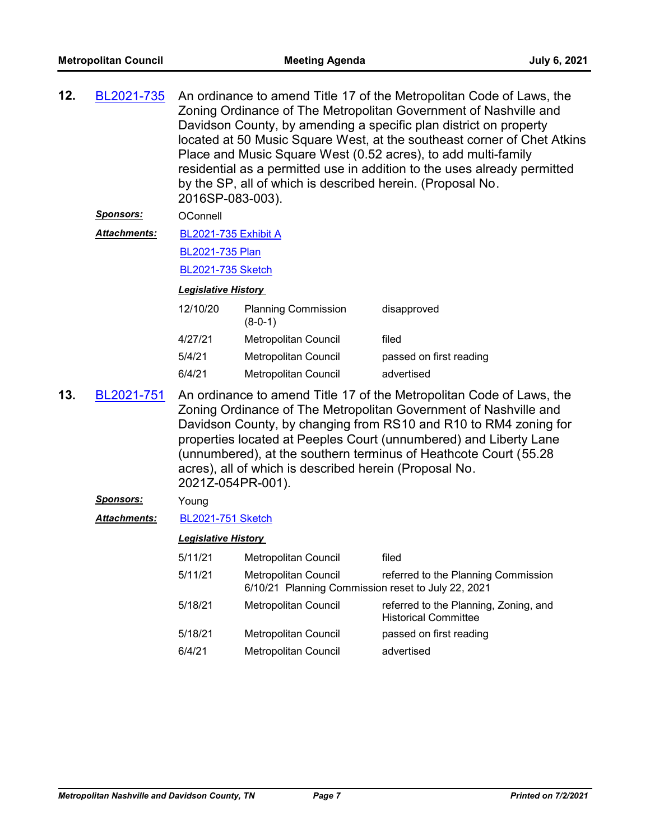| 12.                                                                                                                                                                                                                                                                                                                                                                                                                                                       | BL2021-735          | An ordinance to amend Title 17 of the Metropolitan Code of Laws, the<br>Zoning Ordinance of The Metropolitan Government of Nashville and<br>Davidson County, by amending a specific plan district on property<br>located at 50 Music Square West, at the southeast corner of Chet Atkins<br>Place and Music Square West (0.52 acres), to add multi-family<br>residential as a permitted use in addition to the uses already permitted<br>by the SP, all of which is described herein. (Proposal No.<br>2016SP-083-003). |                                                                            |                                                                      |
|-----------------------------------------------------------------------------------------------------------------------------------------------------------------------------------------------------------------------------------------------------------------------------------------------------------------------------------------------------------------------------------------------------------------------------------------------------------|---------------------|-------------------------------------------------------------------------------------------------------------------------------------------------------------------------------------------------------------------------------------------------------------------------------------------------------------------------------------------------------------------------------------------------------------------------------------------------------------------------------------------------------------------------|----------------------------------------------------------------------------|----------------------------------------------------------------------|
|                                                                                                                                                                                                                                                                                                                                                                                                                                                           | <b>Sponsors:</b>    | OConnell                                                                                                                                                                                                                                                                                                                                                                                                                                                                                                                |                                                                            |                                                                      |
|                                                                                                                                                                                                                                                                                                                                                                                                                                                           | <b>Attachments:</b> | <b>BL2021-735 Exhibit A</b>                                                                                                                                                                                                                                                                                                                                                                                                                                                                                             |                                                                            |                                                                      |
|                                                                                                                                                                                                                                                                                                                                                                                                                                                           |                     | BL2021-735 Plan                                                                                                                                                                                                                                                                                                                                                                                                                                                                                                         |                                                                            |                                                                      |
|                                                                                                                                                                                                                                                                                                                                                                                                                                                           |                     | <b>BL2021-735 Sketch</b>                                                                                                                                                                                                                                                                                                                                                                                                                                                                                                |                                                                            |                                                                      |
|                                                                                                                                                                                                                                                                                                                                                                                                                                                           |                     | <b>Legislative History</b>                                                                                                                                                                                                                                                                                                                                                                                                                                                                                              |                                                                            |                                                                      |
|                                                                                                                                                                                                                                                                                                                                                                                                                                                           |                     | 12/10/20                                                                                                                                                                                                                                                                                                                                                                                                                                                                                                                | <b>Planning Commission</b><br>$(8-0-1)$                                    | disapproved                                                          |
|                                                                                                                                                                                                                                                                                                                                                                                                                                                           |                     | 4/27/21                                                                                                                                                                                                                                                                                                                                                                                                                                                                                                                 | <b>Metropolitan Council</b>                                                | filed                                                                |
|                                                                                                                                                                                                                                                                                                                                                                                                                                                           |                     | 5/4/21                                                                                                                                                                                                                                                                                                                                                                                                                                                                                                                  | Metropolitan Council                                                       | passed on first reading                                              |
|                                                                                                                                                                                                                                                                                                                                                                                                                                                           |                     | 6/4/21                                                                                                                                                                                                                                                                                                                                                                                                                                                                                                                  | Metropolitan Council                                                       | advertised                                                           |
| 13.<br>BL2021-751<br>An ordinance to amend Title 17 of the Metropolitan Code of Laws, the<br>Zoning Ordinance of The Metropolitan Government of Nashville and<br>Davidson County, by changing from RS10 and R10 to RM4 zoning for<br>properties located at Peeples Court (unnumbered) and Liberty Lane<br>(unnumbered), at the southern terminus of Heathcote Court (55.28<br>acres), all of which is described herein (Proposal No.<br>2021Z-054PR-001). |                     |                                                                                                                                                                                                                                                                                                                                                                                                                                                                                                                         |                                                                            |                                                                      |
|                                                                                                                                                                                                                                                                                                                                                                                                                                                           | <u>Sponsors:</u>    | Young                                                                                                                                                                                                                                                                                                                                                                                                                                                                                                                   |                                                                            |                                                                      |
|                                                                                                                                                                                                                                                                                                                                                                                                                                                           | Attachments:        | <b>BL2021-751 Sketch</b>                                                                                                                                                                                                                                                                                                                                                                                                                                                                                                |                                                                            |                                                                      |
|                                                                                                                                                                                                                                                                                                                                                                                                                                                           |                     | <b>Legislative History</b>                                                                                                                                                                                                                                                                                                                                                                                                                                                                                              |                                                                            |                                                                      |
|                                                                                                                                                                                                                                                                                                                                                                                                                                                           |                     | 5/11/21                                                                                                                                                                                                                                                                                                                                                                                                                                                                                                                 | <b>Metropolitan Council</b>                                                | filed                                                                |
|                                                                                                                                                                                                                                                                                                                                                                                                                                                           |                     | 5/11/21                                                                                                                                                                                                                                                                                                                                                                                                                                                                                                                 | Metropolitan Council<br>6/10/21 Planning Commission reset to July 22, 2021 | referred to the Planning Commission                                  |
|                                                                                                                                                                                                                                                                                                                                                                                                                                                           |                     | 5/18/21                                                                                                                                                                                                                                                                                                                                                                                                                                                                                                                 | Metropolitan Council                                                       | referred to the Planning, Zoning, and<br><b>Historical Committee</b> |
|                                                                                                                                                                                                                                                                                                                                                                                                                                                           |                     | 5/18/21                                                                                                                                                                                                                                                                                                                                                                                                                                                                                                                 | Metropolitan Council                                                       | passed on first reading                                              |
|                                                                                                                                                                                                                                                                                                                                                                                                                                                           |                     | 6/4/21                                                                                                                                                                                                                                                                                                                                                                                                                                                                                                                  | Metropolitan Council                                                       | advertised                                                           |
|                                                                                                                                                                                                                                                                                                                                                                                                                                                           |                     |                                                                                                                                                                                                                                                                                                                                                                                                                                                                                                                         |                                                                            |                                                                      |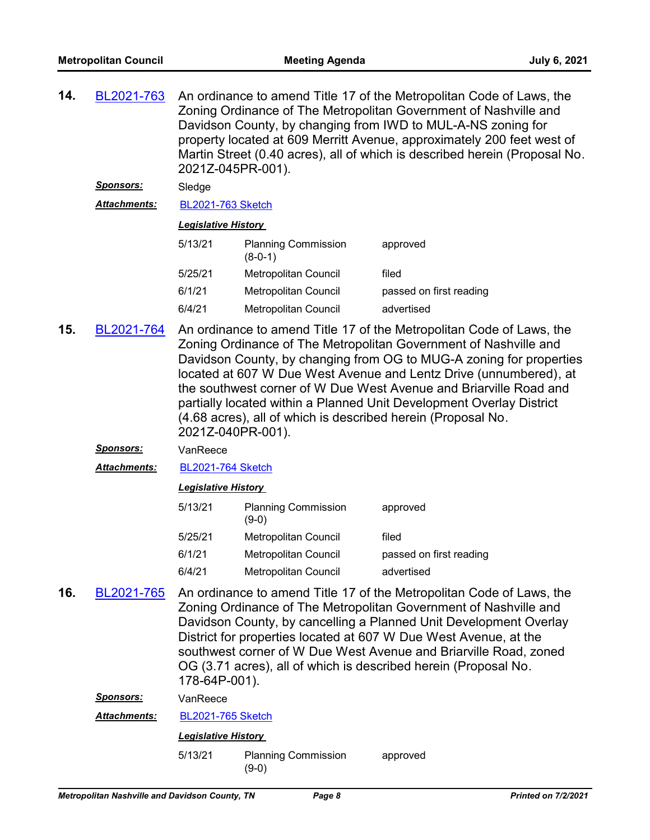An ordinance to amend Title 17 of the Metropolitan Code of Laws, the Zoning Ordinance of The Metropolitan Government of Nashville and Davidson County, by changing from IWD to MUL-A-NS zoning for property located at 609 Merritt Avenue, approximately 200 feet west of Martin Street (0.40 acres), all of which is described herein (Proposal No. 2021Z-045PR-001). **14.** [BL2021-763](http://nashville.legistar.com/gateway.aspx?m=l&id=/matter.aspx?key=2280)

#### *Sponsors:* Sledge

*Attachments:* [BL2021-763 Sketch](http://nashville.legistar.com/gateway.aspx?M=F&ID=e177d155-fbd6-48c9-bab4-de47febaab18.docx)

#### *Legislative History*

| <b>Planning Commission</b><br>$(8-0-1)$ | approved                |
|-----------------------------------------|-------------------------|
| <b>Metropolitan Council</b>             | filed                   |
| Metropolitan Council                    | passed on first reading |
| Metropolitan Council                    | advertised              |
|                                         |                         |

- An ordinance to amend Title 17 of the Metropolitan Code of Laws, the Zoning Ordinance of The Metropolitan Government of Nashville and Davidson County, by changing from OG to MUG-A zoning for properties located at 607 W Due West Avenue and Lentz Drive (unnumbered), at the southwest corner of W Due West Avenue and Briarville Road and partially located within a Planned Unit Development Overlay District (4.68 acres), all of which is described herein (Proposal No. 2021Z-040PR-001). **15.** [BL2021-764](http://nashville.legistar.com/gateway.aspx?m=l&id=/matter.aspx?key=2301)
	- *Sponsors:* VanReece
	- *Attachments:* [BL2021-764 Sketch](http://nashville.legistar.com/gateway.aspx?M=F&ID=4b12775d-38d1-47ef-a31e-03b38f89afcc.docx)

#### *Legislative History*

| <b>Planning Commission</b><br>$(9-0)$ | approved                |
|---------------------------------------|-------------------------|
| Metropolitan Council                  | filed                   |
| <b>Metropolitan Council</b>           | passed on first reading |
| Metropolitan Council                  | advertised              |
|                                       |                         |

An ordinance to amend Title 17 of the Metropolitan Code of Laws, the Zoning Ordinance of The Metropolitan Government of Nashville and Davidson County, by cancelling a Planned Unit Development Overlay District for properties located at 607 W Due West Avenue, at the southwest corner of W Due West Avenue and Briarville Road, zoned OG (3.71 acres), all of which is described herein (Proposal No. 178-64P-001). **16.** [BL2021-765](http://nashville.legistar.com/gateway.aspx?m=l&id=/matter.aspx?key=2300)

*Sponsors:* VanReece

*Attachments:* [BL2021-765 Sketch](http://nashville.legistar.com/gateway.aspx?M=F&ID=eb3d3eec-c9df-4d8c-a3d8-06459f91b91b.docx)

#### *Legislative History*

5/13/21 Planning Commission approved (9-0)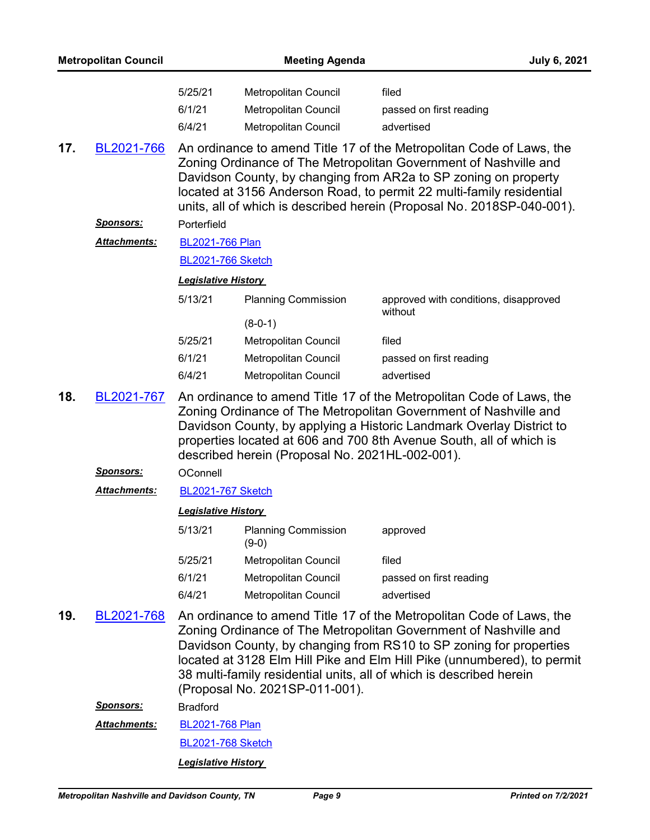|     | <b>Metropolitan Council</b> |                            | <b>Meeting Agenda</b>                           | <b>July 6, 2021</b>                                                                                                                                                                                                                                                                                                                                              |
|-----|-----------------------------|----------------------------|-------------------------------------------------|------------------------------------------------------------------------------------------------------------------------------------------------------------------------------------------------------------------------------------------------------------------------------------------------------------------------------------------------------------------|
|     |                             | 5/25/21                    | Metropolitan Council                            | filed                                                                                                                                                                                                                                                                                                                                                            |
|     |                             | 6/1/21                     | Metropolitan Council                            | passed on first reading                                                                                                                                                                                                                                                                                                                                          |
|     |                             | 6/4/21                     | Metropolitan Council                            | advertised                                                                                                                                                                                                                                                                                                                                                       |
| 17. | BL2021-766                  |                            |                                                 | An ordinance to amend Title 17 of the Metropolitan Code of Laws, the<br>Zoning Ordinance of The Metropolitan Government of Nashville and<br>Davidson County, by changing from AR2a to SP zoning on property<br>located at 3156 Anderson Road, to permit 22 multi-family residential<br>units, all of which is described herein (Proposal No. 2018SP-040-001).    |
|     | <u>Sponsors:</u>            | Porterfield                |                                                 |                                                                                                                                                                                                                                                                                                                                                                  |
|     | Attachments:                | <b>BL2021-766 Plan</b>     |                                                 |                                                                                                                                                                                                                                                                                                                                                                  |
|     |                             | <b>BL2021-766 Sketch</b>   |                                                 |                                                                                                                                                                                                                                                                                                                                                                  |
|     |                             | <b>Legislative History</b> |                                                 |                                                                                                                                                                                                                                                                                                                                                                  |
|     |                             | 5/13/21                    | <b>Planning Commission</b>                      | approved with conditions, disapproved<br>without                                                                                                                                                                                                                                                                                                                 |
|     |                             |                            | $(8-0-1)$                                       |                                                                                                                                                                                                                                                                                                                                                                  |
|     |                             | 5/25/21                    | Metropolitan Council                            | filed                                                                                                                                                                                                                                                                                                                                                            |
|     |                             | 6/1/21                     | Metropolitan Council                            | passed on first reading                                                                                                                                                                                                                                                                                                                                          |
|     |                             | 6/4/21                     | Metropolitan Council                            | advertised                                                                                                                                                                                                                                                                                                                                                       |
| 18. | BL2021-767                  |                            | described herein (Proposal No. 2021HL-002-001). | An ordinance to amend Title 17 of the Metropolitan Code of Laws, the<br>Zoning Ordinance of The Metropolitan Government of Nashville and<br>Davidson County, by applying a Historic Landmark Overlay District to<br>properties located at 606 and 700 8th Avenue South, all of which is                                                                          |
|     | <b>Sponsors:</b>            | OConnell                   |                                                 |                                                                                                                                                                                                                                                                                                                                                                  |
|     | Attachments:                | <b>BL2021-767 Sketch</b>   |                                                 |                                                                                                                                                                                                                                                                                                                                                                  |
|     |                             | <b>Legislative History</b> |                                                 |                                                                                                                                                                                                                                                                                                                                                                  |
|     |                             | 5/13/21                    | <b>Planning Commission</b><br>$(9-0)$           | approved                                                                                                                                                                                                                                                                                                                                                         |
|     |                             | 5/25/21                    | Metropolitan Council                            | filed                                                                                                                                                                                                                                                                                                                                                            |
|     |                             | 6/1/21                     | Metropolitan Council                            | passed on first reading                                                                                                                                                                                                                                                                                                                                          |
|     |                             | 6/4/21                     | Metropolitan Council                            | advertised                                                                                                                                                                                                                                                                                                                                                       |
| 19. | BL2021-768                  |                            | (Proposal No. 2021SP-011-001).                  | An ordinance to amend Title 17 of the Metropolitan Code of Laws, the<br>Zoning Ordinance of The Metropolitan Government of Nashville and<br>Davidson County, by changing from RS10 to SP zoning for properties<br>located at 3128 Elm Hill Pike and Elm Hill Pike (unnumbered), to permit<br>38 multi-family residential units, all of which is described herein |
|     | <u>Sponsors:</u>            | <b>Bradford</b>            |                                                 |                                                                                                                                                                                                                                                                                                                                                                  |
|     | <b>Attachments:</b>         | <b>BL2021-768 Plan</b>     |                                                 |                                                                                                                                                                                                                                                                                                                                                                  |
|     |                             | <b>BL2021-768 Sketch</b>   |                                                 |                                                                                                                                                                                                                                                                                                                                                                  |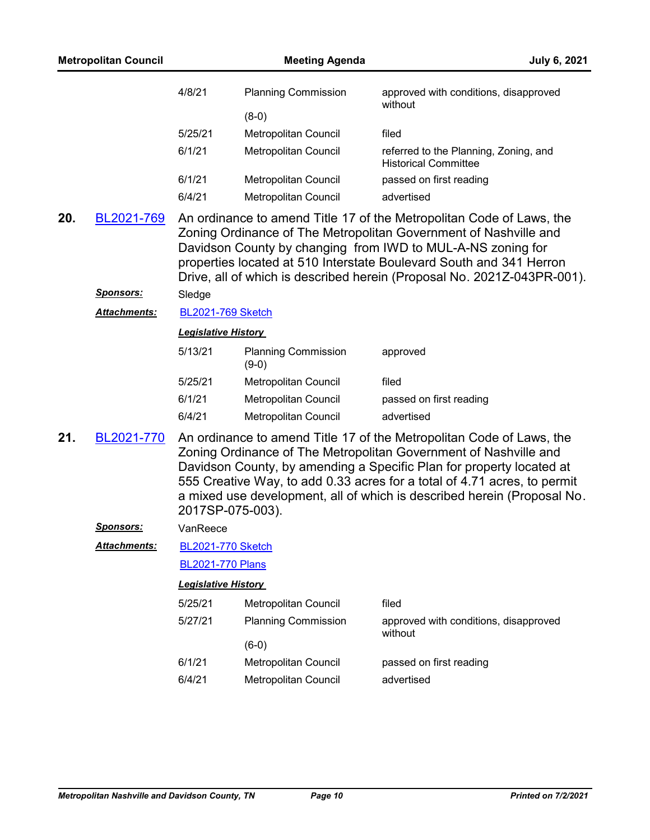|     | <b>Metropolitan Council</b> |                            | <b>Meeting Agenda</b>                 | July 6, 2021                                                                                                                                                                                                                                                                                                                                                            |
|-----|-----------------------------|----------------------------|---------------------------------------|-------------------------------------------------------------------------------------------------------------------------------------------------------------------------------------------------------------------------------------------------------------------------------------------------------------------------------------------------------------------------|
|     |                             | 4/8/21                     | <b>Planning Commission</b><br>$(8-0)$ | approved with conditions, disapproved<br>without                                                                                                                                                                                                                                                                                                                        |
|     |                             | 5/25/21                    | Metropolitan Council                  | filed                                                                                                                                                                                                                                                                                                                                                                   |
|     |                             | 6/1/21                     | Metropolitan Council                  | referred to the Planning, Zoning, and<br><b>Historical Committee</b>                                                                                                                                                                                                                                                                                                    |
|     |                             | 6/1/21                     | <b>Metropolitan Council</b>           | passed on first reading                                                                                                                                                                                                                                                                                                                                                 |
|     |                             | 6/4/21                     | Metropolitan Council                  | advertised                                                                                                                                                                                                                                                                                                                                                              |
| 20. | BL2021-769                  |                            |                                       | An ordinance to amend Title 17 of the Metropolitan Code of Laws, the<br>Zoning Ordinance of The Metropolitan Government of Nashville and<br>Davidson County by changing from IWD to MUL-A-NS zoning for<br>properties located at 510 Interstate Boulevard South and 341 Herron<br>Drive, all of which is described herein (Proposal No. 2021Z-043PR-001).               |
|     | <u>Sponsors:</u>            | Sledge                     |                                       |                                                                                                                                                                                                                                                                                                                                                                         |
|     | Attachments:                | <b>BL2021-769 Sketch</b>   |                                       |                                                                                                                                                                                                                                                                                                                                                                         |
|     |                             | <b>Legislative History</b> |                                       |                                                                                                                                                                                                                                                                                                                                                                         |
|     |                             | 5/13/21                    | <b>Planning Commission</b><br>$(9-0)$ | approved                                                                                                                                                                                                                                                                                                                                                                |
|     |                             | 5/25/21                    | Metropolitan Council                  | filed                                                                                                                                                                                                                                                                                                                                                                   |
|     |                             | 6/1/21                     | Metropolitan Council                  | passed on first reading                                                                                                                                                                                                                                                                                                                                                 |
|     |                             | 6/4/21                     | Metropolitan Council                  | advertised                                                                                                                                                                                                                                                                                                                                                              |
| 21. | BL2021-770                  | 2017SP-075-003).           |                                       | An ordinance to amend Title 17 of the Metropolitan Code of Laws, the<br>Zoning Ordinance of The Metropolitan Government of Nashville and<br>Davidson County, by amending a Specific Plan for property located at<br>555 Creative Way, to add 0.33 acres for a total of 4.71 acres, to permit<br>a mixed use development, all of which is described herein (Proposal No. |
|     | <b>Sponsors:</b>            | VanReece                   |                                       |                                                                                                                                                                                                                                                                                                                                                                         |
|     | Attachments:                | <b>BL2021-770 Sketch</b>   |                                       |                                                                                                                                                                                                                                                                                                                                                                         |
|     |                             | <b>BL2021-770 Plans</b>    |                                       |                                                                                                                                                                                                                                                                                                                                                                         |
|     |                             | <b>Legislative History</b> |                                       |                                                                                                                                                                                                                                                                                                                                                                         |
|     |                             | 5/25/21                    | Metropolitan Council                  | filed                                                                                                                                                                                                                                                                                                                                                                   |
|     |                             | 5/27/21                    | <b>Planning Commission</b>            | approved with conditions, disapproved                                                                                                                                                                                                                                                                                                                                   |
|     |                             |                            | $(6-0)$                               | without                                                                                                                                                                                                                                                                                                                                                                 |
|     |                             | 6/1/21                     | Metropolitan Council                  | passed on first reading                                                                                                                                                                                                                                                                                                                                                 |
|     |                             | 6/4/21                     | Metropolitan Council                  | advertised                                                                                                                                                                                                                                                                                                                                                              |
|     |                             |                            |                                       |                                                                                                                                                                                                                                                                                                                                                                         |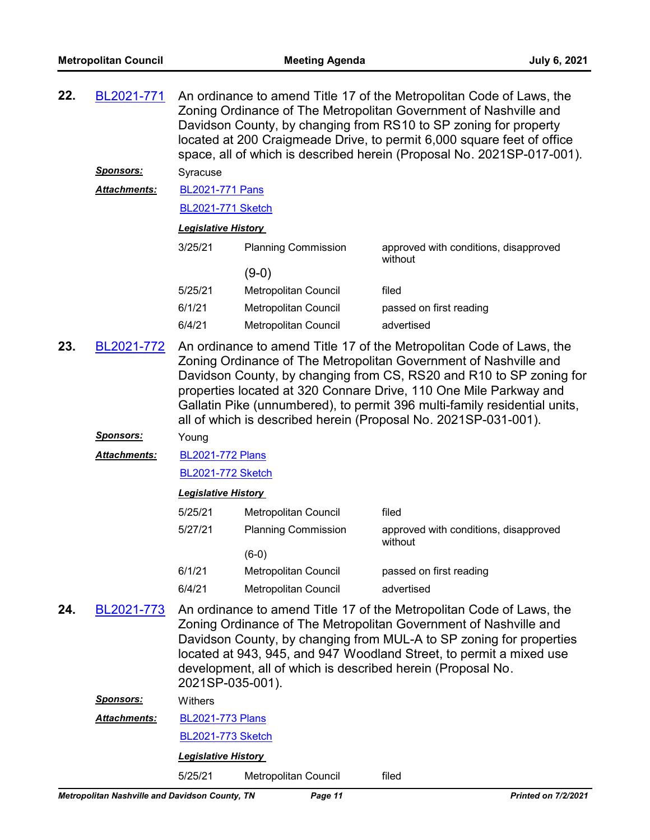| 22. | BL2021-771       | An ordinance to amend Title 17 of the Metropolitan Code of Laws, the<br>Zoning Ordinance of The Metropolitan Government of Nashville and<br>Davidson County, by changing from RS10 to SP zoning for property<br>located at 200 Craigmeade Drive, to permit 6,000 square feet of office<br>space, all of which is described herein (Proposal No. 2021SP-017-001). |                             |                                                                                                                                                                                                                                                                                                                                                                                                                                      |
|-----|------------------|------------------------------------------------------------------------------------------------------------------------------------------------------------------------------------------------------------------------------------------------------------------------------------------------------------------------------------------------------------------|-----------------------------|--------------------------------------------------------------------------------------------------------------------------------------------------------------------------------------------------------------------------------------------------------------------------------------------------------------------------------------------------------------------------------------------------------------------------------------|
|     | <b>Sponsors:</b> | Syracuse                                                                                                                                                                                                                                                                                                                                                         |                             |                                                                                                                                                                                                                                                                                                                                                                                                                                      |
|     | Attachments:     | <b>BL2021-771 Pans</b>                                                                                                                                                                                                                                                                                                                                           |                             |                                                                                                                                                                                                                                                                                                                                                                                                                                      |
|     |                  | <b>BL2021-771 Sketch</b>                                                                                                                                                                                                                                                                                                                                         |                             |                                                                                                                                                                                                                                                                                                                                                                                                                                      |
|     |                  | <b>Legislative History</b>                                                                                                                                                                                                                                                                                                                                       |                             |                                                                                                                                                                                                                                                                                                                                                                                                                                      |
|     |                  | 3/25/21                                                                                                                                                                                                                                                                                                                                                          | <b>Planning Commission</b>  | approved with conditions, disapproved<br>without                                                                                                                                                                                                                                                                                                                                                                                     |
|     |                  |                                                                                                                                                                                                                                                                                                                                                                  | $(9-0)$                     |                                                                                                                                                                                                                                                                                                                                                                                                                                      |
|     |                  | 5/25/21                                                                                                                                                                                                                                                                                                                                                          | Metropolitan Council        | filed                                                                                                                                                                                                                                                                                                                                                                                                                                |
|     |                  | 6/1/21                                                                                                                                                                                                                                                                                                                                                           | Metropolitan Council        | passed on first reading                                                                                                                                                                                                                                                                                                                                                                                                              |
|     |                  | 6/4/21                                                                                                                                                                                                                                                                                                                                                           | <b>Metropolitan Council</b> | advertised                                                                                                                                                                                                                                                                                                                                                                                                                           |
| 23. | BL2021-772       |                                                                                                                                                                                                                                                                                                                                                                  |                             | An ordinance to amend Title 17 of the Metropolitan Code of Laws, the<br>Zoning Ordinance of The Metropolitan Government of Nashville and<br>Davidson County, by changing from CS, RS20 and R10 to SP zoning for<br>properties located at 320 Connare Drive, 110 One Mile Parkway and<br>Gallatin Pike (unnumbered), to permit 396 multi-family residential units,<br>all of which is described herein (Proposal No. 2021SP-031-001). |
|     | <u>Sponsors:</u> | Young                                                                                                                                                                                                                                                                                                                                                            |                             |                                                                                                                                                                                                                                                                                                                                                                                                                                      |
|     | Attachments:     | <b>BL2021-772 Plans</b>                                                                                                                                                                                                                                                                                                                                          |                             |                                                                                                                                                                                                                                                                                                                                                                                                                                      |
|     |                  | <b>BL2021-772 Sketch</b>                                                                                                                                                                                                                                                                                                                                         |                             |                                                                                                                                                                                                                                                                                                                                                                                                                                      |
|     |                  | <b>Legislative History</b>                                                                                                                                                                                                                                                                                                                                       |                             |                                                                                                                                                                                                                                                                                                                                                                                                                                      |
|     |                  | 5/25/21                                                                                                                                                                                                                                                                                                                                                          | Metropolitan Council        | filed                                                                                                                                                                                                                                                                                                                                                                                                                                |
|     |                  | 5/27/21                                                                                                                                                                                                                                                                                                                                                          | <b>Planning Commission</b>  | approved with conditions, disapproved<br>without                                                                                                                                                                                                                                                                                                                                                                                     |
|     |                  |                                                                                                                                                                                                                                                                                                                                                                  | $(6-0)$                     |                                                                                                                                                                                                                                                                                                                                                                                                                                      |
|     |                  | 6/1/21                                                                                                                                                                                                                                                                                                                                                           | Metropolitan Council        | passed on first reading                                                                                                                                                                                                                                                                                                                                                                                                              |
|     |                  | 6/4/21                                                                                                                                                                                                                                                                                                                                                           | <b>Metropolitan Council</b> | advertised                                                                                                                                                                                                                                                                                                                                                                                                                           |
| 24. | BL2021-773       | 2021SP-035-001).                                                                                                                                                                                                                                                                                                                                                 |                             | An ordinance to amend Title 17 of the Metropolitan Code of Laws, the<br>Zoning Ordinance of The Metropolitan Government of Nashville and<br>Davidson County, by changing from MUL-A to SP zoning for properties<br>located at 943, 945, and 947 Woodland Street, to permit a mixed use<br>development, all of which is described herein (Proposal No.                                                                                |
|     | <u>Sponsors:</u> | Withers                                                                                                                                                                                                                                                                                                                                                          |                             |                                                                                                                                                                                                                                                                                                                                                                                                                                      |
|     | Attachments:     | <b>BL2021-773 Plans</b>                                                                                                                                                                                                                                                                                                                                          |                             |                                                                                                                                                                                                                                                                                                                                                                                                                                      |
|     |                  |                                                                                                                                                                                                                                                                                                                                                                  |                             |                                                                                                                                                                                                                                                                                                                                                                                                                                      |

[BL2021-773 Sketch](http://nashville.legistar.com/gateway.aspx?M=F&ID=ce7a69fd-2ccb-4691-9332-12ff9ae39111.docx)

*Legislative History* 

5/25/21 Metropolitan Council filed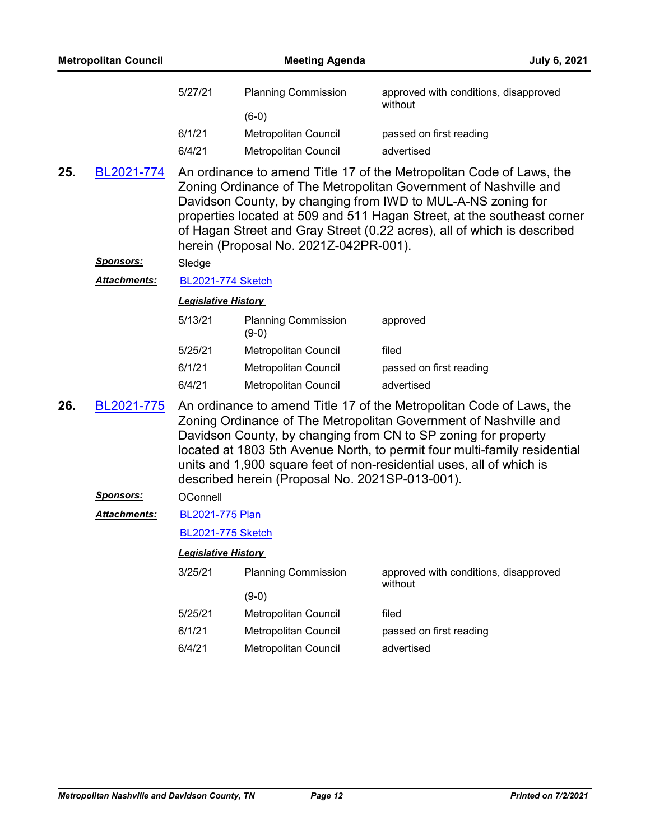| 5/27/21<br><b>Planning Commission</b><br>approved with conditions, disapproved<br>without<br>$(6-0)$<br>6/1/21<br>Metropolitan Council<br>passed on first reading                                                                                                                                                                                                                                                                       |  |
|-----------------------------------------------------------------------------------------------------------------------------------------------------------------------------------------------------------------------------------------------------------------------------------------------------------------------------------------------------------------------------------------------------------------------------------------|--|
|                                                                                                                                                                                                                                                                                                                                                                                                                                         |  |
| 6/4/21<br>Metropolitan Council<br>advertised                                                                                                                                                                                                                                                                                                                                                                                            |  |
| 25.<br>An ordinance to amend Title 17 of the Metropolitan Code of Laws, the<br>BL2021-774<br>Zoning Ordinance of The Metropolitan Government of Nashville and<br>Davidson County, by changing from IWD to MUL-A-NS zoning for<br>properties located at 509 and 511 Hagan Street, at the southeast corner<br>of Hagan Street and Gray Street (0.22 acres), all of which is described<br>herein (Proposal No. 2021Z-042PR-001).           |  |
| <u>Sponsors:</u><br>Sledge                                                                                                                                                                                                                                                                                                                                                                                                              |  |
| Attachments:<br><b>BL2021-774 Sketch</b>                                                                                                                                                                                                                                                                                                                                                                                                |  |
| <b>Legislative History</b>                                                                                                                                                                                                                                                                                                                                                                                                              |  |
| 5/13/21<br><b>Planning Commission</b><br>approved<br>$(9-0)$                                                                                                                                                                                                                                                                                                                                                                            |  |
| 5/25/21<br>Metropolitan Council<br>filed                                                                                                                                                                                                                                                                                                                                                                                                |  |
| 6/1/21<br>Metropolitan Council<br>passed on first reading                                                                                                                                                                                                                                                                                                                                                                               |  |
| 6/4/21<br>advertised<br>Metropolitan Council                                                                                                                                                                                                                                                                                                                                                                                            |  |
| 26.<br>BL2021-775<br>An ordinance to amend Title 17 of the Metropolitan Code of Laws, the<br>Zoning Ordinance of The Metropolitan Government of Nashville and<br>Davidson County, by changing from CN to SP zoning for property<br>located at 1803 5th Avenue North, to permit four multi-family residential<br>units and 1,900 square feet of non-residential uses, all of which is<br>described herein (Proposal No. 2021SP-013-001). |  |
| <u>Sponsors:</u><br>OConnell                                                                                                                                                                                                                                                                                                                                                                                                            |  |
| <b>Attachments:</b><br><b>BL2021-775 Plan</b>                                                                                                                                                                                                                                                                                                                                                                                           |  |
| <b>BL2021-775 Sketch</b>                                                                                                                                                                                                                                                                                                                                                                                                                |  |
| <b>Legislative History</b>                                                                                                                                                                                                                                                                                                                                                                                                              |  |
| 3/25/21<br><b>Planning Commission</b><br>approved with conditions, disapproved<br>without                                                                                                                                                                                                                                                                                                                                               |  |
| $(9-0)$                                                                                                                                                                                                                                                                                                                                                                                                                                 |  |
| 5/25/21<br>Metropolitan Council<br>filed                                                                                                                                                                                                                                                                                                                                                                                                |  |
| 6/1/21<br>Metropolitan Council<br>passed on first reading                                                                                                                                                                                                                                                                                                                                                                               |  |
| 6/4/21<br>Metropolitan Council<br>advertised                                                                                                                                                                                                                                                                                                                                                                                            |  |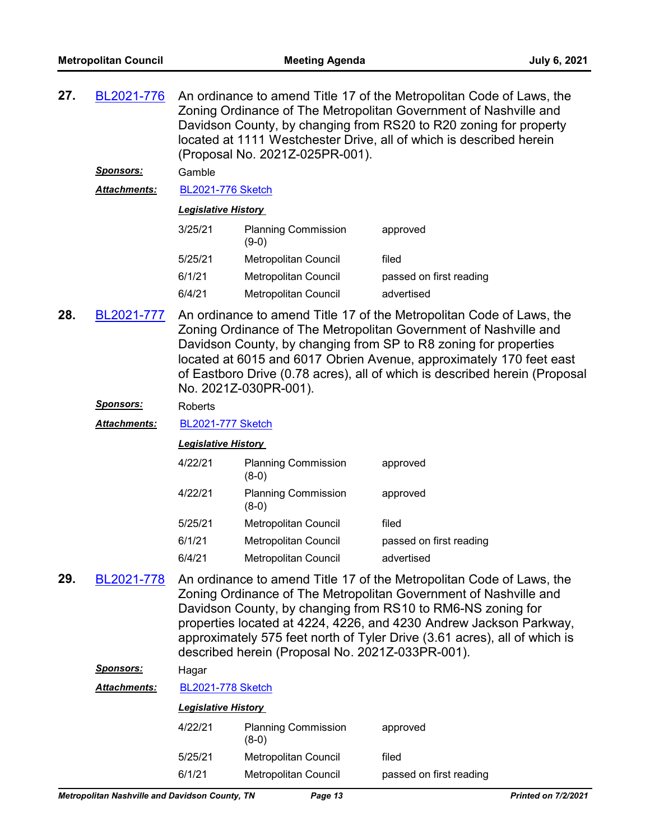| 27. | BL2021-776          | An ordinance to amend Title 17 of the Metropolitan Code of Laws, the<br>Zoning Ordinance of The Metropolitan Government of Nashville and<br>Davidson County, by changing from RS20 to R20 zoning for property<br>located at 1111 Westchester Drive, all of which is described herein<br>(Proposal No. 2021Z-025PR-001). |                                       |                         |  |
|-----|---------------------|-------------------------------------------------------------------------------------------------------------------------------------------------------------------------------------------------------------------------------------------------------------------------------------------------------------------------|---------------------------------------|-------------------------|--|
|     | <b>Sponsors:</b>    | Gamble                                                                                                                                                                                                                                                                                                                  |                                       |                         |  |
|     | <b>Attachments:</b> | <b>BL2021-776 Sketch</b>                                                                                                                                                                                                                                                                                                |                                       |                         |  |
|     |                     | <b>Legislative History</b>                                                                                                                                                                                                                                                                                              |                                       |                         |  |
|     |                     | 3/25/21                                                                                                                                                                                                                                                                                                                 | <b>Planning Commission</b><br>$(9-0)$ | approved                |  |
|     |                     | 5/25/21                                                                                                                                                                                                                                                                                                                 | Metropolitan Council                  | filed                   |  |
|     |                     | 6/1/21                                                                                                                                                                                                                                                                                                                  | Metropolitan Council                  | passed on first reading |  |
|     |                     | 6/4/21                                                                                                                                                                                                                                                                                                                  | <b>Metropolitan Council</b>           | advertised              |  |

An ordinance to amend Title 17 of the Metropolitan Code of Laws, the Zoning Ordinance of The Metropolitan Government of Nashville and Davidson County, by changing from SP to R8 zoning for properties located at 6015 and 6017 Obrien Avenue, approximately 170 feet east of Eastboro Drive (0.78 acres), all of which is described herein (Proposal No. 2021Z-030PR-001). **28.** [BL2021-777](http://nashville.legistar.com/gateway.aspx?m=l&id=/matter.aspx?key=2298)

#### *Sponsors:* Roberts

*Attachments:* [BL2021-777 Sketch](http://nashville.legistar.com/gateway.aspx?M=F&ID=5b4291d4-a353-4f97-a3c1-8a7501ca367d.docx)

#### *Legislative History*

| 4/22/21 | <b>Planning Commission</b><br>$(8-0)$ | approved                |
|---------|---------------------------------------|-------------------------|
| 4/22/21 | <b>Planning Commission</b><br>$(8-0)$ | approved                |
| 5/25/21 | <b>Metropolitan Council</b>           | filed                   |
| 6/1/21  | <b>Metropolitan Council</b>           | passed on first reading |
| 6/4/21  | Metropolitan Council                  | advertised              |

An ordinance to amend Title 17 of the Metropolitan Code of Laws, the Zoning Ordinance of The Metropolitan Government of Nashville and Davidson County, by changing from RS10 to RM6-NS zoning for properties located at 4224, 4226, and 4230 Andrew Jackson Parkway, approximately 575 feet north of Tyler Drive (3.61 acres), all of which is described herein (Proposal No. 2021Z-033PR-001). **29.** [BL2021-778](http://nashville.legistar.com/gateway.aspx?m=l&id=/matter.aspx?key=2297)

#### *Sponsors:* Hagar

| Attachments: |                            | <b>BL2021-778 Sketch</b>              |                         |  |  |
|--------------|----------------------------|---------------------------------------|-------------------------|--|--|
|              | <b>Legislative History</b> |                                       |                         |  |  |
|              | 4/22/21                    | <b>Planning Commission</b><br>$(8-0)$ | approved                |  |  |
|              | 5/25/21                    | Metropolitan Council                  | filed                   |  |  |
|              | 6/1/21                     | <b>Metropolitan Council</b>           | passed on first reading |  |  |
|              |                            |                                       |                         |  |  |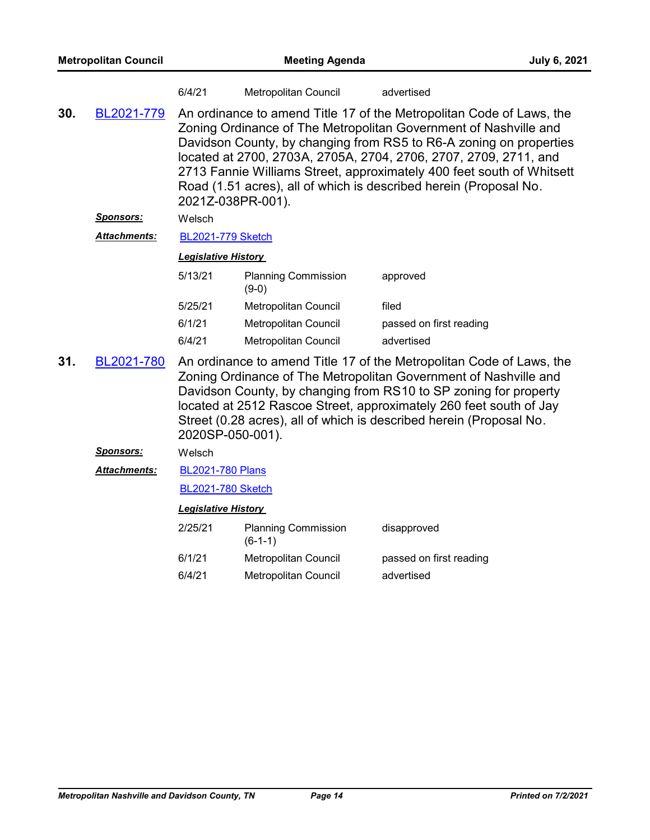|     |                         | 6/4/21                      | Metropolitan Council                    | advertised                                                                                                                                                                                                                                                                                                                                                                                                                       |
|-----|-------------------------|-----------------------------|-----------------------------------------|----------------------------------------------------------------------------------------------------------------------------------------------------------------------------------------------------------------------------------------------------------------------------------------------------------------------------------------------------------------------------------------------------------------------------------|
| 30. | BL2021-779<br>Sponsors: | 2021Z-038PR-001).<br>Welsch |                                         | An ordinance to amend Title 17 of the Metropolitan Code of Laws, the<br>Zoning Ordinance of The Metropolitan Government of Nashville and<br>Davidson County, by changing from RS5 to R6-A zoning on properties<br>located at 2700, 2703A, 2705A, 2704, 2706, 2707, 2709, 2711, and<br>2713 Fannie Williams Street, approximately 400 feet south of Whitsett<br>Road (1.51 acres), all of which is described herein (Proposal No. |
|     | Attachments:            | <b>BL2021-779 Sketch</b>    |                                         |                                                                                                                                                                                                                                                                                                                                                                                                                                  |
|     |                         | <b>Legislative History</b>  |                                         |                                                                                                                                                                                                                                                                                                                                                                                                                                  |
|     |                         | 5/13/21                     | <b>Planning Commission</b><br>$(9-0)$   | approved                                                                                                                                                                                                                                                                                                                                                                                                                         |
|     |                         | 5/25/21                     | Metropolitan Council                    | filed                                                                                                                                                                                                                                                                                                                                                                                                                            |
|     |                         | 6/1/21                      | Metropolitan Council                    | passed on first reading                                                                                                                                                                                                                                                                                                                                                                                                          |
|     |                         | 6/4/21                      | Metropolitan Council                    | advertised                                                                                                                                                                                                                                                                                                                                                                                                                       |
| 31. | BL2021-780              | 2020SP-050-001).            |                                         | An ordinance to amend Title 17 of the Metropolitan Code of Laws, the<br>Zoning Ordinance of The Metropolitan Government of Nashville and<br>Davidson County, by changing from RS10 to SP zoning for property<br>located at 2512 Rascoe Street, approximately 260 feet south of Jay<br>Street (0.28 acres), all of which is described herein (Proposal No.                                                                        |
|     | Sponsors:               | Welsch                      |                                         |                                                                                                                                                                                                                                                                                                                                                                                                                                  |
|     | Attachments:            | <b>BL2021-780 Plans</b>     |                                         |                                                                                                                                                                                                                                                                                                                                                                                                                                  |
|     |                         | <b>BL2021-780 Sketch</b>    |                                         |                                                                                                                                                                                                                                                                                                                                                                                                                                  |
|     |                         | <b>Legislative History</b>  |                                         |                                                                                                                                                                                                                                                                                                                                                                                                                                  |
|     |                         | 2/25/21                     | <b>Planning Commission</b><br>$(6-1-1)$ | disapproved                                                                                                                                                                                                                                                                                                                                                                                                                      |
|     |                         | 6/1/21                      | Metropolitan Council                    | passed on first reading                                                                                                                                                                                                                                                                                                                                                                                                          |
|     |                         | 6/4/21                      | Metropolitan Council                    | advertised                                                                                                                                                                                                                                                                                                                                                                                                                       |
|     |                         |                             |                                         |                                                                                                                                                                                                                                                                                                                                                                                                                                  |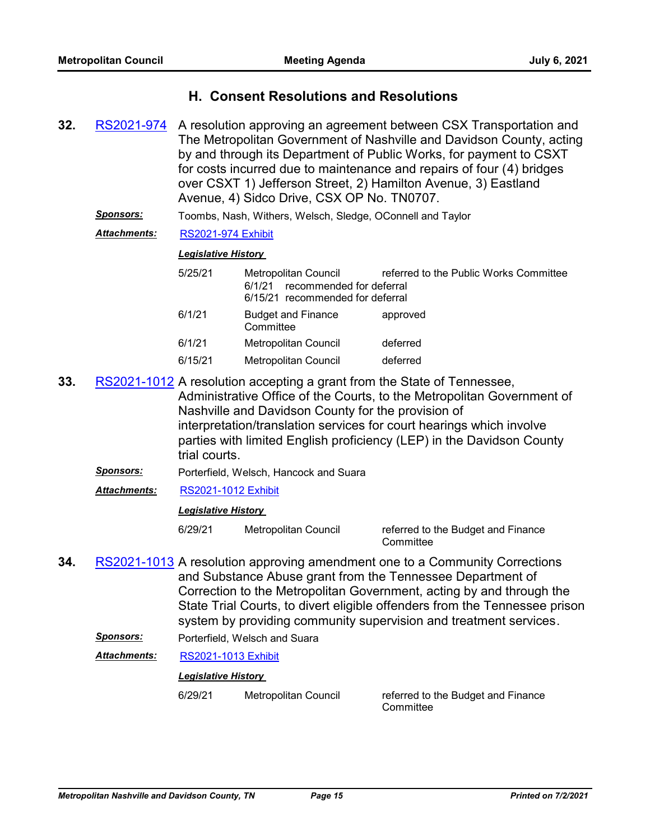## **H. Consent Resolutions and Resolutions**

- A resolution approving an agreement between CSX Transportation and The Metropolitan Government of Nashville and Davidson County, acting by and through its Department of Public Works, for payment to CSXT for costs incurred due to maintenance and repairs of four (4) bridges over CSXT 1) Jefferson Street, 2) Hamilton Avenue, 3) Eastland Avenue, 4) Sidco Drive, CSX OP No. TN0707. **32.** [RS2021-974](http://nashville.legistar.com/gateway.aspx?m=l&id=/matter.aspx?key=2283)
	- *Sponsors:* Toombs, Nash, Withers, Welsch, Sledge, OConnell and Taylor

*Attachments:* [RS2021-974 Exhibit](http://nashville.legistar.com/gateway.aspx?M=F&ID=62c77320-3b96-468c-a6bf-8d00616e87f8.pdf)

#### *Legislative History*

| 5/25/21 | Metropolitan Council<br>recommended for deferral<br>6/1/21<br>6/15/21 recommended for deferral | referred to the Public Works Committee |
|---------|------------------------------------------------------------------------------------------------|----------------------------------------|
| 6/1/21  | <b>Budget and Finance</b><br>Committee                                                         | approved                               |
| 6/1/21  | Metropolitan Council                                                                           | deferred                               |
| 6/15/21 | <b>Metropolitan Council</b>                                                                    | deferred                               |

- **33.** [RS2021-1012](http://nashville.legistar.com/gateway.aspx?m=l&id=/matter.aspx?key=13324) A resolution accepting a grant from the State of Tennessee, Administrative Office of the Courts, to the Metropolitan Government of Nashville and Davidson County for the provision of interpretation/translation services for court hearings which involve parties with limited English proficiency (LEP) in the Davidson County trial courts.
	- *Sponsors:* Porterfield, Welsch, Hancock and Suara
	- *Attachments:* [RS2021-1012 Exhibit](http://nashville.legistar.com/gateway.aspx?M=F&ID=0ff00a34-0ce8-4b31-af90-3e9aebc0b00b.pdf)

#### *Legislative History*

6/29/21 Metropolitan Council referred to the Budget and Finance **Committee** 

- **34.** [RS2021-1013](http://nashville.legistar.com/gateway.aspx?m=l&id=/matter.aspx?key=13329) A resolution approving amendment one to a Community Corrections and Substance Abuse grant from the Tennessee Department of Correction to the Metropolitan Government, acting by and through the State Trial Courts, to divert eligible offenders from the Tennessee prison system by providing community supervision and treatment services.
	- *Sponsors:* Porterfield, Welsch and Suara
	- *Attachments:* [RS2021-1013 Exhibit](http://nashville.legistar.com/gateway.aspx?M=F&ID=81e9d733-7cf3-45ad-9229-bfa85e03dcb7.pdf)

#### *Legislative History*

6/29/21 Metropolitan Council referred to the Budget and Finance **Committee**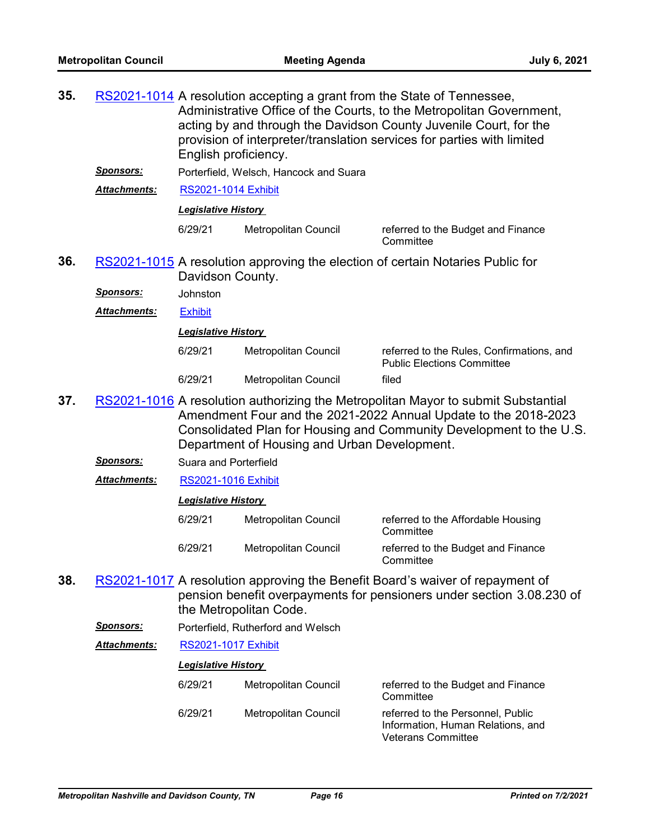| 35. |                     | RS2021-1014 A resolution accepting a grant from the State of Tennessee,<br>Administrative Office of the Courts, to the Metropolitan Government,<br>acting by and through the Davidson County Juvenile Court, for the<br>provision of interpreter/translation services for parties with limited<br>English proficiency. |                                              |                                                                                                                                                                                                                             |
|-----|---------------------|------------------------------------------------------------------------------------------------------------------------------------------------------------------------------------------------------------------------------------------------------------------------------------------------------------------------|----------------------------------------------|-----------------------------------------------------------------------------------------------------------------------------------------------------------------------------------------------------------------------------|
|     | <u>Sponsors:</u>    |                                                                                                                                                                                                                                                                                                                        | Porterfield, Welsch, Hancock and Suara       |                                                                                                                                                                                                                             |
|     | Attachments:        | <b>RS2021-1014 Exhibit</b>                                                                                                                                                                                                                                                                                             |                                              |                                                                                                                                                                                                                             |
|     |                     | <b>Legislative History</b>                                                                                                                                                                                                                                                                                             |                                              |                                                                                                                                                                                                                             |
|     |                     | 6/29/21                                                                                                                                                                                                                                                                                                                | Metropolitan Council                         | referred to the Budget and Finance<br>Committee                                                                                                                                                                             |
| 36. |                     | Davidson County.                                                                                                                                                                                                                                                                                                       |                                              | RS2021-1015 A resolution approving the election of certain Notaries Public for                                                                                                                                              |
|     | <u>Sponsors:</u>    | Johnston                                                                                                                                                                                                                                                                                                               |                                              |                                                                                                                                                                                                                             |
|     | <b>Attachments:</b> | <b>Exhibit</b>                                                                                                                                                                                                                                                                                                         |                                              |                                                                                                                                                                                                                             |
|     |                     | <b>Legislative History</b>                                                                                                                                                                                                                                                                                             |                                              |                                                                                                                                                                                                                             |
|     |                     | 6/29/21                                                                                                                                                                                                                                                                                                                | <b>Metropolitan Council</b>                  | referred to the Rules, Confirmations, and<br><b>Public Elections Committee</b>                                                                                                                                              |
|     |                     | 6/29/21                                                                                                                                                                                                                                                                                                                | Metropolitan Council                         | filed                                                                                                                                                                                                                       |
| 37. |                     |                                                                                                                                                                                                                                                                                                                        | Department of Housing and Urban Development. | RS2021-1016 A resolution authorizing the Metropolitan Mayor to submit Substantial<br>Amendment Four and the 2021-2022 Annual Update to the 2018-2023<br>Consolidated Plan for Housing and Community Development to the U.S. |
|     | <u>Sponsors:</u>    | Suara and Porterfield                                                                                                                                                                                                                                                                                                  |                                              |                                                                                                                                                                                                                             |
|     | Attachments:        | <b>RS2021-1016 Exhibit</b>                                                                                                                                                                                                                                                                                             |                                              |                                                                                                                                                                                                                             |
|     |                     | <b>Legislative History</b>                                                                                                                                                                                                                                                                                             |                                              |                                                                                                                                                                                                                             |
|     |                     | 6/29/21                                                                                                                                                                                                                                                                                                                | Metropolitan Council                         | referred to the Affordable Housing<br>Committee                                                                                                                                                                             |
|     |                     | 6/29/21                                                                                                                                                                                                                                                                                                                | Metropolitan Council                         | referred to the Budget and Finance<br>Committee                                                                                                                                                                             |
| 38. |                     |                                                                                                                                                                                                                                                                                                                        | the Metropolitan Code.                       | RS2021-1017 A resolution approving the Benefit Board's waiver of repayment of<br>pension benefit overpayments for pensioners under section 3.08.230 of                                                                      |
|     | <u>Sponsors:</u>    |                                                                                                                                                                                                                                                                                                                        | Porterfield, Rutherford and Welsch           |                                                                                                                                                                                                                             |
|     | <b>Attachments:</b> | <b>RS2021-1017 Exhibit</b>                                                                                                                                                                                                                                                                                             |                                              |                                                                                                                                                                                                                             |
|     |                     | <b>Legislative History</b>                                                                                                                                                                                                                                                                                             |                                              |                                                                                                                                                                                                                             |
|     |                     | 6/29/21                                                                                                                                                                                                                                                                                                                | Metropolitan Council                         | referred to the Budget and Finance<br>Committee                                                                                                                                                                             |
|     |                     | 6/29/21                                                                                                                                                                                                                                                                                                                | Metropolitan Council                         | referred to the Personnel, Public<br>Information, Human Relations, and<br><b>Veterans Committee</b>                                                                                                                         |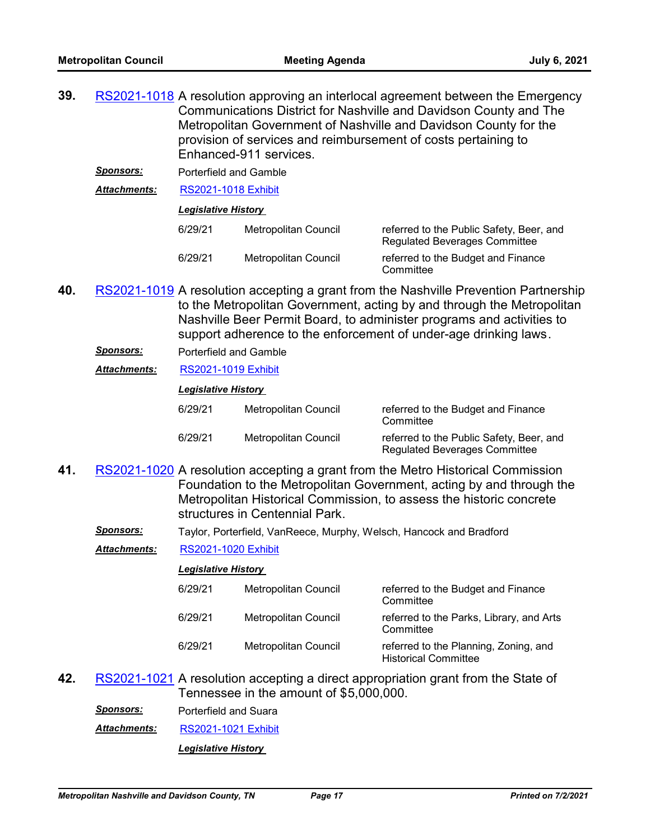| 39. |                    | RS2021-1018 A resolution approving an interlocal agreement between the Emergency |
|-----|--------------------|----------------------------------------------------------------------------------|
|     |                    | Communications District for Nashville and Davidson County and The                |
|     |                    | Metropolitan Government of Nashville and Davidson County for the                 |
|     |                    | provision of services and reimbursement of costs pertaining to                   |
|     |                    | Enhanced-911 services.                                                           |
|     | $C$ <i>nonooro</i> | .                                                                                |

*Sponsors:* Porterfield and Gamble

*Attachments:* [RS2021-1018 Exhibit](http://nashville.legistar.com/gateway.aspx?M=F&ID=e235f859-fb7f-494c-8c70-9c9dbd074fd9.pdf)

*Legislative History* 

| 6/29/21 | Metropolitan Council | referred to the Public Safety, Beer, and<br><b>Regulated Beverages Committee</b> |
|---------|----------------------|----------------------------------------------------------------------------------|
| 6/29/21 | Metropolitan Council | referred to the Budget and Finance<br>Committee                                  |

- 40. [RS2021-1019](http://nashville.legistar.com/gateway.aspx?m=l&id=/matter.aspx?key=13325) A resolution accepting a grant from the Nashville Prevention Partnership to the Metropolitan Government, acting by and through the Metropolitan Nashville Beer Permit Board, to administer programs and activities to support adherence to the enforcement of under-age drinking laws.
	- *Sponsors:* Porterfield and Gamble
	- *Attachments:* [RS2021-1019 Exhibit](http://nashville.legistar.com/gateway.aspx?M=F&ID=2036a09a-ce6a-4495-869c-7c1795230003.pdf)

*Legislative History* 

| 6/29/21 | Metropolitan Council | referred to the Budget and Finance<br>Committee                                  |
|---------|----------------------|----------------------------------------------------------------------------------|
| 6/29/21 | Metropolitan Council | referred to the Public Safety, Beer, and<br><b>Regulated Beverages Committee</b> |

- 41. [RS2021-1020](http://nashville.legistar.com/gateway.aspx?m=l&id=/matter.aspx?key=2410) A resolution accepting a grant from the Metro Historical Commission Foundation to the Metropolitan Government, acting by and through the Metropolitan Historical Commission, to assess the historic concrete structures in Centennial Park.
	- *Sponsors:* Taylor, Porterfield, VanReece, Murphy, Welsch, Hancock and Bradford

*Attachments:* [RS2021-1020 Exhibit](http://nashville.legistar.com/gateway.aspx?M=F&ID=c06ec530-4510-45ab-8b5e-50ed77f3cc0a.pdf)

#### *Legislative History*

| 6/29/21 | Metropolitan Council | referred to the Budget and Finance<br>Committee                      |
|---------|----------------------|----------------------------------------------------------------------|
| 6/29/21 | Metropolitan Council | referred to the Parks, Library, and Arts<br>Committee                |
| 6/29/21 | Metropolitan Council | referred to the Planning, Zoning, and<br><b>Historical Committee</b> |

**42.** [RS2021-1021](http://nashville.legistar.com/gateway.aspx?m=l&id=/matter.aspx?key=13339) A resolution accepting a direct appropriation grant from the State of Tennessee in the amount of \$5,000,000.

*Sponsors:* Porterfield and Suara *Attachments:* [RS2021-1021 Exhibit](http://nashville.legistar.com/gateway.aspx?M=F&ID=81fbc10f-8d35-4d21-90aa-5d95c2712072.pdf) *Legislative History*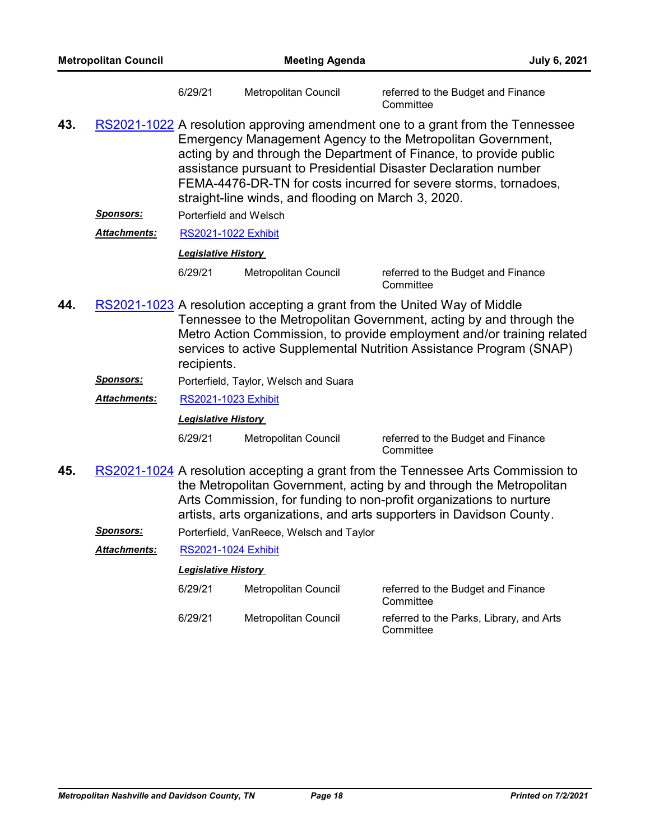|                                                                                                                                                                                                                                                                                                                        | <b>Metropolitan Council</b> |                                                          | <b>Meeting Agenda</b>                               |                                                                                                                                                                                                                                                                                                                                                            | July 6, 2021 |
|------------------------------------------------------------------------------------------------------------------------------------------------------------------------------------------------------------------------------------------------------------------------------------------------------------------------|-----------------------------|----------------------------------------------------------|-----------------------------------------------------|------------------------------------------------------------------------------------------------------------------------------------------------------------------------------------------------------------------------------------------------------------------------------------------------------------------------------------------------------------|--------------|
|                                                                                                                                                                                                                                                                                                                        |                             | 6/29/21                                                  | Metropolitan Council                                | referred to the Budget and Finance<br>Committee                                                                                                                                                                                                                                                                                                            |              |
| 43.                                                                                                                                                                                                                                                                                                                    |                             |                                                          | straight-line winds, and flooding on March 3, 2020. | RS2021-1022 A resolution approving amendment one to a grant from the Tennessee<br>Emergency Management Agency to the Metropolitan Government,<br>acting by and through the Department of Finance, to provide public<br>assistance pursuant to Presidential Disaster Declaration number<br>FEMA-4476-DR-TN for costs incurred for severe storms, tornadoes, |              |
|                                                                                                                                                                                                                                                                                                                        | <u>Sponsors:</u>            | Porterfield and Welsch                                   |                                                     |                                                                                                                                                                                                                                                                                                                                                            |              |
|                                                                                                                                                                                                                                                                                                                        | Attachments:                | <b>RS2021-1022 Exhibit</b>                               |                                                     |                                                                                                                                                                                                                                                                                                                                                            |              |
|                                                                                                                                                                                                                                                                                                                        |                             | <b>Legislative History</b>                               |                                                     |                                                                                                                                                                                                                                                                                                                                                            |              |
|                                                                                                                                                                                                                                                                                                                        |                             | 6/29/21                                                  | Metropolitan Council                                | referred to the Budget and Finance<br>Committee                                                                                                                                                                                                                                                                                                            |              |
| RS2021-1023 A resolution accepting a grant from the United Way of Middle<br>44.<br>Tennessee to the Metropolitan Government, acting by and through the<br>Metro Action Commission, to provide employment and/or training related<br>services to active Supplemental Nutrition Assistance Program (SNAP)<br>recipients. |                             |                                                          |                                                     |                                                                                                                                                                                                                                                                                                                                                            |              |
|                                                                                                                                                                                                                                                                                                                        | <u> Sponsors:</u>           |                                                          | Porterfield, Taylor, Welsch and Suara               |                                                                                                                                                                                                                                                                                                                                                            |              |
|                                                                                                                                                                                                                                                                                                                        | Attachments:                | <b>RS2021-1023 Exhibit</b>                               |                                                     |                                                                                                                                                                                                                                                                                                                                                            |              |
|                                                                                                                                                                                                                                                                                                                        |                             | <b>Legislative History</b>                               |                                                     |                                                                                                                                                                                                                                                                                                                                                            |              |
|                                                                                                                                                                                                                                                                                                                        |                             | 6/29/21                                                  | Metropolitan Council                                | referred to the Budget and Finance<br>Committee                                                                                                                                                                                                                                                                                                            |              |
| 45.<br>RS2021-1024 A resolution accepting a grant from the Tennessee Arts Commission to<br>the Metropolitan Government, acting by and through the Metropolitan<br>Arts Commission, for funding to non-profit organizations to nurture<br>artists, arts organizations, and arts supporters in Davidson County.          |                             |                                                          |                                                     |                                                                                                                                                                                                                                                                                                                                                            |              |
|                                                                                                                                                                                                                                                                                                                        | <u>Sponsors:</u>            |                                                          | Porterfield, VanReece, Welsch and Taylor            |                                                                                                                                                                                                                                                                                                                                                            |              |
|                                                                                                                                                                                                                                                                                                                        | Attachments:                | <b>RS2021-1024 Exhibit</b><br><b>Legislative History</b> |                                                     |                                                                                                                                                                                                                                                                                                                                                            |              |
|                                                                                                                                                                                                                                                                                                                        |                             |                                                          |                                                     |                                                                                                                                                                                                                                                                                                                                                            |              |
|                                                                                                                                                                                                                                                                                                                        |                             | 6/29/21                                                  | Metropolitan Council                                | referred to the Budget and Finance<br>Committee                                                                                                                                                                                                                                                                                                            |              |
|                                                                                                                                                                                                                                                                                                                        |                             | 6/29/21                                                  | Metropolitan Council                                | referred to the Parks, Library, and Arts<br>Committee                                                                                                                                                                                                                                                                                                      |              |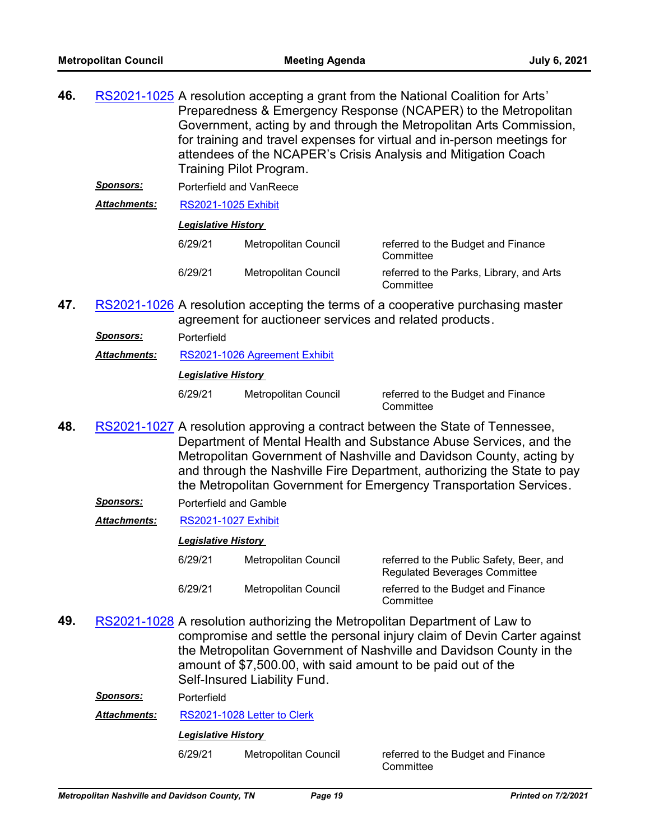**46.** <u>[RS2021-1025](http://nashville.legistar.com/gateway.aspx?m=l&id=/matter.aspx?key=13332)</u> A resolution accepting a grant from the National Coalition for Arts' Preparedness & Emergency Response (NCAPER) to the Metropolitan Government, acting by and through the Metropolitan Arts Commission, for training and travel expenses for virtual and in-person meetings for attendees of the NCAPER's Crisis Analysis and Mitigation Coach Training Pilot Program.

*Sponsors:* Porterfield and VanReece

*Attachments:* [RS2021-1025 Exhibit](http://nashville.legistar.com/gateway.aspx?M=F&ID=a1edda5f-84ec-462c-8e0c-f857f36b0b73.pdf)

#### *Legislative History*

| 6/29/21 | Metropolitan Council | referred to the Budget and Finance<br>Committee       |
|---------|----------------------|-------------------------------------------------------|
| 6/29/21 | Metropolitan Council | referred to the Parks, Library, and Arts<br>Committee |

47. [RS2021-1026](http://nashville.legistar.com/gateway.aspx?m=l&id=/matter.aspx?key=2405) A resolution accepting the terms of a cooperative purchasing master agreement for auctioneer services and related products.

*Sponsors:* Porterfield

*Attachments:* [RS2021-1026 Agreement Exhibit](http://nashville.legistar.com/gateway.aspx?M=F&ID=3600d957-9892-4228-a2b0-cab0c341d724.pdf)

*Legislative History* 

6/29/21 Metropolitan Council referred to the Budget and Finance

**Committee** 

- 48. [RS2021-1027](http://nashville.legistar.com/gateway.aspx?m=l&id=/matter.aspx?key=13321) A resolution approving a contract between the State of Tennessee, Department of Mental Health and Substance Abuse Services, and the Metropolitan Government of Nashville and Davidson County, acting by and through the Nashville Fire Department, authorizing the State to pay the Metropolitan Government for Emergency Transportation Services.
	- *Sponsors:* Porterfield and Gamble
	- *Attachments:* [RS2021-1027 Exhibit](http://nashville.legistar.com/gateway.aspx?M=F&ID=81e45445-eaa0-4b5b-9cfe-7810d0c562f7.pdf)

### *Legislative History*

- 6/29/21 Metropolitan Council referred to the Public Safety, Beer, and Regulated Beverages Committee 6/29/21 Metropolitan Council referred to the Budget and Finance **Committee**
- 49. [RS2021-1028](http://nashville.legistar.com/gateway.aspx?m=l&id=/matter.aspx?key=2414) A resolution authorizing the Metropolitan Department of Law to compromise and settle the personal injury claim of Devin Carter against the Metropolitan Government of Nashville and Davidson County in the amount of \$7,500.00, with said amount to be paid out of the Self-Insured Liability Fund.

*Sponsors:* Porterfield

*Attachments:* [RS2021-1028 Letter to Clerk](http://nashville.legistar.com/gateway.aspx?M=F&ID=c7689966-2b83-406d-aa90-f571afd85b56.PDF)

*Legislative History* 

6/29/21 Metropolitan Council referred to the Budget and Finance

**Committee**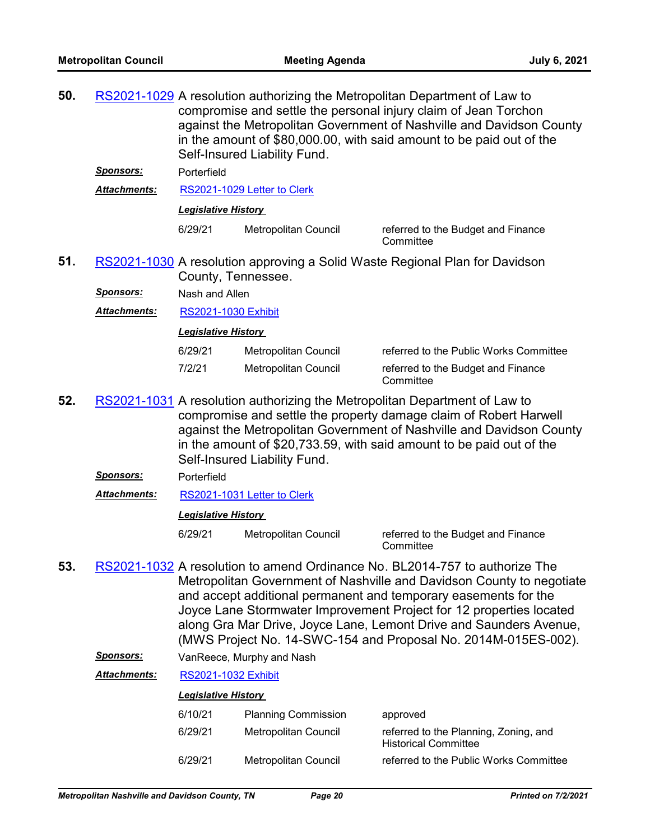| RS2021-1029 A resolution authorizing the Metropolitan Department of Law to |
|----------------------------------------------------------------------------|
| compromise and settle the personal injury claim of Jean Torchon            |
| against the Metropolitan Government of Nashville and Davidson County       |
| in the amount of \$80,000.00, with said amount to be paid out of the       |
| Self-Insured Liability Fund.                                               |
|                                                                            |

*Sponsors:* Porterfield

*Attachments:* [RS2021-1029 Letter to Clerk](http://nashville.legistar.com/gateway.aspx?M=F&ID=ec6505f7-9846-4e72-8bee-5c61db8e28b4.PDF)

*Legislative History* 

6/29/21 Metropolitan Council referred to the Budget and Finance

**Committee** 

51. [RS2021-1030](http://nashville.legistar.com/gateway.aspx?m=l&id=/matter.aspx?key=13334) A resolution approving a Solid Waste Regional Plan for Davidson County, Tennessee.

*Sponsors:* Nash and Allen

*Attachments:* [RS2021-1030 Exhibit](http://nashville.legistar.com/gateway.aspx?M=F&ID=a98a84b2-11db-4adc-a865-ae5cdee85a30.PDF)

*Legislative History* 

| 6/29/21 | Metropolitan Council | referred to the Public Works Committee          |
|---------|----------------------|-------------------------------------------------|
| 7/2/21  | Metropolitan Council | referred to the Budget and Finance<br>Committee |

- 52. [RS2021-1031](http://nashville.legistar.com/gateway.aspx?m=l&id=/matter.aspx?key=13320) A resolution authorizing the Metropolitan Department of Law to compromise and settle the property damage claim of Robert Harwell against the Metropolitan Government of Nashville and Davidson County in the amount of \$20,733.59, with said amount to be paid out of the Self-Insured Liability Fund.
	- *Sponsors:* Porterfield
	- *Attachments:* [RS2021-1031 Letter to Clerk](http://nashville.legistar.com/gateway.aspx?M=F&ID=f3f22140-ce04-44e8-8f26-a949cbcde8d6.PDF)

#### *Legislative History*

6/29/21 Metropolitan Council referred to the Budget and Finance

**Committee** 

- 53. [RS2021-1032](http://nashville.legistar.com/gateway.aspx?m=l&id=/matter.aspx?key=2415) A resolution to amend Ordinance No. BL2014-757 to authorize The Metropolitan Government of Nashville and Davidson County to negotiate and accept additional permanent and temporary easements for the Joyce Lane Stormwater Improvement Project for 12 properties located along Gra Mar Drive, Joyce Lane, Lemont Drive and Saunders Avenue, (MWS Project No. 14-SWC-154 and Proposal No. 2014M-015ES-002).
	- *Sponsors:* VanReece, Murphy and Nash

*Attachments:* [RS2021-1032 Exhibit](http://nashville.legistar.com/gateway.aspx?M=F&ID=72e77a82-2dc6-476d-9208-07a1dff33d1d.pdf)

| 6/10/21 | <b>Planning Commission</b>  | approved                                                             |
|---------|-----------------------------|----------------------------------------------------------------------|
| 6/29/21 | Metropolitan Council        | referred to the Planning, Zoning, and<br><b>Historical Committee</b> |
| 6/29/21 | <b>Metropolitan Council</b> | referred to the Public Works Committee                               |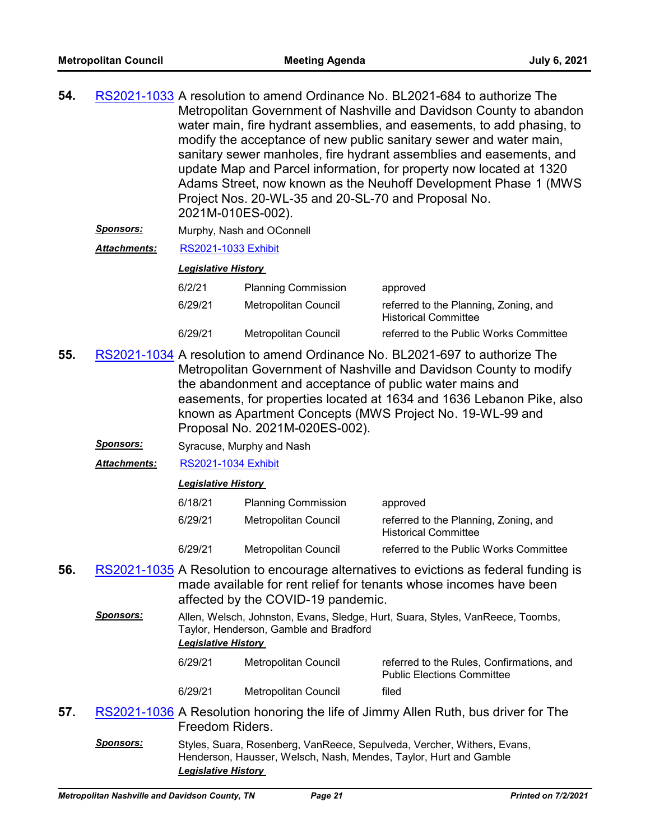| 54. | RS2021-1033 A resolution to amend Ordinance No. BL2021-684 to authorize The |
|-----|-----------------------------------------------------------------------------|
|     | Metropolitan Government of Nashville and Davidson County to abandon         |
|     | water main, fire hydrant assemblies, and easements, to add phasing, to      |
|     | modify the acceptance of new public sanitary sewer and water main,          |
|     | sanitary sewer manholes, fire hydrant assemblies and easements, and         |
|     | update Map and Parcel information, for property now located at 1320         |
|     | Adams Street, now known as the Neuhoff Development Phase 1 (MWS)            |
|     | Project Nos. 20-WL-35 and 20-SL-70 and Proposal No.                         |
|     | 2021M-010ES-002).                                                           |
|     |                                                                             |

- *Sponsors:* Murphy, Nash and OConnell
- *Attachments:* [RS2021-1033 Exhibit](http://nashville.legistar.com/gateway.aspx?M=F&ID=9366427b-acdd-4e29-9bf1-0fa8b3102798.pdf)

#### *Legislative History*

| 6/2/21  | <b>Planning Commission</b> | approved                                                             |
|---------|----------------------------|----------------------------------------------------------------------|
| 6/29/21 | Metropolitan Council       | referred to the Planning, Zoning, and<br><b>Historical Committee</b> |
| 6/29/21 | Metropolitan Council       | referred to the Public Works Committee                               |

- 55. [RS2021-1034](http://nashville.legistar.com/gateway.aspx?m=l&id=/matter.aspx?key=13331) A resolution to amend Ordinance No. BL2021-697 to authorize The Metropolitan Government of Nashville and Davidson County to modify the abandonment and acceptance of public water mains and easements, for properties located at 1634 and 1636 Lebanon Pike, also known as Apartment Concepts (MWS Project No. 19-WL-99 and Proposal No. 2021M-020ES-002).
	- **Sponsors:** Syracuse, Murphy and Nash
	- *Attachments:* [RS2021-1034 Exhibit](http://nashville.legistar.com/gateway.aspx?M=F&ID=57520d31-006b-421f-a96a-26233d40ddf1.pdf)

| 6/18/21 | <b>Planning Commission</b> | approved                                                             |
|---------|----------------------------|----------------------------------------------------------------------|
| 6/29/21 | Metropolitan Council       | referred to the Planning, Zoning, and<br><b>Historical Committee</b> |
| 6/29/21 | Metropolitan Council       | referred to the Public Works Committee                               |

- 56. [RS2021-1035](http://nashville.legistar.com/gateway.aspx?m=l&id=/matter.aspx?key=13344) A Resolution to encourage alternatives to evictions as federal funding is made available for rent relief for tenants whose incomes have been affected by the COVID-19 pandemic.
	- *Sponsors:* Allen, Welsch, Johnston, Evans, Sledge, Hurt, Suara, Styles, VanReece, Toombs, Taylor, Henderson, Gamble and Bradford *Legislative History*  6/29/21 Metropolitan Council referred to the Rules, Confirmations, and

| UZZIZI  | <b>INICU OPOINGH COUNTS</b> | Teleffed to the Kules, Committations, and<br><b>Public Elections Committee</b> |
|---------|-----------------------------|--------------------------------------------------------------------------------|
| 6/29/21 | Metropolitan Council        | filed                                                                          |

- 57. [RS2021-1036](http://nashville.legistar.com/gateway.aspx?m=l&id=/matter.aspx?key=13341) A Resolution honoring the life of Jimmy Allen Ruth, bus driver for The Freedom Riders.
	- Sponsors: Styles, Suara, Rosenberg, VanReece, Sepulveda, Vercher, Withers, Evans, Henderson, Hausser, Welsch, Nash, Mendes, Taylor, Hurt and Gamble *Legislative History*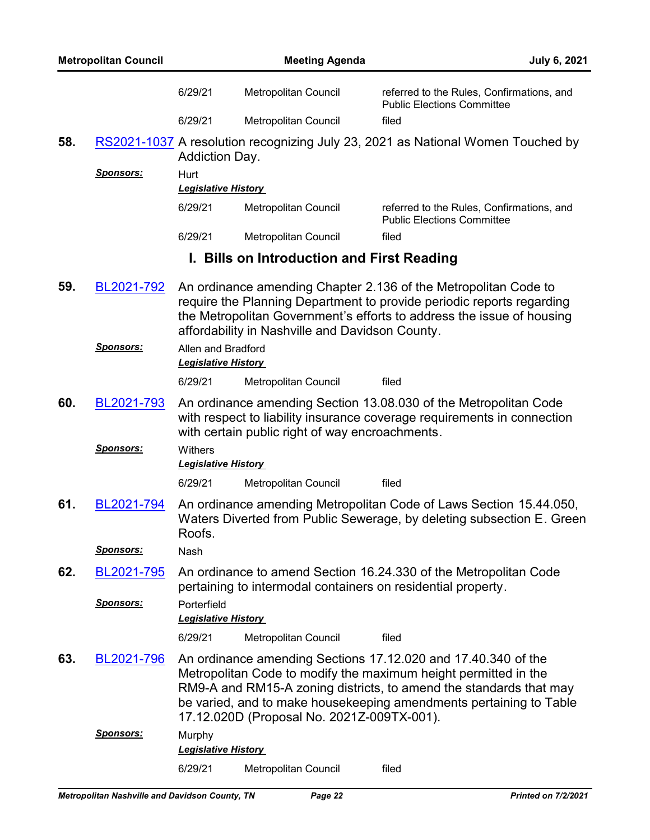| <b>Metropolitan Council</b> |                                |                                                                                                                                                                                                           | <b>July 6, 2021</b>                                          |                                                                                                                                                                                                                                                                              |
|-----------------------------|--------------------------------|-----------------------------------------------------------------------------------------------------------------------------------------------------------------------------------------------------------|--------------------------------------------------------------|------------------------------------------------------------------------------------------------------------------------------------------------------------------------------------------------------------------------------------------------------------------------------|
|                             |                                | 6/29/21                                                                                                                                                                                                   | Metropolitan Council                                         | referred to the Rules, Confirmations, and<br><b>Public Elections Committee</b>                                                                                                                                                                                               |
|                             |                                | 6/29/21                                                                                                                                                                                                   | Metropolitan Council                                         | filed                                                                                                                                                                                                                                                                        |
| 58.                         |                                | Addiction Day.                                                                                                                                                                                            |                                                              | RS2021-1037 A resolution recognizing July 23, 2021 as National Women Touched by                                                                                                                                                                                              |
|                             | <u>Sponsors:</u>               | Hurt                                                                                                                                                                                                      |                                                              |                                                                                                                                                                                                                                                                              |
|                             |                                | <b>Legislative History</b>                                                                                                                                                                                |                                                              |                                                                                                                                                                                                                                                                              |
|                             |                                | 6/29/21                                                                                                                                                                                                   | Metropolitan Council                                         | referred to the Rules, Confirmations, and<br><b>Public Elections Committee</b>                                                                                                                                                                                               |
|                             |                                | 6/29/21                                                                                                                                                                                                   | Metropolitan Council                                         | filed                                                                                                                                                                                                                                                                        |
|                             |                                |                                                                                                                                                                                                           | I. Bills on Introduction and First Reading                   |                                                                                                                                                                                                                                                                              |
| 59.                         | BL2021-792<br><b>Sponsors:</b> | Allen and Bradford                                                                                                                                                                                        | affordability in Nashville and Davidson County.              | An ordinance amending Chapter 2.136 of the Metropolitan Code to<br>require the Planning Department to provide periodic reports regarding<br>the Metropolitan Government's efforts to address the issue of housing                                                            |
|                             |                                | <b>Legislative History</b>                                                                                                                                                                                |                                                              |                                                                                                                                                                                                                                                                              |
|                             |                                | 6/29/21                                                                                                                                                                                                   | Metropolitan Council                                         | filed                                                                                                                                                                                                                                                                        |
| 60.                         | BL2021-793<br><u>Sponsors:</u> | An ordinance amending Section 13.08.030 of the Metropolitan Code<br>with respect to liability insurance coverage requirements in connection<br>with certain public right of way encroachments.<br>Withers |                                                              |                                                                                                                                                                                                                                                                              |
|                             |                                | <b>Legislative History</b>                                                                                                                                                                                |                                                              |                                                                                                                                                                                                                                                                              |
|                             |                                | 6/29/21                                                                                                                                                                                                   | Metropolitan Council                                         | filed                                                                                                                                                                                                                                                                        |
| 61.                         | BL2021-794                     | Roofs.                                                                                                                                                                                                    |                                                              | An ordinance amending Metropolitan Code of Laws Section 15.44.050,<br>Waters Diverted from Public Sewerage, by deleting subsection E. Green                                                                                                                                  |
|                             | Sponsors:                      | Nash                                                                                                                                                                                                      |                                                              |                                                                                                                                                                                                                                                                              |
| 62.                         | BL2021-795<br>Sponsors:        | Porterfield                                                                                                                                                                                               | pertaining to intermodal containers on residential property. | An ordinance to amend Section 16.24.330 of the Metropolitan Code                                                                                                                                                                                                             |
|                             |                                | <b>Legislative History</b>                                                                                                                                                                                |                                                              |                                                                                                                                                                                                                                                                              |
|                             |                                | 6/29/21                                                                                                                                                                                                   | Metropolitan Council                                         | filed                                                                                                                                                                                                                                                                        |
| 63.                         | BL2021-796                     |                                                                                                                                                                                                           | 17.12.020D (Proposal No. 2021Z-009TX-001).                   | An ordinance amending Sections 17.12.020 and 17.40.340 of the<br>Metropolitan Code to modify the maximum height permitted in the<br>RM9-A and RM15-A zoning districts, to amend the standards that may<br>be varied, and to make housekeeping amendments pertaining to Table |
|                             | <u>Sponsors:</u>               | Murphy<br><b>Legislative History</b>                                                                                                                                                                      |                                                              |                                                                                                                                                                                                                                                                              |
|                             |                                | 6/29/21                                                                                                                                                                                                   | Metropolitan Council                                         | filed                                                                                                                                                                                                                                                                        |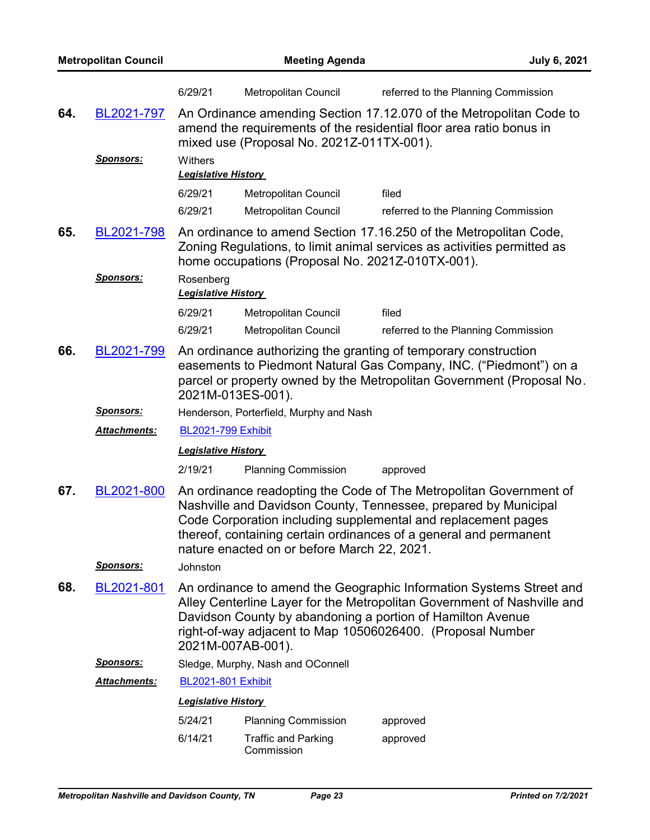| <b>Metropolitan Council</b> |                                |                                         | <b>Meeting Agenda</b><br><b>July 6, 2021</b>     |                                                                                                                                                                                                                                                                             |  |
|-----------------------------|--------------------------------|-----------------------------------------|--------------------------------------------------|-----------------------------------------------------------------------------------------------------------------------------------------------------------------------------------------------------------------------------------------------------------------------------|--|
|                             |                                | 6/29/21                                 | Metropolitan Council                             | referred to the Planning Commission                                                                                                                                                                                                                                         |  |
| 64.                         | BL2021-797<br><u>Sponsors:</u> | Withers<br><b>Legislative History</b>   | mixed use (Proposal No. 2021Z-011TX-001).        | An Ordinance amending Section 17.12.070 of the Metropolitan Code to<br>amend the requirements of the residential floor area ratio bonus in                                                                                                                                  |  |
|                             |                                | 6/29/21                                 | <b>Metropolitan Council</b>                      | filed                                                                                                                                                                                                                                                                       |  |
|                             |                                | 6/29/21                                 | Metropolitan Council                             | referred to the Planning Commission                                                                                                                                                                                                                                         |  |
| 65.                         | BL2021-798                     |                                         | home occupations (Proposal No. 2021Z-010TX-001). | An ordinance to amend Section 17.16.250 of the Metropolitan Code,<br>Zoning Regulations, to limit animal services as activities permitted as                                                                                                                                |  |
|                             | <u>Sponsors:</u>               | Rosenberg<br><b>Legislative History</b> |                                                  |                                                                                                                                                                                                                                                                             |  |
|                             |                                | 6/29/21                                 | Metropolitan Council                             | filed                                                                                                                                                                                                                                                                       |  |
|                             |                                | 6/29/21                                 | Metropolitan Council                             | referred to the Planning Commission                                                                                                                                                                                                                                         |  |
| 66.                         | BL2021-799                     |                                         | 2021M-013ES-001).                                | An ordinance authorizing the granting of temporary construction<br>easements to Piedmont Natural Gas Company, INC. ("Piedmont") on a<br>parcel or property owned by the Metropolitan Government (Proposal No.                                                               |  |
|                             | <u>Sponsors:</u>               |                                         | Henderson, Porterfield, Murphy and Nash          |                                                                                                                                                                                                                                                                             |  |
|                             | <u> Attachments:</u>           | <b>BL2021-799 Exhibit</b>               |                                                  |                                                                                                                                                                                                                                                                             |  |
|                             |                                | <b>Legislative History</b>              |                                                  |                                                                                                                                                                                                                                                                             |  |
|                             |                                | 2/19/21                                 | <b>Planning Commission</b>                       | approved                                                                                                                                                                                                                                                                    |  |
| 67.                         | BL2021-800                     |                                         | nature enacted on or before March 22, 2021.      | An ordinance readopting the Code of The Metropolitan Government of<br>Nashville and Davidson County, Tennessee, prepared by Municipal<br>Code Corporation including supplemental and replacement pages<br>thereof, containing certain ordinances of a general and permanent |  |
|                             | <b>Sponsors:</b>               | Johnston                                |                                                  |                                                                                                                                                                                                                                                                             |  |
| 68.                         | BL2021-801                     |                                         | 2021M-007AB-001).                                | An ordinance to amend the Geographic Information Systems Street and<br>Alley Centerline Layer for the Metropolitan Government of Nashville and<br>Davidson County by abandoning a portion of Hamilton Avenue<br>right-of-way adjacent to Map 10506026400. (Proposal Number  |  |
|                             | <b>Sponsors:</b>               | Sledge, Murphy, Nash and OConnell       |                                                  |                                                                                                                                                                                                                                                                             |  |
|                             | Attachments:                   | <b>BL2021-801 Exhibit</b>               |                                                  |                                                                                                                                                                                                                                                                             |  |
|                             |                                | <b>Legislative History</b>              |                                                  |                                                                                                                                                                                                                                                                             |  |
|                             |                                | 5/24/21                                 | <b>Planning Commission</b>                       | approved                                                                                                                                                                                                                                                                    |  |
|                             |                                | 6/14/21                                 | <b>Traffic and Parking</b><br>Commission         | approved                                                                                                                                                                                                                                                                    |  |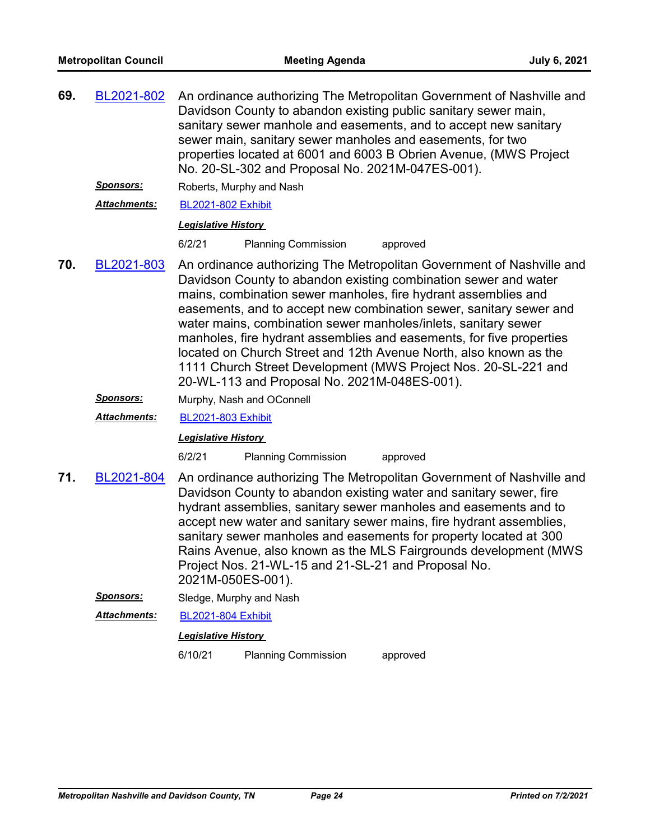| 69. | BL2021-802                                                                                                                                                                                                                                                                                                                                                                                                                                                                                                                | An ordinance authorizing The Metropolitan Government of Nashville and<br>Davidson County to abandon existing public sanitary sewer main,<br>sanitary sewer manhole and easements, and to accept new sanitary<br>sewer main, sanitary sewer manholes and easements, for two<br>properties located at 6001 and 6003 B Obrien Avenue, (MWS Project<br>No. 20-SL-302 and Proposal No. 2021M-047ES-001).                                                                                                                                                                                                               |                            |          |  |
|-----|---------------------------------------------------------------------------------------------------------------------------------------------------------------------------------------------------------------------------------------------------------------------------------------------------------------------------------------------------------------------------------------------------------------------------------------------------------------------------------------------------------------------------|-------------------------------------------------------------------------------------------------------------------------------------------------------------------------------------------------------------------------------------------------------------------------------------------------------------------------------------------------------------------------------------------------------------------------------------------------------------------------------------------------------------------------------------------------------------------------------------------------------------------|----------------------------|----------|--|
|     | Sponsors:                                                                                                                                                                                                                                                                                                                                                                                                                                                                                                                 |                                                                                                                                                                                                                                                                                                                                                                                                                                                                                                                                                                                                                   | Roberts, Murphy and Nash   |          |  |
|     | Attachments:                                                                                                                                                                                                                                                                                                                                                                                                                                                                                                              | <b>BL2021-802 Exhibit</b>                                                                                                                                                                                                                                                                                                                                                                                                                                                                                                                                                                                         |                            |          |  |
|     |                                                                                                                                                                                                                                                                                                                                                                                                                                                                                                                           | <b>Legislative History</b>                                                                                                                                                                                                                                                                                                                                                                                                                                                                                                                                                                                        |                            |          |  |
|     |                                                                                                                                                                                                                                                                                                                                                                                                                                                                                                                           | 6/2/21                                                                                                                                                                                                                                                                                                                                                                                                                                                                                                                                                                                                            | <b>Planning Commission</b> | approved |  |
| 70. | BL2021-803                                                                                                                                                                                                                                                                                                                                                                                                                                                                                                                | An ordinance authorizing The Metropolitan Government of Nashville and<br>Davidson County to abandon existing combination sewer and water<br>mains, combination sewer manholes, fire hydrant assemblies and<br>easements, and to accept new combination sewer, sanitary sewer and<br>water mains, combination sewer manholes/inlets, sanitary sewer<br>manholes, fire hydrant assemblies and easements, for five properties<br>located on Church Street and 12th Avenue North, also known as the<br>1111 Church Street Development (MWS Project Nos. 20-SL-221 and<br>20-WL-113 and Proposal No. 2021M-048ES-001). |                            |          |  |
|     | Sponsors:                                                                                                                                                                                                                                                                                                                                                                                                                                                                                                                 |                                                                                                                                                                                                                                                                                                                                                                                                                                                                                                                                                                                                                   | Murphy, Nash and OConnell  |          |  |
|     | <b>Attachments:</b>                                                                                                                                                                                                                                                                                                                                                                                                                                                                                                       | <b>BL2021-803 Exhibit</b>                                                                                                                                                                                                                                                                                                                                                                                                                                                                                                                                                                                         |                            |          |  |
|     |                                                                                                                                                                                                                                                                                                                                                                                                                                                                                                                           | <b>Legislative History</b>                                                                                                                                                                                                                                                                                                                                                                                                                                                                                                                                                                                        |                            |          |  |
|     |                                                                                                                                                                                                                                                                                                                                                                                                                                                                                                                           | 6/2/21                                                                                                                                                                                                                                                                                                                                                                                                                                                                                                                                                                                                            | <b>Planning Commission</b> | approved |  |
| 71. | An ordinance authorizing The Metropolitan Government of Nashville and<br>BL2021-804<br>Davidson County to abandon existing water and sanitary sewer, fire<br>hydrant assemblies, sanitary sewer manholes and easements and to<br>accept new water and sanitary sewer mains, fire hydrant assemblies,<br>sanitary sewer manholes and easements for property located at 300<br>Rains Avenue, also known as the MLS Fairgrounds development (MWS<br>Project Nos. 21-WL-15 and 21-SL-21 and Proposal No.<br>2021M-050ES-001). |                                                                                                                                                                                                                                                                                                                                                                                                                                                                                                                                                                                                                   |                            |          |  |

- *Sponsors:* Sledge, Murphy and Nash
- *Attachments:* [BL2021-804 Exhibit](http://nashville.legistar.com/gateway.aspx?M=F&ID=314d2089-a2a1-4b70-85f6-99e48d9805a6.pdf)

### *Legislative History*

6/10/21 Planning Commission approved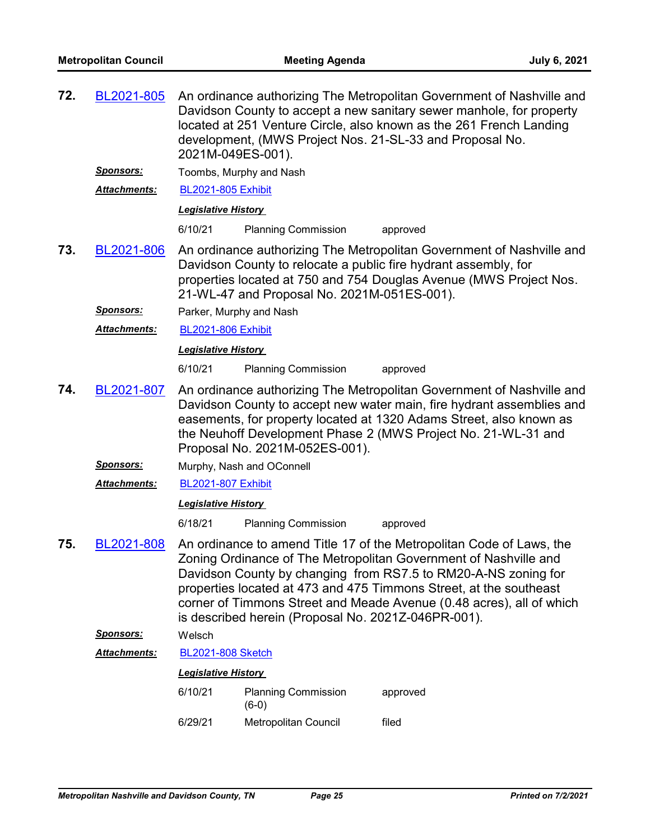| 72. | BL2021-805          | An ordinance authorizing The Metropolitan Government of Nashville and<br>Davidson County to accept a new sanitary sewer manhole, for property<br>located at 251 Venture Circle, also known as the 261 French Landing<br>development, (MWS Project Nos. 21-SL-33 and Proposal No.<br>2021M-049ES-001).                                                                                                           |                                       |          |  |  |
|-----|---------------------|-----------------------------------------------------------------------------------------------------------------------------------------------------------------------------------------------------------------------------------------------------------------------------------------------------------------------------------------------------------------------------------------------------------------|---------------------------------------|----------|--|--|
|     | <u>Sponsors:</u>    |                                                                                                                                                                                                                                                                                                                                                                                                                 | Toombs, Murphy and Nash               |          |  |  |
|     | <b>Attachments:</b> | <b>BL2021-805 Exhibit</b>                                                                                                                                                                                                                                                                                                                                                                                       |                                       |          |  |  |
|     |                     | <b>Legislative History</b>                                                                                                                                                                                                                                                                                                                                                                                      |                                       |          |  |  |
|     |                     | 6/10/21                                                                                                                                                                                                                                                                                                                                                                                                         | <b>Planning Commission</b>            | approved |  |  |
| 73. | BL2021-806          | An ordinance authorizing The Metropolitan Government of Nashville and<br>Davidson County to relocate a public fire hydrant assembly, for<br>properties located at 750 and 754 Douglas Avenue (MWS Project Nos.<br>21-WL-47 and Proposal No. 2021M-051ES-001).                                                                                                                                                   |                                       |          |  |  |
|     | Sponsors:           | Parker, Murphy and Nash                                                                                                                                                                                                                                                                                                                                                                                         |                                       |          |  |  |
|     | Attachments:        | <b>BL2021-806 Exhibit</b>                                                                                                                                                                                                                                                                                                                                                                                       |                                       |          |  |  |
|     |                     | <b>Legislative History</b>                                                                                                                                                                                                                                                                                                                                                                                      |                                       |          |  |  |
|     |                     | 6/10/21                                                                                                                                                                                                                                                                                                                                                                                                         | <b>Planning Commission</b>            | approved |  |  |
| 74. | BL2021-807          | An ordinance authorizing The Metropolitan Government of Nashville and<br>Davidson County to accept new water main, fire hydrant assemblies and<br>easements, for property located at 1320 Adams Street, also known as<br>the Neuhoff Development Phase 2 (MWS Project No. 21-WL-31 and<br>Proposal No. 2021M-052ES-001).                                                                                        |                                       |          |  |  |
|     | <u>Sponsors:</u>    |                                                                                                                                                                                                                                                                                                                                                                                                                 | Murphy, Nash and OConnell             |          |  |  |
|     | Attachments:        | <b>BL2021-807 Exhibit</b>                                                                                                                                                                                                                                                                                                                                                                                       |                                       |          |  |  |
|     |                     | <b>Legislative History</b>                                                                                                                                                                                                                                                                                                                                                                                      |                                       |          |  |  |
|     |                     | 6/18/21                                                                                                                                                                                                                                                                                                                                                                                                         | <b>Planning Commission</b>            | approved |  |  |
| 75. | BL2021-808          | An ordinance to amend Title 17 of the Metropolitan Code of Laws, the<br>Zoning Ordinance of The Metropolitan Government of Nashville and<br>Davidson County by changing from RS7.5 to RM20-A-NS zoning for<br>properties located at 473 and 475 Timmons Street, at the southeast<br>corner of Timmons Street and Meade Avenue (0.48 acres), all of which<br>is described herein (Proposal No. 2021Z-046PR-001). |                                       |          |  |  |
|     | <b>Sponsors:</b>    | Welsch                                                                                                                                                                                                                                                                                                                                                                                                          |                                       |          |  |  |
|     | Attachments:        | <b>BL2021-808 Sketch</b>                                                                                                                                                                                                                                                                                                                                                                                        |                                       |          |  |  |
|     |                     | <b>Legislative History</b>                                                                                                                                                                                                                                                                                                                                                                                      |                                       |          |  |  |
|     |                     | 6/10/21                                                                                                                                                                                                                                                                                                                                                                                                         | <b>Planning Commission</b><br>$(6-0)$ | approved |  |  |
|     |                     | 6/29/21                                                                                                                                                                                                                                                                                                                                                                                                         | Metropolitan Council                  | filed    |  |  |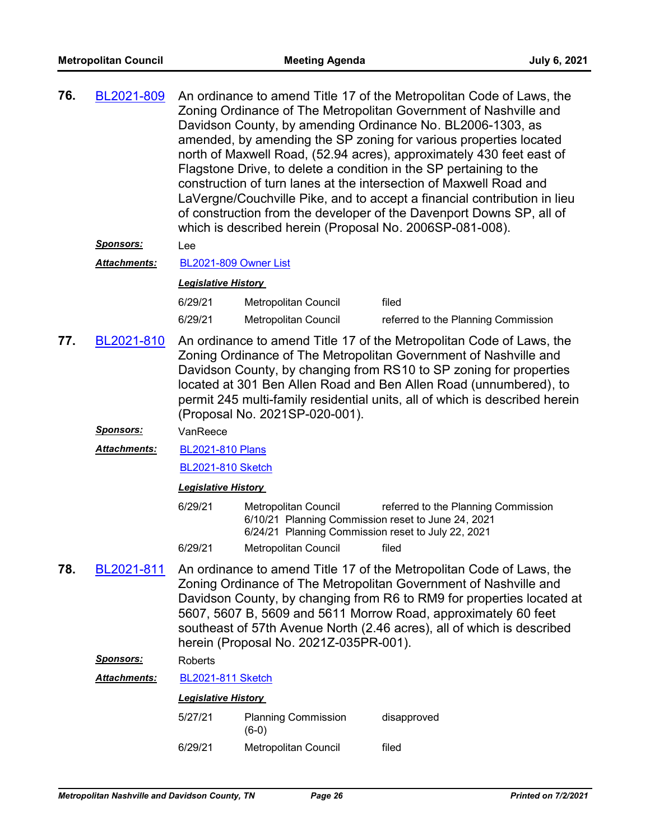| 76. | BL2021-809 | An ordinance to amend Title 17 of the Metropolitan Code of Laws, the<br>Zoning Ordinance of The Metropolitan Government of Nashville and<br>Davidson County, by amending Ordinance No. BL2006-1303, as<br>amended, by amending the SP zoning for various properties located<br>north of Maxwell Road, (52.94 acres), approximately 430 feet east of<br>Flagstone Drive, to delete a condition in the SP pertaining to the<br>construction of turn lanes at the intersection of Maxwell Road and<br>LaVergne/Couchville Pike, and to accept a financial contribution in lieu |
|-----|------------|-----------------------------------------------------------------------------------------------------------------------------------------------------------------------------------------------------------------------------------------------------------------------------------------------------------------------------------------------------------------------------------------------------------------------------------------------------------------------------------------------------------------------------------------------------------------------------|
|     |            | of construction from the developer of the Davenport Downs SP, all of<br>which is described herein (Proposal No. 2006SP-081-008).                                                                                                                                                                                                                                                                                                                                                                                                                                            |

*Sponsors:* Lee

*Attachments:* [BL2021-809 Owner List](http://nashville.legistar.com/gateway.aspx?M=F&ID=cfb3ac35-cadc-4f83-8b2e-cafe685238b6.xlsx)

#### *Legislative History*

| 6/29/21 | Metropolitan Council | filed                               |
|---------|----------------------|-------------------------------------|
| 6/29/21 | Metropolitan Council | referred to the Planning Commission |

An ordinance to amend Title 17 of the Metropolitan Code of Laws, the Zoning Ordinance of The Metropolitan Government of Nashville and Davidson County, by changing from RS10 to SP zoning for properties located at 301 Ben Allen Road and Ben Allen Road (unnumbered), to permit 245 multi-family residential units, all of which is described herein (Proposal No. 2021SP-020-001). **77.** [BL2021-810](http://nashville.legistar.com/gateway.aspx?m=l&id=/matter.aspx?key=2311)

#### *Sponsors:* VanReece

[BL2021-810 Plans](http://nashville.legistar.com/gateway.aspx?M=F&ID=8463ed86-e3c2-466c-a523-038095842308.pdf) *Attachments:*

[BL2021-810 Sketch](http://nashville.legistar.com/gateway.aspx?M=F&ID=d90a8338-4b19-45cc-a5c7-453df8bc4173.docx)

#### *Legislative History*

- 6/29/21 Metropolitan Council referred to the Planning Commission 6/10/21 Planning Commission reset to June 24, 2021 6/24/21 Planning Commission reset to July 22, 2021
- 6/29/21 Metropolitan Council filed
- An ordinance to amend Title 17 of the Metropolitan Code of Laws, the Zoning Ordinance of The Metropolitan Government of Nashville and Davidson County, by changing from R6 to RM9 for properties located at 5607, 5607 B, 5609 and 5611 Morrow Road, approximately 60 feet southeast of 57th Avenue North (2.46 acres), all of which is described herein (Proposal No. 2021Z-035PR-001). **78.** [BL2021-811](http://nashville.legistar.com/gateway.aspx?m=l&id=/matter.aspx?key=13336)

## *Sponsors:* Roberts

*Attachments:* [BL2021-811 Sketch](http://nashville.legistar.com/gateway.aspx?M=F&ID=2327f2df-3e90-481b-8f41-d792ad0cd7f8.docx)

| 5/27/21 | <b>Planning Commission</b><br>$(6-0)$ | disapproved |
|---------|---------------------------------------|-------------|
| 6/29/21 | Metropolitan Council                  | filed       |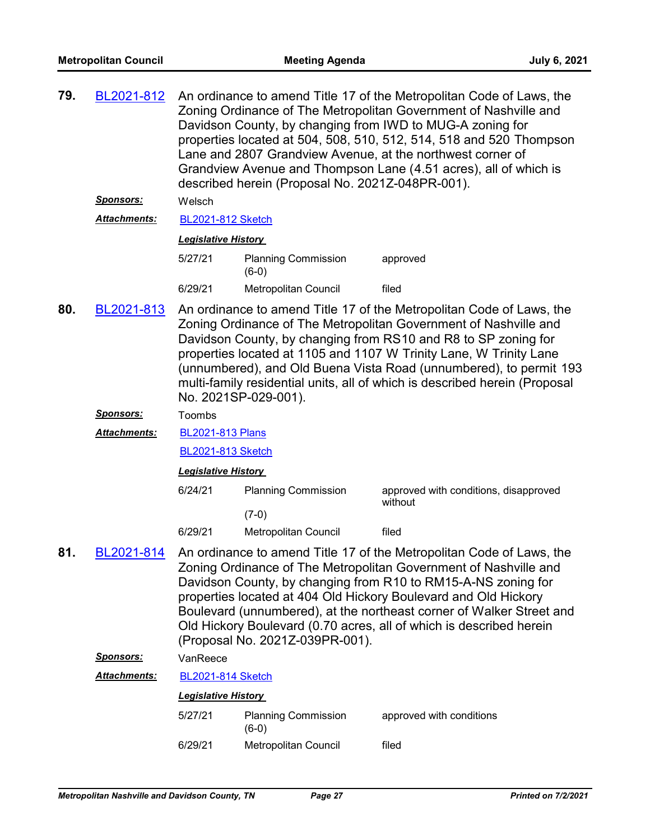| 79. | BL2021-812                                    | An ordinance to amend Title 17 of the Metropolitan Code of Laws, the<br>Zoning Ordinance of The Metropolitan Government of Nashville and<br>Davidson County, by changing from IWD to MUG-A zoning for<br>properties located at 504, 508, 510, 512, 514, 518 and 520 Thompson<br>Lane and 2807 Grandview Avenue, at the northwest corner of<br>Grandview Avenue and Thompson Lane (4.51 acres), all of which is<br>described herein (Proposal No. 2021Z-048PR-001). |                                       |                                                                                                                                                                                                                                                                                                                                                                                                                             |  |  |
|-----|-----------------------------------------------|--------------------------------------------------------------------------------------------------------------------------------------------------------------------------------------------------------------------------------------------------------------------------------------------------------------------------------------------------------------------------------------------------------------------------------------------------------------------|---------------------------------------|-----------------------------------------------------------------------------------------------------------------------------------------------------------------------------------------------------------------------------------------------------------------------------------------------------------------------------------------------------------------------------------------------------------------------------|--|--|
|     | <u>Sponsors:</u>                              | Welsch                                                                                                                                                                                                                                                                                                                                                                                                                                                             |                                       |                                                                                                                                                                                                                                                                                                                                                                                                                             |  |  |
|     | <b>Attachments:</b>                           | <b>BL2021-812 Sketch</b>                                                                                                                                                                                                                                                                                                                                                                                                                                           |                                       |                                                                                                                                                                                                                                                                                                                                                                                                                             |  |  |
|     |                                               | <b>Legislative History</b>                                                                                                                                                                                                                                                                                                                                                                                                                                         |                                       |                                                                                                                                                                                                                                                                                                                                                                                                                             |  |  |
|     |                                               | 5/27/21                                                                                                                                                                                                                                                                                                                                                                                                                                                            | <b>Planning Commission</b><br>$(6-0)$ | approved                                                                                                                                                                                                                                                                                                                                                                                                                    |  |  |
|     |                                               | 6/29/21                                                                                                                                                                                                                                                                                                                                                                                                                                                            | Metropolitan Council                  | filed                                                                                                                                                                                                                                                                                                                                                                                                                       |  |  |
| 80. | BL2021-813                                    | An ordinance to amend Title 17 of the Metropolitan Code of Laws, the<br>Zoning Ordinance of The Metropolitan Government of Nashville and<br>Davidson County, by changing from RS10 and R8 to SP zoning for<br>properties located at 1105 and 1107 W Trinity Lane, W Trinity Lane<br>(unnumbered), and Old Buena Vista Road (unnumbered), to permit 193<br>multi-family residential units, all of which is described herein (Proposal<br>No. 2021SP-029-001).       |                                       |                                                                                                                                                                                                                                                                                                                                                                                                                             |  |  |
|     | Sponsors:                                     | Toombs                                                                                                                                                                                                                                                                                                                                                                                                                                                             |                                       |                                                                                                                                                                                                                                                                                                                                                                                                                             |  |  |
|     | Attachments:                                  | <b>BL2021-813 Plans</b>                                                                                                                                                                                                                                                                                                                                                                                                                                            |                                       |                                                                                                                                                                                                                                                                                                                                                                                                                             |  |  |
|     |                                               | <b>BL2021-813 Sketch</b>                                                                                                                                                                                                                                                                                                                                                                                                                                           |                                       |                                                                                                                                                                                                                                                                                                                                                                                                                             |  |  |
|     |                                               | <b>Legislative History</b>                                                                                                                                                                                                                                                                                                                                                                                                                                         |                                       |                                                                                                                                                                                                                                                                                                                                                                                                                             |  |  |
|     |                                               | 6/24/21                                                                                                                                                                                                                                                                                                                                                                                                                                                            | <b>Planning Commission</b>            | approved with conditions, disapproved<br>without                                                                                                                                                                                                                                                                                                                                                                            |  |  |
|     |                                               |                                                                                                                                                                                                                                                                                                                                                                                                                                                                    | $(7-0)$                               |                                                                                                                                                                                                                                                                                                                                                                                                                             |  |  |
|     |                                               | 6/29/21                                                                                                                                                                                                                                                                                                                                                                                                                                                            | Metropolitan Council                  | filed                                                                                                                                                                                                                                                                                                                                                                                                                       |  |  |
| 81. | BL2021-814<br>(Proposal No. 2021Z-039PR-001). |                                                                                                                                                                                                                                                                                                                                                                                                                                                                    |                                       | An ordinance to amend Title 17 of the Metropolitan Code of Laws, the<br>Zoning Ordinance of The Metropolitan Government of Nashville and<br>Davidson County, by changing from R10 to RM15-A-NS zoning for<br>properties located at 404 Old Hickory Boulevard and Old Hickory<br>Boulevard (unnumbered), at the northeast corner of Walker Street and<br>Old Hickory Boulevard (0.70 acres, all of which is described herein |  |  |
|     | Sponsors:                                     | VanReece                                                                                                                                                                                                                                                                                                                                                                                                                                                           |                                       |                                                                                                                                                                                                                                                                                                                                                                                                                             |  |  |
|     | <b>Attachments:</b>                           | <b>BL2021-814 Sketch</b>                                                                                                                                                                                                                                                                                                                                                                                                                                           |                                       |                                                                                                                                                                                                                                                                                                                                                                                                                             |  |  |
|     |                                               | <b>Legislative History</b>                                                                                                                                                                                                                                                                                                                                                                                                                                         |                                       |                                                                                                                                                                                                                                                                                                                                                                                                                             |  |  |
|     |                                               | 5/27/21                                                                                                                                                                                                                                                                                                                                                                                                                                                            | <b>Planning Commission</b><br>$(6-0)$ | approved with conditions                                                                                                                                                                                                                                                                                                                                                                                                    |  |  |
|     |                                               | 6/29/21                                                                                                                                                                                                                                                                                                                                                                                                                                                            | Metropolitan Council                  | filed                                                                                                                                                                                                                                                                                                                                                                                                                       |  |  |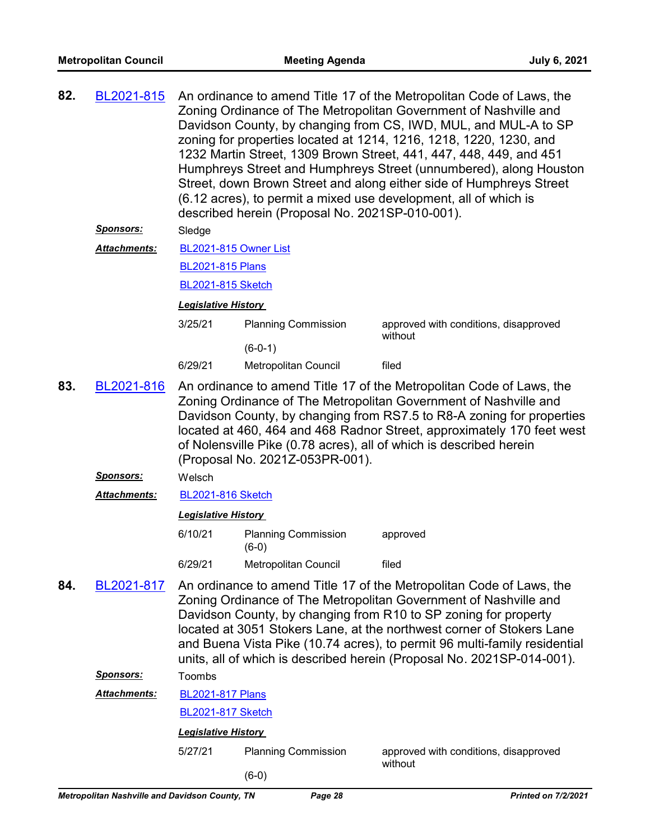| 82. | BL2021-815          | An ordinance to amend Title 17 of the Metropolitan Code of Laws, the<br>Zoning Ordinance of The Metropolitan Government of Nashville and<br>Davidson County, by changing from CS, IWD, MUL, and MUL-A to SP<br>zoning for properties located at 1214, 1216, 1218, 1220, 1230, and<br>1232 Martin Street, 1309 Brown Street, 441, 447, 448, 449, and 451<br>Humphreys Street and Humphreys Street (unnumbered), along Houston<br>Street, down Brown Street and along either side of Humphreys Street<br>(6.12 acres), to permit a mixed use development, all of which is<br>described herein (Proposal No. 2021SP-010-001). |                                       |                                                  |  |  |
|-----|---------------------|----------------------------------------------------------------------------------------------------------------------------------------------------------------------------------------------------------------------------------------------------------------------------------------------------------------------------------------------------------------------------------------------------------------------------------------------------------------------------------------------------------------------------------------------------------------------------------------------------------------------------|---------------------------------------|--------------------------------------------------|--|--|
|     | <u>Sponsors:</u>    | Sledge                                                                                                                                                                                                                                                                                                                                                                                                                                                                                                                                                                                                                     |                                       |                                                  |  |  |
|     | <b>Attachments:</b> | BL2021-815 Owner List                                                                                                                                                                                                                                                                                                                                                                                                                                                                                                                                                                                                      |                                       |                                                  |  |  |
|     |                     | <b>BL2021-815 Plans</b>                                                                                                                                                                                                                                                                                                                                                                                                                                                                                                                                                                                                    |                                       |                                                  |  |  |
|     |                     | <b>BL2021-815 Sketch</b>                                                                                                                                                                                                                                                                                                                                                                                                                                                                                                                                                                                                   |                                       |                                                  |  |  |
|     |                     | <b>Legislative History</b>                                                                                                                                                                                                                                                                                                                                                                                                                                                                                                                                                                                                 |                                       |                                                  |  |  |
|     |                     | 3/25/21                                                                                                                                                                                                                                                                                                                                                                                                                                                                                                                                                                                                                    | <b>Planning Commission</b>            | approved with conditions, disapproved<br>without |  |  |
|     |                     | 6/29/21                                                                                                                                                                                                                                                                                                                                                                                                                                                                                                                                                                                                                    | $(6-0-1)$<br>Metropolitan Council     | filed                                            |  |  |
|     |                     |                                                                                                                                                                                                                                                                                                                                                                                                                                                                                                                                                                                                                            |                                       |                                                  |  |  |
| 83. | BL2021-816          | An ordinance to amend Title 17 of the Metropolitan Code of Laws, the<br>Zoning Ordinance of The Metropolitan Government of Nashville and<br>Davidson County, by changing from RS7.5 to R8-A zoning for properties<br>located at 460, 464 and 468 Radnor Street, approximately 170 feet west<br>of Nolensville Pike (0.78 acres), all of which is described herein<br>(Proposal No. 2021Z-053PR-001).                                                                                                                                                                                                                       |                                       |                                                  |  |  |
|     | <u>Sponsors:</u>    | Welsch                                                                                                                                                                                                                                                                                                                                                                                                                                                                                                                                                                                                                     |                                       |                                                  |  |  |
|     | Attachments:        | <b>BL2021-816 Sketch</b>                                                                                                                                                                                                                                                                                                                                                                                                                                                                                                                                                                                                   |                                       |                                                  |  |  |
|     |                     | <b>Legislative History</b>                                                                                                                                                                                                                                                                                                                                                                                                                                                                                                                                                                                                 |                                       |                                                  |  |  |
|     |                     | 6/10/21                                                                                                                                                                                                                                                                                                                                                                                                                                                                                                                                                                                                                    | <b>Planning Commission</b><br>$(6-0)$ | approved                                         |  |  |
|     |                     | 6/29/21                                                                                                                                                                                                                                                                                                                                                                                                                                                                                                                                                                                                                    | Metropolitan Council                  | filed                                            |  |  |
| 84. | BL2021-817          | An ordinance to amend Title 17 of the Metropolitan Code of Laws, the<br>Zoning Ordinance of The Metropolitan Government of Nashville and<br>Davidson County, by changing from R10 to SP zoning for property<br>located at 3051 Stokers Lane, at the northwest corner of Stokers Lane<br>and Buena Vista Pike (10.74 acres), to permit 96 multi-family residential<br>units, all of which is described herein (Proposal No. 2021SP-014-001).                                                                                                                                                                                |                                       |                                                  |  |  |
|     | <u>Sponsors:</u>    | Toombs                                                                                                                                                                                                                                                                                                                                                                                                                                                                                                                                                                                                                     |                                       |                                                  |  |  |
|     | <b>Attachments:</b> | <b>BL2021-817 Plans</b>                                                                                                                                                                                                                                                                                                                                                                                                                                                                                                                                                                                                    |                                       |                                                  |  |  |
|     |                     | <b>BL2021-817 Sketch</b>                                                                                                                                                                                                                                                                                                                                                                                                                                                                                                                                                                                                   |                                       |                                                  |  |  |
|     |                     | <b>Legislative History</b>                                                                                                                                                                                                                                                                                                                                                                                                                                                                                                                                                                                                 |                                       |                                                  |  |  |
|     |                     | 5/27/21                                                                                                                                                                                                                                                                                                                                                                                                                                                                                                                                                                                                                    | <b>Planning Commission</b>            | approved with conditions, disapproved<br>without |  |  |
|     |                     |                                                                                                                                                                                                                                                                                                                                                                                                                                                                                                                                                                                                                            | $(6-0)$                               |                                                  |  |  |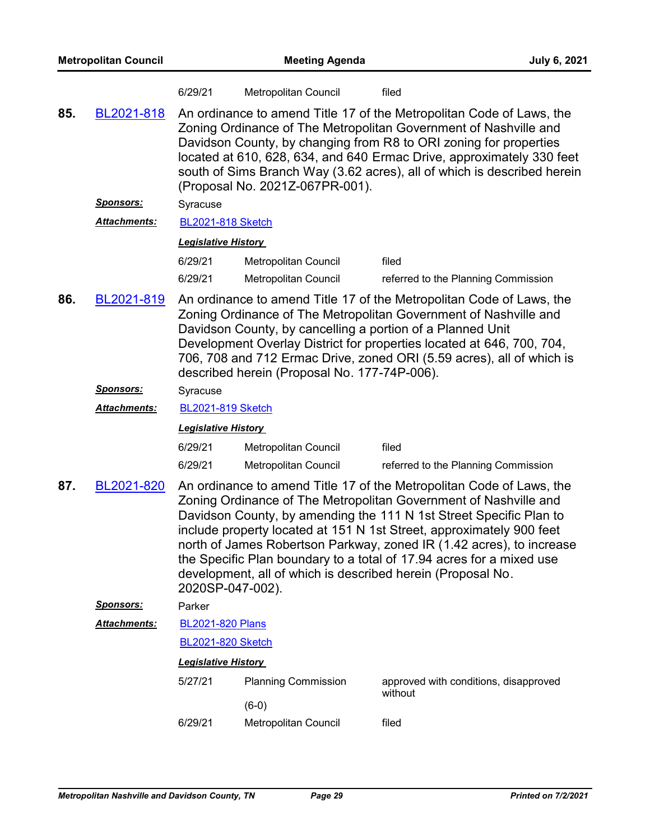| <b>Metropolitan Council</b> |                     |                            | <b>Meeting Agenda</b>                                                                                                                                                                                                                                                                                                                                                                                    | <b>July 6, 2021</b>                                                                                                                                                                                                                                                                                                                                                                                                                                                                                   |  |  |  |
|-----------------------------|---------------------|----------------------------|----------------------------------------------------------------------------------------------------------------------------------------------------------------------------------------------------------------------------------------------------------------------------------------------------------------------------------------------------------------------------------------------------------|-------------------------------------------------------------------------------------------------------------------------------------------------------------------------------------------------------------------------------------------------------------------------------------------------------------------------------------------------------------------------------------------------------------------------------------------------------------------------------------------------------|--|--|--|
|                             |                     | 6/29/21                    | Metropolitan Council                                                                                                                                                                                                                                                                                                                                                                                     | filed                                                                                                                                                                                                                                                                                                                                                                                                                                                                                                 |  |  |  |
| 85.                         | BL2021-818          |                            | An ordinance to amend Title 17 of the Metropolitan Code of Laws, the<br>Zoning Ordinance of The Metropolitan Government of Nashville and<br>Davidson County, by changing from R8 to ORI zoning for properties<br>located at 610, 628, 634, and 640 Ermac Drive, approximately 330 feet<br>south of Sims Branch Way (3.62 acres), all of which is described herein<br>(Proposal No. 2021Z-067PR-001).     |                                                                                                                                                                                                                                                                                                                                                                                                                                                                                                       |  |  |  |
|                             | <u>Sponsors:</u>    | Syracuse                   |                                                                                                                                                                                                                                                                                                                                                                                                          |                                                                                                                                                                                                                                                                                                                                                                                                                                                                                                       |  |  |  |
|                             | <b>Attachments:</b> | <b>BL2021-818 Sketch</b>   |                                                                                                                                                                                                                                                                                                                                                                                                          |                                                                                                                                                                                                                                                                                                                                                                                                                                                                                                       |  |  |  |
|                             |                     | <b>Legislative History</b> |                                                                                                                                                                                                                                                                                                                                                                                                          |                                                                                                                                                                                                                                                                                                                                                                                                                                                                                                       |  |  |  |
|                             |                     | 6/29/21                    | Metropolitan Council                                                                                                                                                                                                                                                                                                                                                                                     | filed                                                                                                                                                                                                                                                                                                                                                                                                                                                                                                 |  |  |  |
|                             |                     | 6/29/21                    | Metropolitan Council                                                                                                                                                                                                                                                                                                                                                                                     | referred to the Planning Commission                                                                                                                                                                                                                                                                                                                                                                                                                                                                   |  |  |  |
| 86.                         | BL2021-819          |                            | An ordinance to amend Title 17 of the Metropolitan Code of Laws, the<br>Zoning Ordinance of The Metropolitan Government of Nashville and<br>Davidson County, by cancelling a portion of a Planned Unit<br>Development Overlay District for properties located at 646, 700, 704,<br>706, 708 and 712 Ermac Drive, zoned ORI (5.59 acres), all of which is<br>described herein (Proposal No. 177-74P-006). |                                                                                                                                                                                                                                                                                                                                                                                                                                                                                                       |  |  |  |
|                             | <u>Sponsors:</u>    | Syracuse                   |                                                                                                                                                                                                                                                                                                                                                                                                          |                                                                                                                                                                                                                                                                                                                                                                                                                                                                                                       |  |  |  |
|                             | Attachments:        | <b>BL2021-819 Sketch</b>   |                                                                                                                                                                                                                                                                                                                                                                                                          |                                                                                                                                                                                                                                                                                                                                                                                                                                                                                                       |  |  |  |
|                             |                     | <b>Legislative History</b> |                                                                                                                                                                                                                                                                                                                                                                                                          |                                                                                                                                                                                                                                                                                                                                                                                                                                                                                                       |  |  |  |
|                             |                     | 6/29/21                    | Metropolitan Council                                                                                                                                                                                                                                                                                                                                                                                     | filed                                                                                                                                                                                                                                                                                                                                                                                                                                                                                                 |  |  |  |
|                             |                     | 6/29/21                    | Metropolitan Council                                                                                                                                                                                                                                                                                                                                                                                     | referred to the Planning Commission                                                                                                                                                                                                                                                                                                                                                                                                                                                                   |  |  |  |
| 87.                         | BL2021-820          | 2020SP-047-002).           |                                                                                                                                                                                                                                                                                                                                                                                                          | An ordinance to amend Title 17 of the Metropolitan Code of Laws, the<br>Zoning Ordinance of The Metropolitan Government of Nashville and<br>Davidson County, by amending the 111 N 1st Street Specific Plan to<br>include property located at 151 N 1st Street, approximately 900 feet<br>north of James Robertson Parkway, zoned IR (1.42 acres), to increase<br>the Specific Plan boundary to a total of 17.94 acres for a mixed use<br>development, all of which is described herein (Proposal No. |  |  |  |
|                             | Sponsors:           | Parker                     |                                                                                                                                                                                                                                                                                                                                                                                                          |                                                                                                                                                                                                                                                                                                                                                                                                                                                                                                       |  |  |  |
|                             | Attachments:        | <b>BL2021-820 Plans</b>    |                                                                                                                                                                                                                                                                                                                                                                                                          |                                                                                                                                                                                                                                                                                                                                                                                                                                                                                                       |  |  |  |
|                             |                     | <b>BL2021-820 Sketch</b>   |                                                                                                                                                                                                                                                                                                                                                                                                          |                                                                                                                                                                                                                                                                                                                                                                                                                                                                                                       |  |  |  |
|                             |                     | <b>Legislative History</b> |                                                                                                                                                                                                                                                                                                                                                                                                          |                                                                                                                                                                                                                                                                                                                                                                                                                                                                                                       |  |  |  |
|                             |                     | 5/27/21                    | <b>Planning Commission</b>                                                                                                                                                                                                                                                                                                                                                                               | approved with conditions, disapproved<br>without                                                                                                                                                                                                                                                                                                                                                                                                                                                      |  |  |  |
|                             |                     |                            | $(6-0)$                                                                                                                                                                                                                                                                                                                                                                                                  |                                                                                                                                                                                                                                                                                                                                                                                                                                                                                                       |  |  |  |
|                             |                     | 6/29/21                    | Metropolitan Council                                                                                                                                                                                                                                                                                                                                                                                     | filed                                                                                                                                                                                                                                                                                                                                                                                                                                                                                                 |  |  |  |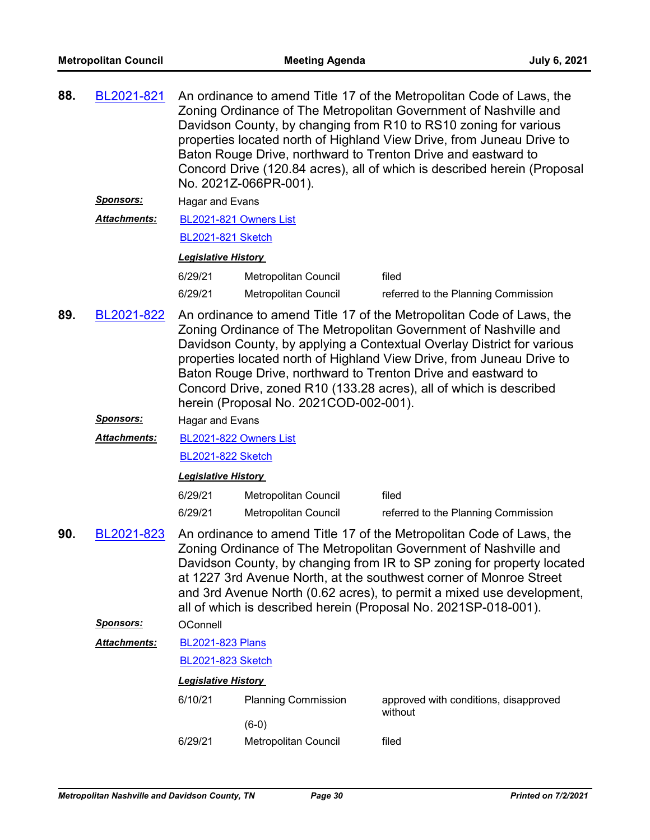| 88.                                    | BL2021-821       |                                                                                                                                                                                                                                                                                                                                                                                                                                                                              | An ordinance to amend Title 17 of the Metropolitan Code of Laws, the<br>Zoning Ordinance of The Metropolitan Government of Nashville and<br>Davidson County, by changing from R10 to RS10 zoning for various<br>properties located north of Highland View Drive, from Juneau Drive to<br>Baton Rouge Drive, northward to Trenton Drive and eastward to<br>Concord Drive (120.84 acres), all of which is described herein (Proposal<br>No. 2021Z-066PR-001). |                                                  |  |  |
|----------------------------------------|------------------|------------------------------------------------------------------------------------------------------------------------------------------------------------------------------------------------------------------------------------------------------------------------------------------------------------------------------------------------------------------------------------------------------------------------------------------------------------------------------|-------------------------------------------------------------------------------------------------------------------------------------------------------------------------------------------------------------------------------------------------------------------------------------------------------------------------------------------------------------------------------------------------------------------------------------------------------------|--------------------------------------------------|--|--|
|                                        | <u>Sponsors:</u> | Hagar and Evans                                                                                                                                                                                                                                                                                                                                                                                                                                                              |                                                                                                                                                                                                                                                                                                                                                                                                                                                             |                                                  |  |  |
|                                        | Attachments:     | BL2021-821 Owners List                                                                                                                                                                                                                                                                                                                                                                                                                                                       |                                                                                                                                                                                                                                                                                                                                                                                                                                                             |                                                  |  |  |
|                                        |                  | <b>BL2021-821 Sketch</b>                                                                                                                                                                                                                                                                                                                                                                                                                                                     |                                                                                                                                                                                                                                                                                                                                                                                                                                                             |                                                  |  |  |
|                                        |                  | <b>Legislative History</b>                                                                                                                                                                                                                                                                                                                                                                                                                                                   |                                                                                                                                                                                                                                                                                                                                                                                                                                                             |                                                  |  |  |
|                                        |                  | 6/29/21                                                                                                                                                                                                                                                                                                                                                                                                                                                                      | Metropolitan Council                                                                                                                                                                                                                                                                                                                                                                                                                                        | filed                                            |  |  |
|                                        |                  | 6/29/21                                                                                                                                                                                                                                                                                                                                                                                                                                                                      | Metropolitan Council                                                                                                                                                                                                                                                                                                                                                                                                                                        | referred to the Planning Commission              |  |  |
| 89.                                    | BL2021-822       | An ordinance to amend Title 17 of the Metropolitan Code of Laws, the<br>Zoning Ordinance of The Metropolitan Government of Nashville and<br>Davidson County, by applying a Contextual Overlay District for various<br>properties located north of Highland View Drive, from Juneau Drive to<br>Baton Rouge Drive, northward to Trenton Drive and eastward to<br>Concord Drive, zoned R10 (133.28 acres), all of which is described<br>herein (Proposal No. 2021COD-002-001). |                                                                                                                                                                                                                                                                                                                                                                                                                                                             |                                                  |  |  |
|                                        | Sponsors:        | <b>Hagar and Evans</b>                                                                                                                                                                                                                                                                                                                                                                                                                                                       |                                                                                                                                                                                                                                                                                                                                                                                                                                                             |                                                  |  |  |
| Attachments:<br>BL2021-822 Owners List |                  |                                                                                                                                                                                                                                                                                                                                                                                                                                                                              |                                                                                                                                                                                                                                                                                                                                                                                                                                                             |                                                  |  |  |
|                                        |                  | <b>BL2021-822 Sketch</b>                                                                                                                                                                                                                                                                                                                                                                                                                                                     |                                                                                                                                                                                                                                                                                                                                                                                                                                                             |                                                  |  |  |
|                                        |                  | <b>Legislative History</b>                                                                                                                                                                                                                                                                                                                                                                                                                                                   |                                                                                                                                                                                                                                                                                                                                                                                                                                                             |                                                  |  |  |
|                                        |                  | 6/29/21                                                                                                                                                                                                                                                                                                                                                                                                                                                                      | Metropolitan Council                                                                                                                                                                                                                                                                                                                                                                                                                                        | filed                                            |  |  |
|                                        |                  | 6/29/21                                                                                                                                                                                                                                                                                                                                                                                                                                                                      | <b>Metropolitan Council</b>                                                                                                                                                                                                                                                                                                                                                                                                                                 | referred to the Planning Commission              |  |  |
| 90.                                    | BL2021-823       | An ordinance to amend Title 17 of the Metropolitan Code of Laws, the<br>Zoning Ordinance of The Metropolitan Government of Nashville and<br>Davidson County, by changing from IR to SP zoning for property located<br>at 1227 3rd Avenue North, at the southwest corner of Monroe Street<br>and 3rd Avenue North (0.62 acres), to permit a mixed use development,<br>all of which is described herein (Proposal No. 2021SP-018-001).                                         |                                                                                                                                                                                                                                                                                                                                                                                                                                                             |                                                  |  |  |
|                                        | Sponsors:        | OConnell                                                                                                                                                                                                                                                                                                                                                                                                                                                                     |                                                                                                                                                                                                                                                                                                                                                                                                                                                             |                                                  |  |  |
|                                        | Attachments:     | <b>BL2021-823 Plans</b>                                                                                                                                                                                                                                                                                                                                                                                                                                                      |                                                                                                                                                                                                                                                                                                                                                                                                                                                             |                                                  |  |  |
|                                        |                  | BL2021-823 Sketch                                                                                                                                                                                                                                                                                                                                                                                                                                                            |                                                                                                                                                                                                                                                                                                                                                                                                                                                             |                                                  |  |  |
|                                        |                  | <b>Legislative History</b>                                                                                                                                                                                                                                                                                                                                                                                                                                                   |                                                                                                                                                                                                                                                                                                                                                                                                                                                             |                                                  |  |  |
|                                        |                  | 6/10/21                                                                                                                                                                                                                                                                                                                                                                                                                                                                      | <b>Planning Commission</b>                                                                                                                                                                                                                                                                                                                                                                                                                                  | approved with conditions, disapproved<br>without |  |  |
|                                        |                  | 6/29/21                                                                                                                                                                                                                                                                                                                                                                                                                                                                      | $(6-0)$<br>Metropolitan Council                                                                                                                                                                                                                                                                                                                                                                                                                             | filed                                            |  |  |
|                                        |                  |                                                                                                                                                                                                                                                                                                                                                                                                                                                                              |                                                                                                                                                                                                                                                                                                                                                                                                                                                             |                                                  |  |  |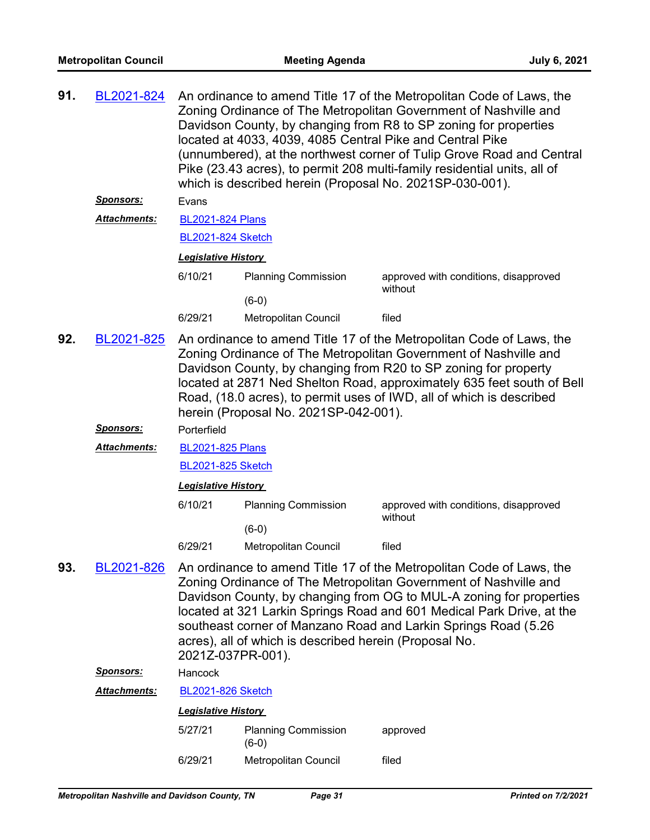| 91. | BL2021-824          | An ordinance to amend Title 17 of the Metropolitan Code of Laws, the<br>Zoning Ordinance of The Metropolitan Government of Nashville and<br>Davidson County, by changing from R8 to SP zoning for properties<br>located at 4033, 4039, 4085 Central Pike and Central Pike<br>(unnumbered), at the northwest corner of Tulip Grove Road and Central<br>Pike (23.43 acres), to permit 208 multi-family residential units, all of<br>which is described herein (Proposal No. 2021SP-030-001). |                                                        |                                                                                                                                                                                                                                                                                                                                                               |  |  |
|-----|---------------------|--------------------------------------------------------------------------------------------------------------------------------------------------------------------------------------------------------------------------------------------------------------------------------------------------------------------------------------------------------------------------------------------------------------------------------------------------------------------------------------------|--------------------------------------------------------|---------------------------------------------------------------------------------------------------------------------------------------------------------------------------------------------------------------------------------------------------------------------------------------------------------------------------------------------------------------|--|--|
|     | Sponsors:           | Evans                                                                                                                                                                                                                                                                                                                                                                                                                                                                                      |                                                        |                                                                                                                                                                                                                                                                                                                                                               |  |  |
|     | <b>Attachments:</b> | <b>BL2021-824 Plans</b>                                                                                                                                                                                                                                                                                                                                                                                                                                                                    |                                                        |                                                                                                                                                                                                                                                                                                                                                               |  |  |
|     |                     | <b>BL2021-824 Sketch</b>                                                                                                                                                                                                                                                                                                                                                                                                                                                                   |                                                        |                                                                                                                                                                                                                                                                                                                                                               |  |  |
|     |                     | <b>Legislative History</b>                                                                                                                                                                                                                                                                                                                                                                                                                                                                 |                                                        |                                                                                                                                                                                                                                                                                                                                                               |  |  |
|     |                     | 6/10/21                                                                                                                                                                                                                                                                                                                                                                                                                                                                                    | <b>Planning Commission</b>                             | approved with conditions, disapproved<br>without                                                                                                                                                                                                                                                                                                              |  |  |
|     |                     |                                                                                                                                                                                                                                                                                                                                                                                                                                                                                            | $(6-0)$                                                |                                                                                                                                                                                                                                                                                                                                                               |  |  |
|     |                     | 6/29/21                                                                                                                                                                                                                                                                                                                                                                                                                                                                                    | Metropolitan Council                                   | filed                                                                                                                                                                                                                                                                                                                                                         |  |  |
| 92. | BL2021-825          |                                                                                                                                                                                                                                                                                                                                                                                                                                                                                            | herein (Proposal No. 2021SP-042-001).                  | An ordinance to amend Title 17 of the Metropolitan Code of Laws, the<br>Zoning Ordinance of The Metropolitan Government of Nashville and<br>Davidson County, by changing from R20 to SP zoning for property<br>located at 2871 Ned Shelton Road, approximately 635 feet south of Bell<br>Road, (18.0 acres), to permit uses of IWD, all of which is described |  |  |
|     | <u>Sponsors:</u>    | Porterfield                                                                                                                                                                                                                                                                                                                                                                                                                                                                                |                                                        |                                                                                                                                                                                                                                                                                                                                                               |  |  |
|     | <b>Attachments:</b> | <b>BL2021-825 Plans</b>                                                                                                                                                                                                                                                                                                                                                                                                                                                                    |                                                        |                                                                                                                                                                                                                                                                                                                                                               |  |  |
|     |                     | <b>BL2021-825 Sketch</b>                                                                                                                                                                                                                                                                                                                                                                                                                                                                   |                                                        |                                                                                                                                                                                                                                                                                                                                                               |  |  |
|     |                     | <b>Legislative History</b>                                                                                                                                                                                                                                                                                                                                                                                                                                                                 |                                                        |                                                                                                                                                                                                                                                                                                                                                               |  |  |
|     |                     | 6/10/21                                                                                                                                                                                                                                                                                                                                                                                                                                                                                    | <b>Planning Commission</b>                             | approved with conditions, disapproved<br>without                                                                                                                                                                                                                                                                                                              |  |  |
|     |                     |                                                                                                                                                                                                                                                                                                                                                                                                                                                                                            | $(6-0)$                                                |                                                                                                                                                                                                                                                                                                                                                               |  |  |
|     |                     | 6/29/21                                                                                                                                                                                                                                                                                                                                                                                                                                                                                    | Metropolitan Council                                   | filed                                                                                                                                                                                                                                                                                                                                                         |  |  |
| 93. | BL2021-826          | 2021Z-037PR-001).                                                                                                                                                                                                                                                                                                                                                                                                                                                                          | acres), all of which is described herein (Proposal No. | An ordinance to amend Title 17 of the Metropolitan Code of Laws, the<br>Zoning Ordinance of The Metropolitan Government of Nashville and<br>Davidson County, by changing from OG to MUL-A zoning for properties<br>located at 321 Larkin Springs Road and 601 Medical Park Drive, at the<br>southeast corner of Manzano Road and Larkin Springs Road (5.26    |  |  |
|     | Sponsors:           | Hancock                                                                                                                                                                                                                                                                                                                                                                                                                                                                                    |                                                        |                                                                                                                                                                                                                                                                                                                                                               |  |  |
|     | <b>Attachments:</b> | <b>BL2021-826 Sketch</b>                                                                                                                                                                                                                                                                                                                                                                                                                                                                   |                                                        |                                                                                                                                                                                                                                                                                                                                                               |  |  |
|     |                     | <b>Legislative History</b>                                                                                                                                                                                                                                                                                                                                                                                                                                                                 |                                                        |                                                                                                                                                                                                                                                                                                                                                               |  |  |
|     |                     | 5/27/21                                                                                                                                                                                                                                                                                                                                                                                                                                                                                    | <b>Planning Commission</b><br>$(6-0)$                  | approved                                                                                                                                                                                                                                                                                                                                                      |  |  |
|     |                     | 6/29/21                                                                                                                                                                                                                                                                                                                                                                                                                                                                                    | Metropolitan Council                                   | filed                                                                                                                                                                                                                                                                                                                                                         |  |  |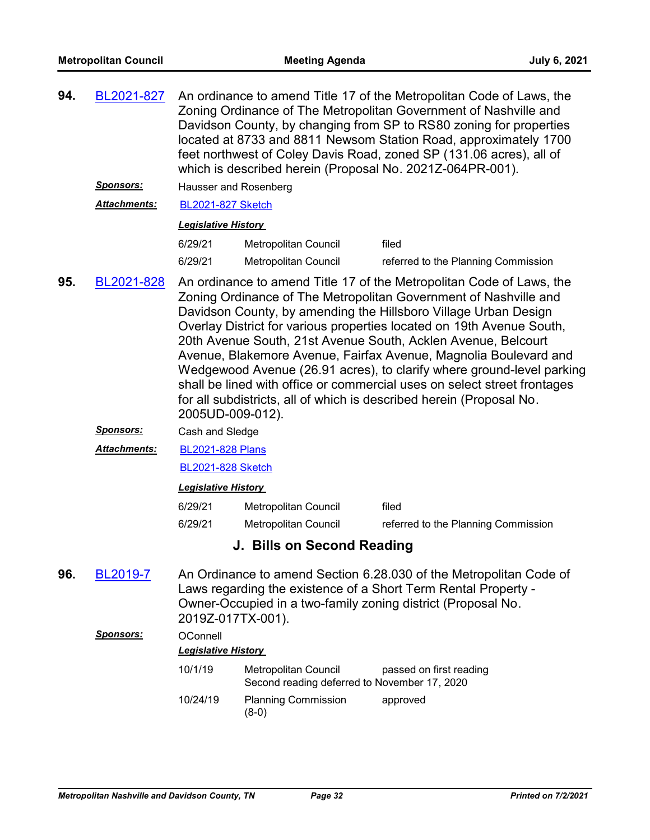| 94. | BL2021-827          | An ordinance to amend Title 17 of the Metropolitan Code of Laws, the<br>Zoning Ordinance of The Metropolitan Government of Nashville and<br>Davidson County, by changing from SP to RS80 zoning for properties<br>located at 8733 and 8811 Newsom Station Road, approximately 1700<br>feet northwest of Coley Davis Road, zoned SP (131.06 acres), all of<br>which is described herein (Proposal No. 2021Z-064PR-001).                                                                                                                                                                                                                                 |                            |                                     |  |
|-----|---------------------|--------------------------------------------------------------------------------------------------------------------------------------------------------------------------------------------------------------------------------------------------------------------------------------------------------------------------------------------------------------------------------------------------------------------------------------------------------------------------------------------------------------------------------------------------------------------------------------------------------------------------------------------------------|----------------------------|-------------------------------------|--|
|     | <u>Sponsors:</u>    | Hausser and Rosenberg                                                                                                                                                                                                                                                                                                                                                                                                                                                                                                                                                                                                                                  |                            |                                     |  |
|     | <b>Attachments:</b> | <b>BL2021-827 Sketch</b>                                                                                                                                                                                                                                                                                                                                                                                                                                                                                                                                                                                                                               |                            |                                     |  |
|     |                     | <b>Legislative History</b>                                                                                                                                                                                                                                                                                                                                                                                                                                                                                                                                                                                                                             |                            |                                     |  |
|     |                     | 6/29/21                                                                                                                                                                                                                                                                                                                                                                                                                                                                                                                                                                                                                                                | Metropolitan Council       | filed                               |  |
|     |                     | 6/29/21                                                                                                                                                                                                                                                                                                                                                                                                                                                                                                                                                                                                                                                | Metropolitan Council       | referred to the Planning Commission |  |
| 95. | BL2021-828          | An ordinance to amend Title 17 of the Metropolitan Code of Laws, the<br>Zoning Ordinance of The Metropolitan Government of Nashville and<br>Davidson County, by amending the Hillsboro Village Urban Design<br>Overlay District for various properties located on 19th Avenue South,<br>20th Avenue South, 21st Avenue South, Acklen Avenue, Belcourt<br>Avenue, Blakemore Avenue, Fairfax Avenue, Magnolia Boulevard and<br>Wedgewood Avenue (26.91 acres), to clarify where ground-level parking<br>shall be lined with office or commercial uses on select street frontages<br>for all subdistricts, all of which is described herein (Proposal No. |                            |                                     |  |
|     | <b>Sponsors:</b>    | Cash and Sledge                                                                                                                                                                                                                                                                                                                                                                                                                                                                                                                                                                                                                                        |                            |                                     |  |
|     | <b>Attachments:</b> | <b>BL2021-828 Plans</b>                                                                                                                                                                                                                                                                                                                                                                                                                                                                                                                                                                                                                                |                            |                                     |  |
|     |                     | <b>BL2021-828 Sketch</b>                                                                                                                                                                                                                                                                                                                                                                                                                                                                                                                                                                                                                               |                            |                                     |  |
|     |                     | <b>Legislative History</b>                                                                                                                                                                                                                                                                                                                                                                                                                                                                                                                                                                                                                             |                            |                                     |  |
|     |                     | 6/29/21                                                                                                                                                                                                                                                                                                                                                                                                                                                                                                                                                                                                                                                | Metropolitan Council       | filed                               |  |
|     |                     | 6/29/21                                                                                                                                                                                                                                                                                                                                                                                                                                                                                                                                                                                                                                                | Metropolitan Council       | referred to the Planning Commission |  |
|     |                     |                                                                                                                                                                                                                                                                                                                                                                                                                                                                                                                                                                                                                                                        | J. Bills on Second Reading |                                     |  |
| 96. | <b>BL2019-7</b>     | An Ordinance to amend Section 6.28.030 of the Metropolitan Code of<br>Laws regarding the existence of a Short Term Rental Property -<br>Owner-Occupied in a two-family zoning district (Proposal No.<br>2019Z-017TX-001).                                                                                                                                                                                                                                                                                                                                                                                                                              |                            |                                     |  |
|     | <u>Sponsors:</u>    | OConnell<br><b>Legislative History</b>                                                                                                                                                                                                                                                                                                                                                                                                                                                                                                                                                                                                                 |                            |                                     |  |
|     |                     | 10/1/19                                                                                                                                                                                                                                                                                                                                                                                                                                                                                                                                                                                                                                                | Metropolitan Council       | passed on first reading             |  |

10/24/19 Planning Commission approved

(8-0)

Second reading deferred to November 17, 2020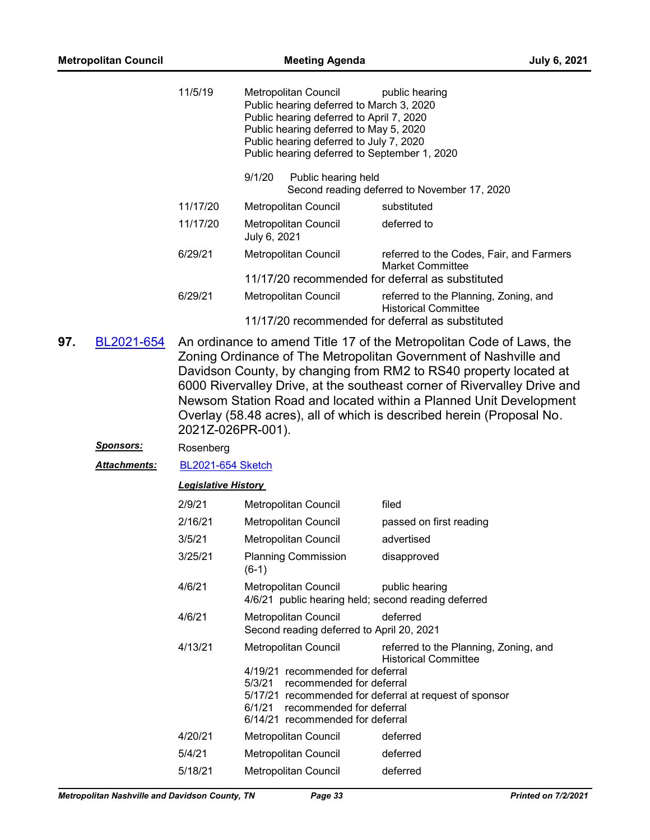**97.** 

|                  | 11/5/19                    | Metropolitan Council<br>Public hearing deferred to March 3, 2020<br>Public hearing deferred to April 7, 2020<br>Public hearing deferred to May 5, 2020<br>Public hearing deferred to July 7, 2020<br>Public hearing deferred to September 1, 2020 | public hearing                                                                                                                                                                                                                                                                                                                                                  |
|------------------|----------------------------|---------------------------------------------------------------------------------------------------------------------------------------------------------------------------------------------------------------------------------------------------|-----------------------------------------------------------------------------------------------------------------------------------------------------------------------------------------------------------------------------------------------------------------------------------------------------------------------------------------------------------------|
|                  |                            | 9/1/20<br>Public hearing held                                                                                                                                                                                                                     | Second reading deferred to November 17, 2020                                                                                                                                                                                                                                                                                                                    |
|                  | 11/17/20                   | Metropolitan Council                                                                                                                                                                                                                              | substituted                                                                                                                                                                                                                                                                                                                                                     |
|                  | 11/17/20                   | Metropolitan Council<br>July 6, 2021                                                                                                                                                                                                              | deferred to                                                                                                                                                                                                                                                                                                                                                     |
|                  | 6/29/21                    | Metropolitan Council                                                                                                                                                                                                                              | referred to the Codes, Fair, and Farmers<br><b>Market Committee</b>                                                                                                                                                                                                                                                                                             |
|                  |                            | 11/17/20 recommended for deferral as substituted                                                                                                                                                                                                  |                                                                                                                                                                                                                                                                                                                                                                 |
|                  | 6/29/21                    | Metropolitan Council<br>11/17/20 recommended for deferral as substituted                                                                                                                                                                          | referred to the Planning, Zoning, and<br><b>Historical Committee</b>                                                                                                                                                                                                                                                                                            |
|                  | 2021Z-026PR-001).          |                                                                                                                                                                                                                                                   | Zoning Ordinance of The Metropolitan Government of Nashville and<br>Davidson County, by changing from RM2 to RS40 property located at<br>6000 Rivervalley Drive, at the southeast corner of Rivervalley Drive and<br>Newsom Station Road and located within a Planned Unit Development<br>Overlay (58.48 acres), all of which is described herein (Proposal No. |
|                  |                            |                                                                                                                                                                                                                                                   |                                                                                                                                                                                                                                                                                                                                                                 |
| <b>Sponsors:</b> | Rosenberg                  |                                                                                                                                                                                                                                                   |                                                                                                                                                                                                                                                                                                                                                                 |
| Attachments:     | <b>BL2021-654 Sketch</b>   |                                                                                                                                                                                                                                                   |                                                                                                                                                                                                                                                                                                                                                                 |
|                  | <b>Legislative History</b> |                                                                                                                                                                                                                                                   |                                                                                                                                                                                                                                                                                                                                                                 |
|                  | 2/9/21                     | Metropolitan Council                                                                                                                                                                                                                              | filed                                                                                                                                                                                                                                                                                                                                                           |
|                  | 2/16/21                    | Metropolitan Council                                                                                                                                                                                                                              | passed on first reading                                                                                                                                                                                                                                                                                                                                         |
|                  | 3/5/21                     | Metropolitan Council                                                                                                                                                                                                                              | advertised                                                                                                                                                                                                                                                                                                                                                      |
|                  | 3/25/21                    | <b>Planning Commission</b><br>$(6-1)$                                                                                                                                                                                                             | disapproved                                                                                                                                                                                                                                                                                                                                                     |
|                  | 4/6/21                     | Metropolitan Council<br>4/6/21 public hearing held; second reading deferred                                                                                                                                                                       | public hearing                                                                                                                                                                                                                                                                                                                                                  |
|                  | 4/6/21                     | Metropolitan Council<br>Second reading deferred to April 20, 2021                                                                                                                                                                                 | deferred                                                                                                                                                                                                                                                                                                                                                        |
|                  | 4/13/21                    | <b>Metropolitan Council</b><br>4/19/21 recommended for deferral                                                                                                                                                                                   | referred to the Planning, Zoning, and<br><b>Historical Committee</b>                                                                                                                                                                                                                                                                                            |
|                  |                            | 5/3/21<br>recommended for deferral<br>6/1/21<br>recommended for deferral<br>6/14/21 recommended for deferral                                                                                                                                      | 5/17/21 recommended for deferral at request of sponsor                                                                                                                                                                                                                                                                                                          |
|                  | 4/20/21                    | Metropolitan Council                                                                                                                                                                                                                              | deferred                                                                                                                                                                                                                                                                                                                                                        |
|                  | 5/4/21                     | Metropolitan Council                                                                                                                                                                                                                              | deferred                                                                                                                                                                                                                                                                                                                                                        |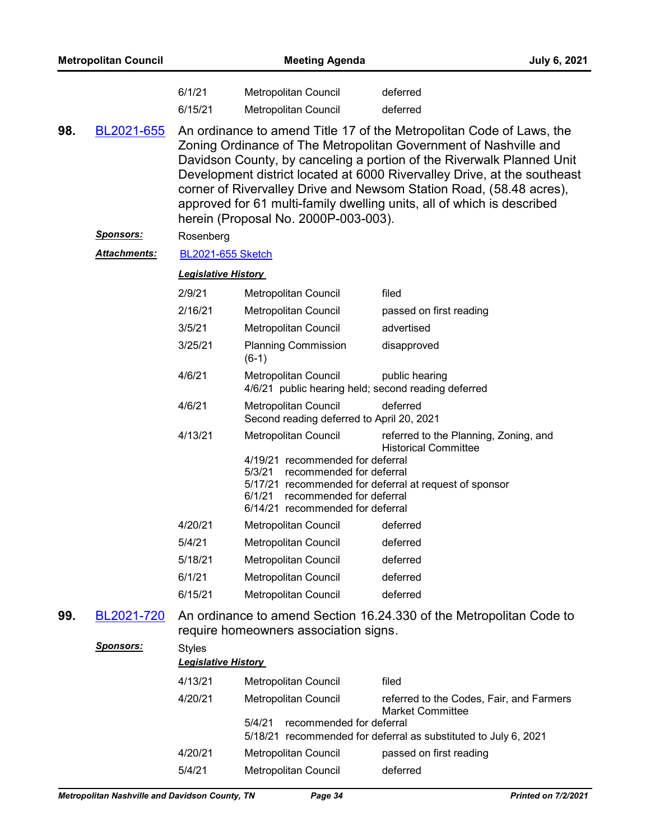| <b>Metropolitan Council</b> |                   |                            | <b>Meeting Agenda</b>                                                                                                                                                 | <b>July 6, 2021</b>                                                                                                                                                                                                                                                                                                                                                                                                                            |  |
|-----------------------------|-------------------|----------------------------|-----------------------------------------------------------------------------------------------------------------------------------------------------------------------|------------------------------------------------------------------------------------------------------------------------------------------------------------------------------------------------------------------------------------------------------------------------------------------------------------------------------------------------------------------------------------------------------------------------------------------------|--|
|                             |                   | 6/1/21                     | Metropolitan Council                                                                                                                                                  | deferred                                                                                                                                                                                                                                                                                                                                                                                                                                       |  |
|                             |                   | 6/15/21                    | <b>Metropolitan Council</b>                                                                                                                                           | deferred                                                                                                                                                                                                                                                                                                                                                                                                                                       |  |
| 98.                         | <u>BL2021-655</u> |                            | herein (Proposal No. 2000P-003-003).                                                                                                                                  | An ordinance to amend Title 17 of the Metropolitan Code of Laws, the<br>Zoning Ordinance of The Metropolitan Government of Nashville and<br>Davidson County, by canceling a portion of the Riverwalk Planned Unit<br>Development district located at 6000 Rivervalley Drive, at the southeast<br>corner of Rivervalley Drive and Newsom Station Road, (58.48 acres),<br>approved for 61 multi-family dwelling units, all of which is described |  |
|                             | <u>Sponsors:</u>  | Rosenberg                  |                                                                                                                                                                       |                                                                                                                                                                                                                                                                                                                                                                                                                                                |  |
|                             | Attachments:      | <b>BL2021-655 Sketch</b>   |                                                                                                                                                                       |                                                                                                                                                                                                                                                                                                                                                                                                                                                |  |
|                             |                   | <b>Legislative History</b> |                                                                                                                                                                       |                                                                                                                                                                                                                                                                                                                                                                                                                                                |  |
|                             |                   | 2/9/21                     | Metropolitan Council                                                                                                                                                  | filed                                                                                                                                                                                                                                                                                                                                                                                                                                          |  |
|                             |                   | 2/16/21                    | Metropolitan Council                                                                                                                                                  | passed on first reading                                                                                                                                                                                                                                                                                                                                                                                                                        |  |
|                             |                   | 3/5/21                     | <b>Metropolitan Council</b>                                                                                                                                           | advertised                                                                                                                                                                                                                                                                                                                                                                                                                                     |  |
|                             |                   | 3/25/21                    | <b>Planning Commission</b><br>$(6-1)$                                                                                                                                 | disapproved                                                                                                                                                                                                                                                                                                                                                                                                                                    |  |
|                             |                   | 4/6/21                     | Metropolitan Council                                                                                                                                                  | public hearing<br>4/6/21 public hearing held; second reading deferred                                                                                                                                                                                                                                                                                                                                                                          |  |
|                             |                   | 4/6/21                     | Metropolitan Council<br>Second reading deferred to April 20, 2021                                                                                                     | deferred                                                                                                                                                                                                                                                                                                                                                                                                                                       |  |
|                             |                   | 4/13/21                    | Metropolitan Council<br>4/19/21 recommended for deferral<br>5/3/21<br>recommended for deferral<br>6/1/21 recommended for deferral<br>6/14/21 recommended for deferral | referred to the Planning, Zoning, and<br><b>Historical Committee</b><br>5/17/21 recommended for deferral at request of sponsor                                                                                                                                                                                                                                                                                                                 |  |
|                             |                   | 4/20/21                    | Metropolitan Council                                                                                                                                                  | deferred                                                                                                                                                                                                                                                                                                                                                                                                                                       |  |
|                             |                   | 5/4/21                     | Metropolitan Council                                                                                                                                                  | deferred                                                                                                                                                                                                                                                                                                                                                                                                                                       |  |
|                             |                   | 5/18/21                    | Metropolitan Council                                                                                                                                                  | deferred                                                                                                                                                                                                                                                                                                                                                                                                                                       |  |
|                             |                   | 6/1/21                     | Metropolitan Council                                                                                                                                                  | deferred                                                                                                                                                                                                                                                                                                                                                                                                                                       |  |
|                             |                   | 6/15/21                    | Metropolitan Council                                                                                                                                                  | deferred                                                                                                                                                                                                                                                                                                                                                                                                                                       |  |
| 99.                         | BL2021-720        |                            | require homeowners association signs.                                                                                                                                 | An ordinance to amend Section 16.24.330 of the Metropolitan Code to                                                                                                                                                                                                                                                                                                                                                                            |  |
|                             | <b>Sponsors:</b>  | <b>Styles</b>              |                                                                                                                                                                       |                                                                                                                                                                                                                                                                                                                                                                                                                                                |  |
|                             |                   | <b>Legislative History</b> |                                                                                                                                                                       |                                                                                                                                                                                                                                                                                                                                                                                                                                                |  |
|                             |                   | 4/13/21                    | Metropolitan Council                                                                                                                                                  | filed                                                                                                                                                                                                                                                                                                                                                                                                                                          |  |
|                             |                   | 4/20/21                    | Metropolitan Council                                                                                                                                                  | referred to the Codes, Fair, and Farmers<br><b>Market Committee</b>                                                                                                                                                                                                                                                                                                                                                                            |  |
|                             |                   |                            | 5/4/21<br>recommended for deferral                                                                                                                                    | 5/18/21 recommended for deferral as substituted to July 6, 2021                                                                                                                                                                                                                                                                                                                                                                                |  |
|                             |                   | 4/20/21                    | Metropolitan Council                                                                                                                                                  | passed on first reading                                                                                                                                                                                                                                                                                                                                                                                                                        |  |
|                             |                   | 5/4/21                     | Metropolitan Council                                                                                                                                                  | deferred                                                                                                                                                                                                                                                                                                                                                                                                                                       |  |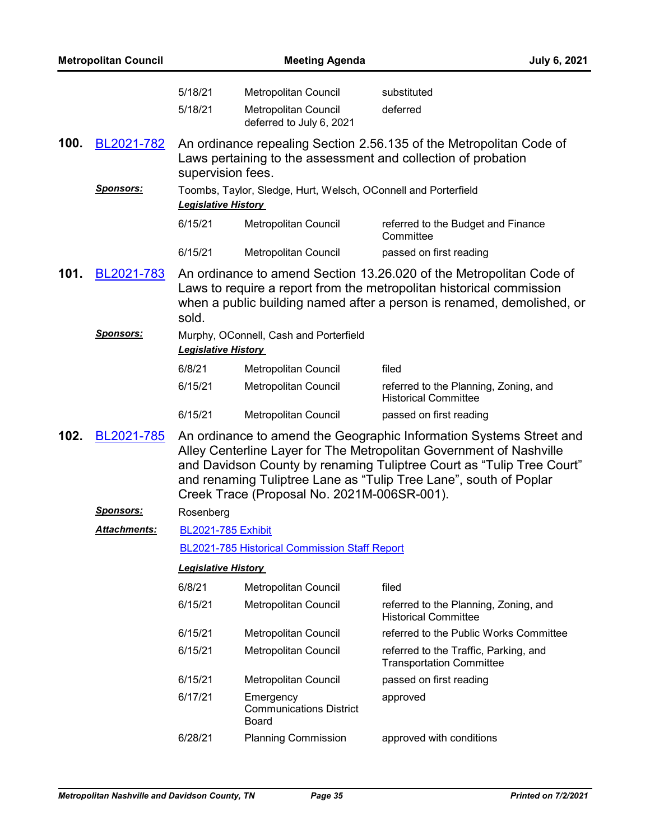|      | <b>Metropolitan Council</b> |                                               | <b>Meeting Agenda</b>                                                           | <b>July 6, 2021</b>                                                                                                                                                                                                                                                                      |  |
|------|-----------------------------|-----------------------------------------------|---------------------------------------------------------------------------------|------------------------------------------------------------------------------------------------------------------------------------------------------------------------------------------------------------------------------------------------------------------------------------------|--|
|      |                             | 5/18/21<br>5/18/21                            | Metropolitan Council<br><b>Metropolitan Council</b><br>deferred to July 6, 2021 | substituted<br>deferred                                                                                                                                                                                                                                                                  |  |
| 100. | BL2021-782                  | supervision fees.                             |                                                                                 | An ordinance repealing Section 2.56.135 of the Metropolitan Code of<br>Laws pertaining to the assessment and collection of probation                                                                                                                                                     |  |
|      | <u>Sponsors:</u>            | <b>Legislative History</b>                    | Toombs, Taylor, Sledge, Hurt, Welsch, OConnell and Porterfield                  |                                                                                                                                                                                                                                                                                          |  |
|      |                             | 6/15/21                                       | Metropolitan Council                                                            | referred to the Budget and Finance<br>Committee                                                                                                                                                                                                                                          |  |
|      |                             | 6/15/21                                       | <b>Metropolitan Council</b>                                                     | passed on first reading                                                                                                                                                                                                                                                                  |  |
| 101. | BL2021-783                  | sold.                                         |                                                                                 | An ordinance to amend Section 13.26.020 of the Metropolitan Code of<br>Laws to require a report from the metropolitan historical commission<br>when a public building named after a person is renamed, demolished, or                                                                    |  |
|      | <u>Sponsors:</u>            | <b>Legislative History</b>                    | Murphy, OConnell, Cash and Porterfield                                          |                                                                                                                                                                                                                                                                                          |  |
|      |                             | 6/8/21                                        | Metropolitan Council                                                            | filed                                                                                                                                                                                                                                                                                    |  |
|      |                             | 6/15/21                                       | Metropolitan Council                                                            | referred to the Planning, Zoning, and<br><b>Historical Committee</b>                                                                                                                                                                                                                     |  |
|      |                             | 6/15/21                                       | Metropolitan Council                                                            | passed on first reading                                                                                                                                                                                                                                                                  |  |
| 102. | BL2021-785                  |                                               | Creek Trace (Proposal No. 2021M-006SR-001).                                     | An ordinance to amend the Geographic Information Systems Street and<br>Alley Centerline Layer for The Metropolitan Government of Nashville<br>and Davidson County by renaming Tuliptree Court as "Tulip Tree Court"<br>and renaming Tuliptree Lane as "Tulip Tree Lane", south of Poplar |  |
|      | <b>Sponsors:</b>            | Rosenberg                                     |                                                                                 |                                                                                                                                                                                                                                                                                          |  |
|      | <b>Attachments:</b>         | <b>BL2021-785 Exhibit</b>                     |                                                                                 |                                                                                                                                                                                                                                                                                          |  |
|      |                             | BL2021-785 Historical Commission Staff Report |                                                                                 |                                                                                                                                                                                                                                                                                          |  |
|      |                             | <b>Legislative History</b>                    |                                                                                 |                                                                                                                                                                                                                                                                                          |  |
|      |                             | 6/8/21                                        | Metropolitan Council                                                            | filed                                                                                                                                                                                                                                                                                    |  |
|      |                             | 6/15/21                                       | Metropolitan Council                                                            | referred to the Planning, Zoning, and<br><b>Historical Committee</b>                                                                                                                                                                                                                     |  |
|      |                             | 6/15/21                                       | <b>Metropolitan Council</b>                                                     | referred to the Public Works Committee                                                                                                                                                                                                                                                   |  |
|      |                             | 6/15/21                                       | Metropolitan Council                                                            | referred to the Traffic, Parking, and<br><b>Transportation Committee</b>                                                                                                                                                                                                                 |  |
|      |                             | 6/15/21                                       | Metropolitan Council                                                            | passed on first reading                                                                                                                                                                                                                                                                  |  |
|      |                             | 6/17/21                                       | Emergency<br><b>Communications District</b><br><b>Board</b>                     | approved                                                                                                                                                                                                                                                                                 |  |
|      |                             | 6/28/21                                       | <b>Planning Commission</b>                                                      | approved with conditions                                                                                                                                                                                                                                                                 |  |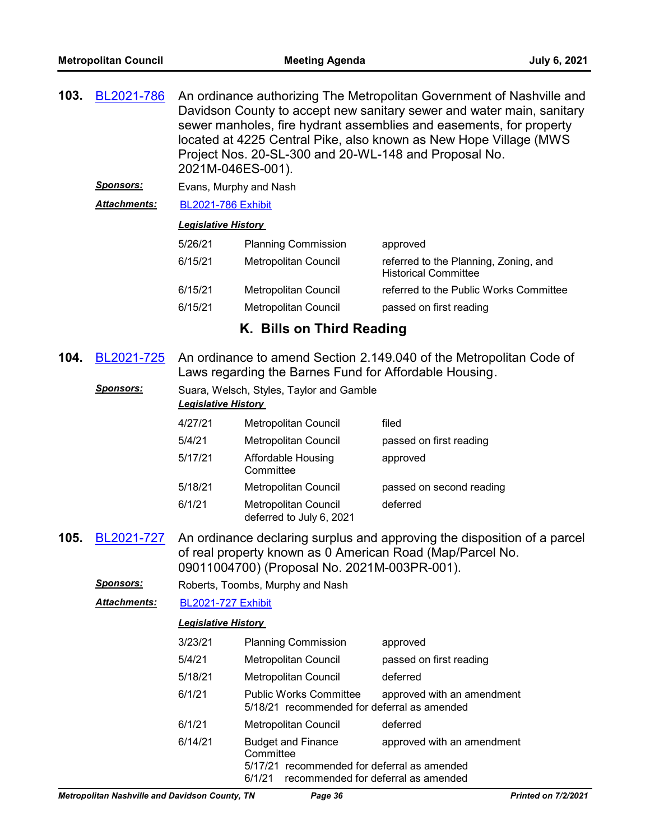| 103. | BL2021-786           | 2021M-046ES-001).                                                      | Project Nos. 20-SL-300 and 20-WL-148 and Proposal No.                                 | An ordinance authorizing The Metropolitan Government of Nashville and<br>Davidson County to accept new sanitary sewer and water main, sanitary<br>sewer manholes, fire hydrant assemblies and easements, for property<br>located at 4225 Central Pike, also known as New Hope Village (MWS |  |
|------|----------------------|------------------------------------------------------------------------|---------------------------------------------------------------------------------------|--------------------------------------------------------------------------------------------------------------------------------------------------------------------------------------------------------------------------------------------------------------------------------------------|--|
|      | <u>Sponsors:</u>     | Evans, Murphy and Nash                                                 |                                                                                       |                                                                                                                                                                                                                                                                                            |  |
|      | <b>Attachments:</b>  | <b>BL2021-786 Exhibit</b>                                              |                                                                                       |                                                                                                                                                                                                                                                                                            |  |
|      |                      | <b>Legislative History</b>                                             |                                                                                       |                                                                                                                                                                                                                                                                                            |  |
|      |                      | 5/26/21                                                                | <b>Planning Commission</b>                                                            | approved                                                                                                                                                                                                                                                                                   |  |
|      |                      | 6/15/21                                                                | Metropolitan Council                                                                  | referred to the Planning, Zoning, and<br><b>Historical Committee</b>                                                                                                                                                                                                                       |  |
|      |                      | 6/15/21                                                                | Metropolitan Council                                                                  | referred to the Public Works Committee                                                                                                                                                                                                                                                     |  |
|      |                      | 6/15/21                                                                | Metropolitan Council                                                                  | passed on first reading                                                                                                                                                                                                                                                                    |  |
|      |                      |                                                                        | K. Bills on Third Reading                                                             |                                                                                                                                                                                                                                                                                            |  |
| 104. | BL2021-725           |                                                                        | Laws regarding the Barnes Fund for Affordable Housing.                                | An ordinance to amend Section 2.149.040 of the Metropolitan Code of                                                                                                                                                                                                                        |  |
|      | <b>Sponsors:</b>     | Suara, Welsch, Styles, Taylor and Gamble<br><b>Legislative History</b> |                                                                                       |                                                                                                                                                                                                                                                                                            |  |
|      |                      | 4/27/21                                                                | Metropolitan Council                                                                  | filed                                                                                                                                                                                                                                                                                      |  |
|      |                      | 5/4/21                                                                 | Metropolitan Council                                                                  | passed on first reading                                                                                                                                                                                                                                                                    |  |
|      |                      | 5/17/21                                                                | Affordable Housing<br>Committee                                                       | approved                                                                                                                                                                                                                                                                                   |  |
|      |                      | 5/18/21                                                                | Metropolitan Council                                                                  | passed on second reading                                                                                                                                                                                                                                                                   |  |
|      |                      | 6/1/21                                                                 | <b>Metropolitan Council</b><br>deferred to July 6, 2021                               | deferred                                                                                                                                                                                                                                                                                   |  |
| 105. | BL2021-727           |                                                                        | 09011004700) (Proposal No. 2021M-003PR-001).                                          | An ordinance declaring surplus and approving the disposition of a parcel<br>of real property known as 0 American Road (Map/Parcel No.                                                                                                                                                      |  |
|      | <u>Sponsors:</u>     |                                                                        | Roberts, Toombs, Murphy and Nash                                                      |                                                                                                                                                                                                                                                                                            |  |
|      | <u> Attachments:</u> | <b>BL2021-727 Exhibit</b>                                              |                                                                                       |                                                                                                                                                                                                                                                                                            |  |
|      |                      | <b>Legislative History</b>                                             |                                                                                       |                                                                                                                                                                                                                                                                                            |  |
|      |                      | 3/23/21                                                                | <b>Planning Commission</b>                                                            | approved                                                                                                                                                                                                                                                                                   |  |
|      |                      | 5/4/21                                                                 | Metropolitan Council                                                                  | passed on first reading                                                                                                                                                                                                                                                                    |  |
|      |                      | 5/18/21                                                                | <b>Metropolitan Council</b>                                                           | deferred                                                                                                                                                                                                                                                                                   |  |
|      |                      | 6/1/21                                                                 | <b>Public Works Committee</b><br>5/18/21 recommended for deferral as amended          | approved with an amendment                                                                                                                                                                                                                                                                 |  |
|      |                      | 6/1/21                                                                 | Metropolitan Council                                                                  | deferred                                                                                                                                                                                                                                                                                   |  |
|      |                      | 6/14/21                                                                | <b>Budget and Finance</b><br>Committee<br>5/17/21 recommended for deferral as amended | approved with an amendment                                                                                                                                                                                                                                                                 |  |
|      |                      | 6/1/21<br>recommended for deferral as amended                          |                                                                                       |                                                                                                                                                                                                                                                                                            |  |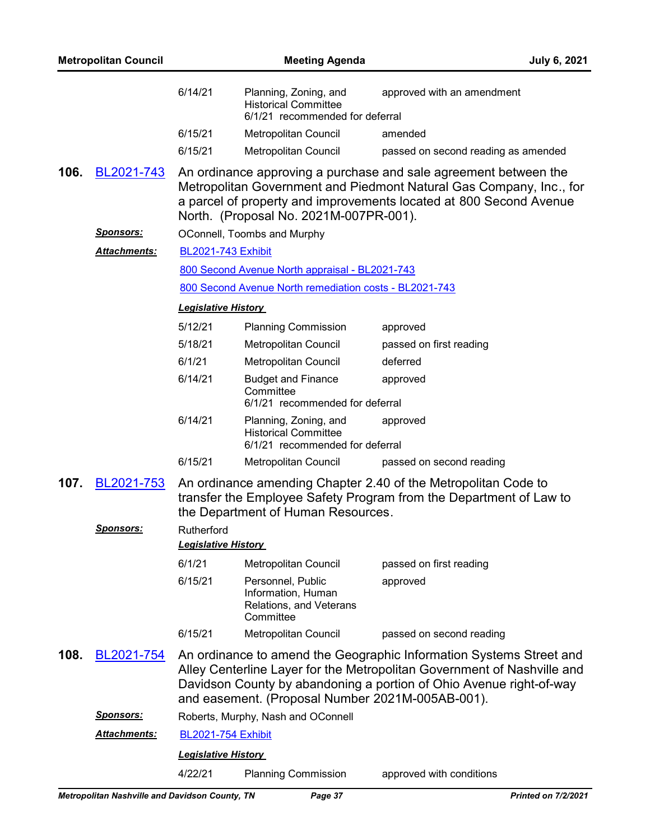| <b>Metropolitan Council</b> |                  | <b>Meeting Agenda</b>                    |                                                                                         | <b>July 6, 2021</b>                                                                                                                                                                                                   |
|-----------------------------|------------------|------------------------------------------|-----------------------------------------------------------------------------------------|-----------------------------------------------------------------------------------------------------------------------------------------------------------------------------------------------------------------------|
|                             |                  | 6/14/21                                  | Planning, Zoning, and<br><b>Historical Committee</b><br>6/1/21 recommended for deferral | approved with an amendment                                                                                                                                                                                            |
|                             |                  | 6/15/21                                  | <b>Metropolitan Council</b>                                                             | amended                                                                                                                                                                                                               |
|                             |                  | 6/15/21                                  | Metropolitan Council                                                                    | passed on second reading as amended                                                                                                                                                                                   |
| 106.                        | BL2021-743       |                                          | North. (Proposal No. 2021M-007PR-001).                                                  | An ordinance approving a purchase and sale agreement between the<br>Metropolitan Government and Piedmont Natural Gas Company, Inc., for<br>a parcel of property and improvements located at 800 Second Avenue         |
|                             | <u>Sponsors:</u> |                                          | OConnell, Toombs and Murphy                                                             |                                                                                                                                                                                                                       |
|                             | Attachments:     | <b>BL2021-743 Exhibit</b>                |                                                                                         |                                                                                                                                                                                                                       |
|                             |                  |                                          | 800 Second Avenue North appraisal - BL2021-743                                          |                                                                                                                                                                                                                       |
|                             |                  |                                          | 800 Second Avenue North remediation costs - BL2021-743                                  |                                                                                                                                                                                                                       |
|                             |                  | <b>Legislative History</b>               |                                                                                         |                                                                                                                                                                                                                       |
|                             |                  | 5/12/21                                  | <b>Planning Commission</b>                                                              | approved                                                                                                                                                                                                              |
|                             |                  | 5/18/21                                  | Metropolitan Council                                                                    | passed on first reading                                                                                                                                                                                               |
|                             |                  | 6/1/21                                   | Metropolitan Council                                                                    | deferred                                                                                                                                                                                                              |
|                             |                  | 6/14/21                                  | <b>Budget and Finance</b><br>Committee<br>6/1/21 recommended for deferral               | approved                                                                                                                                                                                                              |
|                             |                  | 6/14/21                                  | Planning, Zoning, and<br><b>Historical Committee</b><br>6/1/21 recommended for deferral | approved                                                                                                                                                                                                              |
|                             |                  | 6/15/21                                  | Metropolitan Council                                                                    | passed on second reading                                                                                                                                                                                              |
| 107.                        | BL2021-753       |                                          | the Department of Human Resources.                                                      | An ordinance amending Chapter 2.40 of the Metropolitan Code to<br>transfer the Employee Safety Program from the Department of Law to                                                                                  |
|                             | <u>Sponsors:</u> | Rutherford<br><b>Legislative History</b> |                                                                                         |                                                                                                                                                                                                                       |
|                             |                  | 6/1/21                                   | Metropolitan Council                                                                    | passed on first reading                                                                                                                                                                                               |
|                             |                  | 6/15/21                                  | Personnel, Public<br>Information, Human<br>Relations, and Veterans<br>Committee         | approved                                                                                                                                                                                                              |
|                             |                  | 6/15/21                                  | Metropolitan Council                                                                    | passed on second reading                                                                                                                                                                                              |
| 108.                        | BL2021-754       |                                          | and easement. (Proposal Number 2021M-005AB-001).                                        | An ordinance to amend the Geographic Information Systems Street and<br>Alley Centerline Layer for the Metropolitan Government of Nashville and<br>Davidson County by abandoning a portion of Ohio Avenue right-of-way |
|                             | <u>Sponsors:</u> |                                          | Roberts, Murphy, Nash and OConnell                                                      |                                                                                                                                                                                                                       |
|                             | Attachments:     | <b>BL2021-754 Exhibit</b>                |                                                                                         |                                                                                                                                                                                                                       |
|                             |                  | <b>Legislative History</b>               |                                                                                         |                                                                                                                                                                                                                       |
|                             |                  | 4/22/21                                  | <b>Planning Commission</b>                                                              | approved with conditions                                                                                                                                                                                              |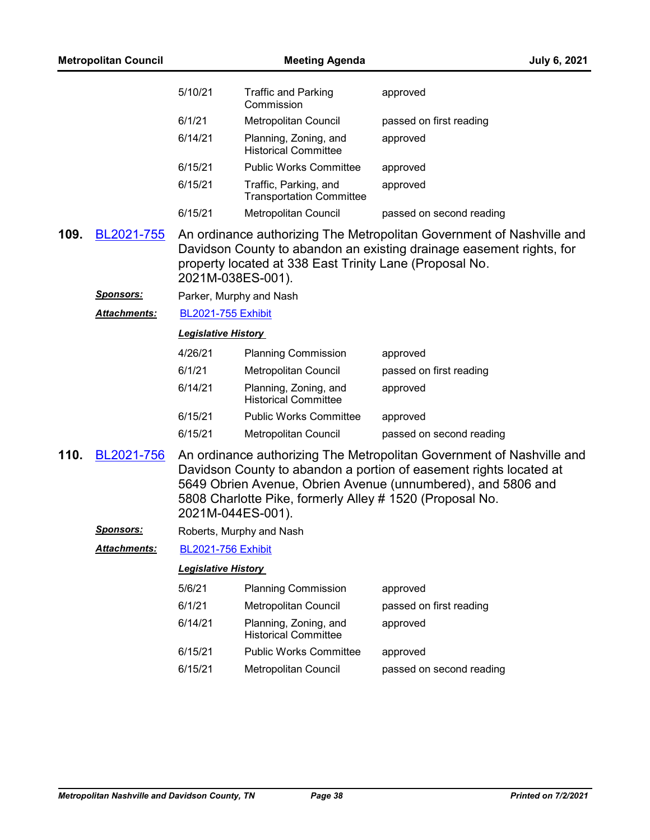| <b>Metropolitan Council</b> |                     |                            | <b>July 6, 2021</b>                                      |                                                                                                                                                                                                             |
|-----------------------------|---------------------|----------------------------|----------------------------------------------------------|-------------------------------------------------------------------------------------------------------------------------------------------------------------------------------------------------------------|
|                             |                     | 5/10/21                    | <b>Traffic and Parking</b><br>Commission                 | approved                                                                                                                                                                                                    |
|                             |                     | 6/1/21                     | Metropolitan Council                                     | passed on first reading                                                                                                                                                                                     |
|                             |                     | 6/14/21                    | Planning, Zoning, and<br><b>Historical Committee</b>     | approved                                                                                                                                                                                                    |
|                             |                     | 6/15/21                    | <b>Public Works Committee</b>                            | approved                                                                                                                                                                                                    |
|                             |                     | 6/15/21                    | Traffic, Parking, and<br><b>Transportation Committee</b> | approved                                                                                                                                                                                                    |
|                             |                     | 6/15/21                    | Metropolitan Council                                     | passed on second reading                                                                                                                                                                                    |
| 109.                        | BL2021-755          | 2021M-038ES-001).          | property located at 338 East Trinity Lane (Proposal No.  | An ordinance authorizing The Metropolitan Government of Nashville and<br>Davidson County to abandon an existing drainage easement rights, for                                                               |
|                             | <u>Sponsors:</u>    | Parker, Murphy and Nash    |                                                          |                                                                                                                                                                                                             |
|                             | Attachments:        | <b>BL2021-755 Exhibit</b>  |                                                          |                                                                                                                                                                                                             |
|                             |                     | <b>Legislative History</b> |                                                          |                                                                                                                                                                                                             |
|                             |                     | 4/26/21                    | <b>Planning Commission</b>                               | approved                                                                                                                                                                                                    |
|                             |                     | 6/1/21                     | Metropolitan Council                                     | passed on first reading                                                                                                                                                                                     |
|                             |                     | 6/14/21                    | Planning, Zoning, and<br><b>Historical Committee</b>     | approved                                                                                                                                                                                                    |
|                             |                     | 6/15/21                    | <b>Public Works Committee</b>                            | approved                                                                                                                                                                                                    |
|                             |                     | 6/15/21                    | Metropolitan Council                                     | passed on second reading                                                                                                                                                                                    |
| 110.                        | BL2021-756          | 2021M-044ES-001).          | 5808 Charlotte Pike, formerly Alley # 1520 (Proposal No. | An ordinance authorizing The Metropolitan Government of Nashville and<br>Davidson County to abandon a portion of easement rights located at<br>5649 Obrien Avenue, Obrien Avenue (unnumbered), and 5806 and |
|                             | <b>Sponsors:</b>    |                            | Roberts, Murphy and Nash                                 |                                                                                                                                                                                                             |
|                             | <b>Attachments:</b> | <b>BL2021-756 Exhibit</b>  |                                                          |                                                                                                                                                                                                             |
|                             |                     | <b>Legislative History</b> |                                                          |                                                                                                                                                                                                             |
|                             |                     | 5/6/21                     | <b>Planning Commission</b>                               | approved                                                                                                                                                                                                    |
|                             |                     | 6/1/21                     | Metropolitan Council                                     | passed on first reading                                                                                                                                                                                     |
|                             |                     | 6/14/21                    | Planning, Zoning, and<br><b>Historical Committee</b>     | approved                                                                                                                                                                                                    |
|                             |                     | 6/15/21                    | <b>Public Works Committee</b>                            | approved                                                                                                                                                                                                    |
|                             |                     | 6/15/21                    | Metropolitan Council                                     | passed on second reading                                                                                                                                                                                    |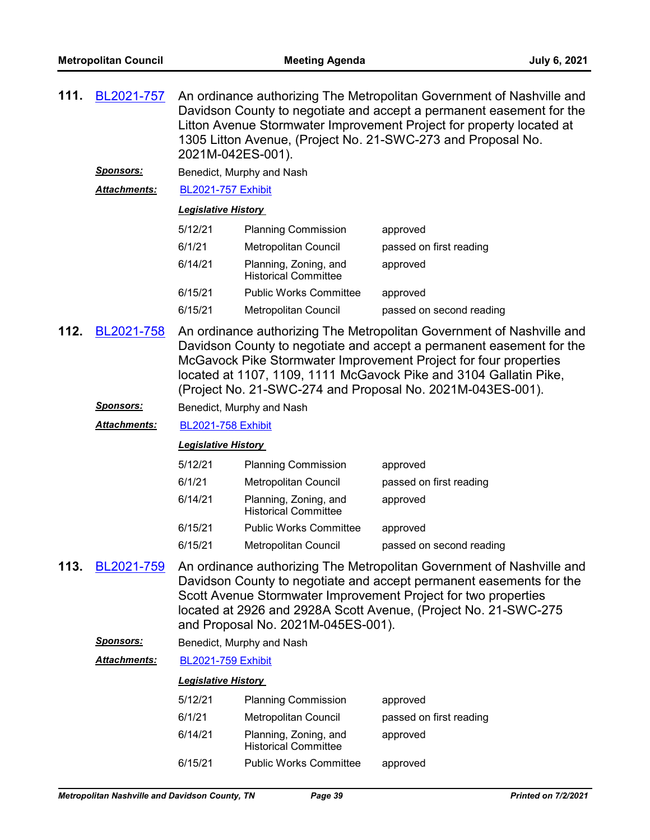| 111. | BL2021-757          | An ordinance authorizing The Metropolitan Government of Nashville and<br>Davidson County to negotiate and accept a permanent easement for the<br>Litton Avenue Stormwater Improvement Project for property located at<br>1305 Litton Avenue, (Project No. 21-SWC-273 and Proposal No.<br>2021M-042ES-001).                                           |                                                      |                                                                                                                                                                                                                                                                                   |  |  |
|------|---------------------|------------------------------------------------------------------------------------------------------------------------------------------------------------------------------------------------------------------------------------------------------------------------------------------------------------------------------------------------------|------------------------------------------------------|-----------------------------------------------------------------------------------------------------------------------------------------------------------------------------------------------------------------------------------------------------------------------------------|--|--|
|      | <u>Sponsors:</u>    |                                                                                                                                                                                                                                                                                                                                                      | Benedict, Murphy and Nash                            |                                                                                                                                                                                                                                                                                   |  |  |
|      | Attachments:        | <b>BL2021-757 Exhibit</b>                                                                                                                                                                                                                                                                                                                            |                                                      |                                                                                                                                                                                                                                                                                   |  |  |
|      |                     | <b>Legislative History</b>                                                                                                                                                                                                                                                                                                                           |                                                      |                                                                                                                                                                                                                                                                                   |  |  |
|      |                     | 5/12/21                                                                                                                                                                                                                                                                                                                                              | <b>Planning Commission</b>                           | approved                                                                                                                                                                                                                                                                          |  |  |
|      |                     | 6/1/21                                                                                                                                                                                                                                                                                                                                               | Metropolitan Council                                 | passed on first reading                                                                                                                                                                                                                                                           |  |  |
|      |                     | 6/14/21                                                                                                                                                                                                                                                                                                                                              | Planning, Zoning, and<br><b>Historical Committee</b> | approved                                                                                                                                                                                                                                                                          |  |  |
|      |                     | 6/15/21                                                                                                                                                                                                                                                                                                                                              | <b>Public Works Committee</b>                        | approved                                                                                                                                                                                                                                                                          |  |  |
|      |                     | 6/15/21                                                                                                                                                                                                                                                                                                                                              | Metropolitan Council                                 | passed on second reading                                                                                                                                                                                                                                                          |  |  |
| 112. | BL2021-758          | An ordinance authorizing The Metropolitan Government of Nashville and<br>Davidson County to negotiate and accept a permanent easement for the<br>McGavock Pike Stormwater Improvement Project for four properties<br>located at 1107, 1109, 1111 McGavock Pike and 3104 Gallatin Pike,<br>(Project No. 21-SWC-274 and Proposal No. 2021M-043ES-001). |                                                      |                                                                                                                                                                                                                                                                                   |  |  |
|      | <b>Sponsors:</b>    |                                                                                                                                                                                                                                                                                                                                                      | Benedict, Murphy and Nash                            |                                                                                                                                                                                                                                                                                   |  |  |
|      | <b>Attachments:</b> | <b>BL2021-758 Exhibit</b>                                                                                                                                                                                                                                                                                                                            |                                                      |                                                                                                                                                                                                                                                                                   |  |  |
|      |                     | <b>Legislative History</b>                                                                                                                                                                                                                                                                                                                           |                                                      |                                                                                                                                                                                                                                                                                   |  |  |
|      |                     | 5/12/21                                                                                                                                                                                                                                                                                                                                              | <b>Planning Commission</b>                           | approved                                                                                                                                                                                                                                                                          |  |  |
|      |                     | 6/1/21                                                                                                                                                                                                                                                                                                                                               | Metropolitan Council                                 | passed on first reading                                                                                                                                                                                                                                                           |  |  |
|      |                     | 6/14/21                                                                                                                                                                                                                                                                                                                                              | Planning, Zoning, and<br><b>Historical Committee</b> | approved                                                                                                                                                                                                                                                                          |  |  |
|      |                     | 6/15/21                                                                                                                                                                                                                                                                                                                                              | <b>Public Works Committee</b>                        | approved                                                                                                                                                                                                                                                                          |  |  |
|      |                     | 6/15/21                                                                                                                                                                                                                                                                                                                                              | Metropolitan Council                                 | passed on second reading                                                                                                                                                                                                                                                          |  |  |
| 113. | BL2021-759          |                                                                                                                                                                                                                                                                                                                                                      | and Proposal No. 2021M-045ES-001).                   | An ordinance authorizing The Metropolitan Government of Nashville and<br>Davidson County to negotiate and accept permanent easements for the<br>Scott Avenue Stormwater Improvement Project for two properties<br>located at 2926 and 2928A Scott Avenue, (Project No. 21-SWC-275 |  |  |
|      | <b>Sponsors:</b>    |                                                                                                                                                                                                                                                                                                                                                      | Benedict, Murphy and Nash                            |                                                                                                                                                                                                                                                                                   |  |  |
|      | Attachments:        | <b>BL2021-759 Exhibit</b>                                                                                                                                                                                                                                                                                                                            |                                                      |                                                                                                                                                                                                                                                                                   |  |  |
|      |                     | <b>Legislative History</b>                                                                                                                                                                                                                                                                                                                           |                                                      |                                                                                                                                                                                                                                                                                   |  |  |
|      |                     | 5/12/21                                                                                                                                                                                                                                                                                                                                              | <b>Planning Commission</b>                           | approved                                                                                                                                                                                                                                                                          |  |  |
|      |                     | 6/1/21                                                                                                                                                                                                                                                                                                                                               | Metropolitan Council                                 | passed on first reading                                                                                                                                                                                                                                                           |  |  |
|      |                     | 6/14/21                                                                                                                                                                                                                                                                                                                                              | Planning, Zoning, and<br><b>Historical Committee</b> | approved                                                                                                                                                                                                                                                                          |  |  |

6/15/21 Public Works Committee approved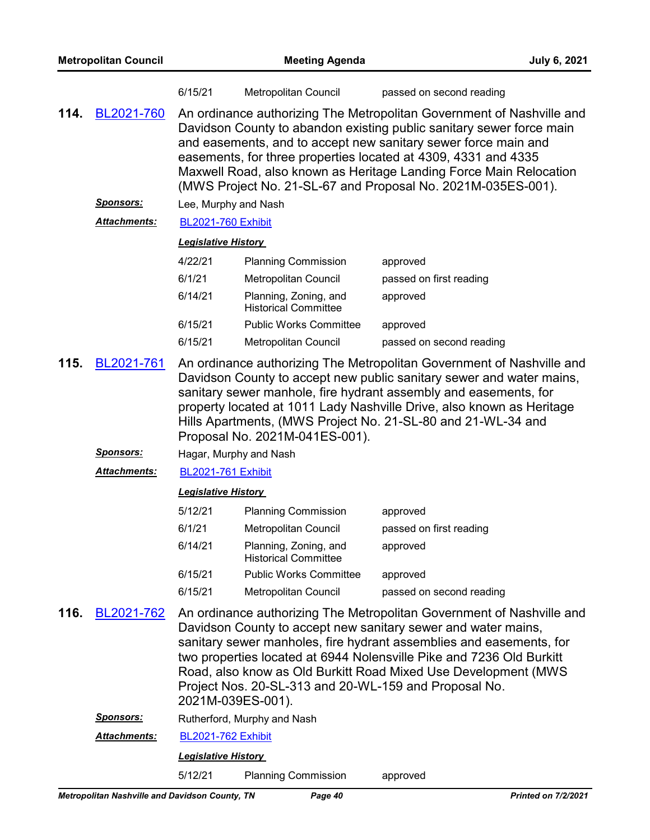| <b>Metropolitan Council</b> |                     |                                                                                                                                                                                                                                                                                                                                                                                                                         | <b>July 6, 2021</b>                                                        |                                                                                                                                                                                                                                                                                                                                                         |  |
|-----------------------------|---------------------|-------------------------------------------------------------------------------------------------------------------------------------------------------------------------------------------------------------------------------------------------------------------------------------------------------------------------------------------------------------------------------------------------------------------------|----------------------------------------------------------------------------|---------------------------------------------------------------------------------------------------------------------------------------------------------------------------------------------------------------------------------------------------------------------------------------------------------------------------------------------------------|--|
|                             |                     | 6/15/21                                                                                                                                                                                                                                                                                                                                                                                                                 | Metropolitan Council                                                       | passed on second reading                                                                                                                                                                                                                                                                                                                                |  |
| 114.                        | BL2021-760          | An ordinance authorizing The Metropolitan Government of Nashville and<br>Davidson County to abandon existing public sanitary sewer force main<br>and easements, and to accept new sanitary sewer force main and<br>easements, for three properties located at 4309, 4331 and 4335<br>Maxwell Road, also known as Heritage Landing Force Main Relocation<br>(MWS Project No. 21-SL-67 and Proposal No. 2021M-035ES-001). |                                                                            |                                                                                                                                                                                                                                                                                                                                                         |  |
|                             | <b>Sponsors:</b>    | Lee, Murphy and Nash                                                                                                                                                                                                                                                                                                                                                                                                    |                                                                            |                                                                                                                                                                                                                                                                                                                                                         |  |
|                             | Attachments:        | <b>BL2021-760 Exhibit</b>                                                                                                                                                                                                                                                                                                                                                                                               |                                                                            |                                                                                                                                                                                                                                                                                                                                                         |  |
|                             |                     | <b>Legislative History</b>                                                                                                                                                                                                                                                                                                                                                                                              |                                                                            |                                                                                                                                                                                                                                                                                                                                                         |  |
|                             |                     | 4/22/21                                                                                                                                                                                                                                                                                                                                                                                                                 | <b>Planning Commission</b>                                                 | approved                                                                                                                                                                                                                                                                                                                                                |  |
|                             |                     | 6/1/21                                                                                                                                                                                                                                                                                                                                                                                                                  | <b>Metropolitan Council</b>                                                | passed on first reading                                                                                                                                                                                                                                                                                                                                 |  |
|                             |                     | 6/14/21                                                                                                                                                                                                                                                                                                                                                                                                                 | Planning, Zoning, and<br><b>Historical Committee</b>                       | approved                                                                                                                                                                                                                                                                                                                                                |  |
|                             |                     | 6/15/21                                                                                                                                                                                                                                                                                                                                                                                                                 | <b>Public Works Committee</b>                                              | approved                                                                                                                                                                                                                                                                                                                                                |  |
|                             |                     | 6/15/21                                                                                                                                                                                                                                                                                                                                                                                                                 | Metropolitan Council                                                       | passed on second reading                                                                                                                                                                                                                                                                                                                                |  |
|                             |                     |                                                                                                                                                                                                                                                                                                                                                                                                                         | Proposal No. 2021M-041ES-001).                                             | Davidson County to accept new public sanitary sewer and water mains,<br>sanitary sewer manhole, fire hydrant assembly and easements, for<br>property located at 1011 Lady Nashville Drive, also known as Heritage<br>Hills Apartments, (MWS Project No. 21-SL-80 and 21-WL-34 and                                                                       |  |
|                             | <u>Sponsors:</u>    |                                                                                                                                                                                                                                                                                                                                                                                                                         | Hagar, Murphy and Nash                                                     |                                                                                                                                                                                                                                                                                                                                                         |  |
|                             | <b>Attachments:</b> | <b>BL2021-761 Exhibit</b>                                                                                                                                                                                                                                                                                                                                                                                               |                                                                            |                                                                                                                                                                                                                                                                                                                                                         |  |
|                             |                     | <b>Legislative History</b>                                                                                                                                                                                                                                                                                                                                                                                              |                                                                            |                                                                                                                                                                                                                                                                                                                                                         |  |
|                             |                     | 5/12/21                                                                                                                                                                                                                                                                                                                                                                                                                 | <b>Planning Commission</b>                                                 | approved                                                                                                                                                                                                                                                                                                                                                |  |
|                             |                     | 6/1/21                                                                                                                                                                                                                                                                                                                                                                                                                  | Metropolitan Council                                                       | passed on first reading                                                                                                                                                                                                                                                                                                                                 |  |
|                             |                     | 6/14/21                                                                                                                                                                                                                                                                                                                                                                                                                 | Planning, Zoning, and<br><b>Historical Committee</b>                       | approved                                                                                                                                                                                                                                                                                                                                                |  |
|                             |                     | 6/15/21                                                                                                                                                                                                                                                                                                                                                                                                                 | <b>Public Works Committee</b>                                              | approved                                                                                                                                                                                                                                                                                                                                                |  |
|                             |                     | 6/15/21                                                                                                                                                                                                                                                                                                                                                                                                                 | Metropolitan Council                                                       | passed on second reading                                                                                                                                                                                                                                                                                                                                |  |
| 116.                        | BL2021-762          |                                                                                                                                                                                                                                                                                                                                                                                                                         | Project Nos. 20-SL-313 and 20-WL-159 and Proposal No.<br>2021M-039ES-001). | An ordinance authorizing The Metropolitan Government of Nashville and<br>Davidson County to accept new sanitary sewer and water mains,<br>sanitary sewer manholes, fire hydrant assemblies and easements, for<br>two properties located at 6944 Nolensville Pike and 7236 Old Burkitt<br>Road, also know as Old Burkitt Road Mixed Use Development (MWS |  |
|                             | <u>Sponsors:</u>    |                                                                                                                                                                                                                                                                                                                                                                                                                         | Rutherford, Murphy and Nash                                                |                                                                                                                                                                                                                                                                                                                                                         |  |
|                             | <b>Attachments:</b> | <b>BL2021-762 Exhibit</b>                                                                                                                                                                                                                                                                                                                                                                                               |                                                                            |                                                                                                                                                                                                                                                                                                                                                         |  |
|                             |                     | <b>Legislative History</b>                                                                                                                                                                                                                                                                                                                                                                                              |                                                                            |                                                                                                                                                                                                                                                                                                                                                         |  |
|                             |                     | 5/12/21                                                                                                                                                                                                                                                                                                                                                                                                                 | <b>Planning Commission</b>                                                 | approved                                                                                                                                                                                                                                                                                                                                                |  |